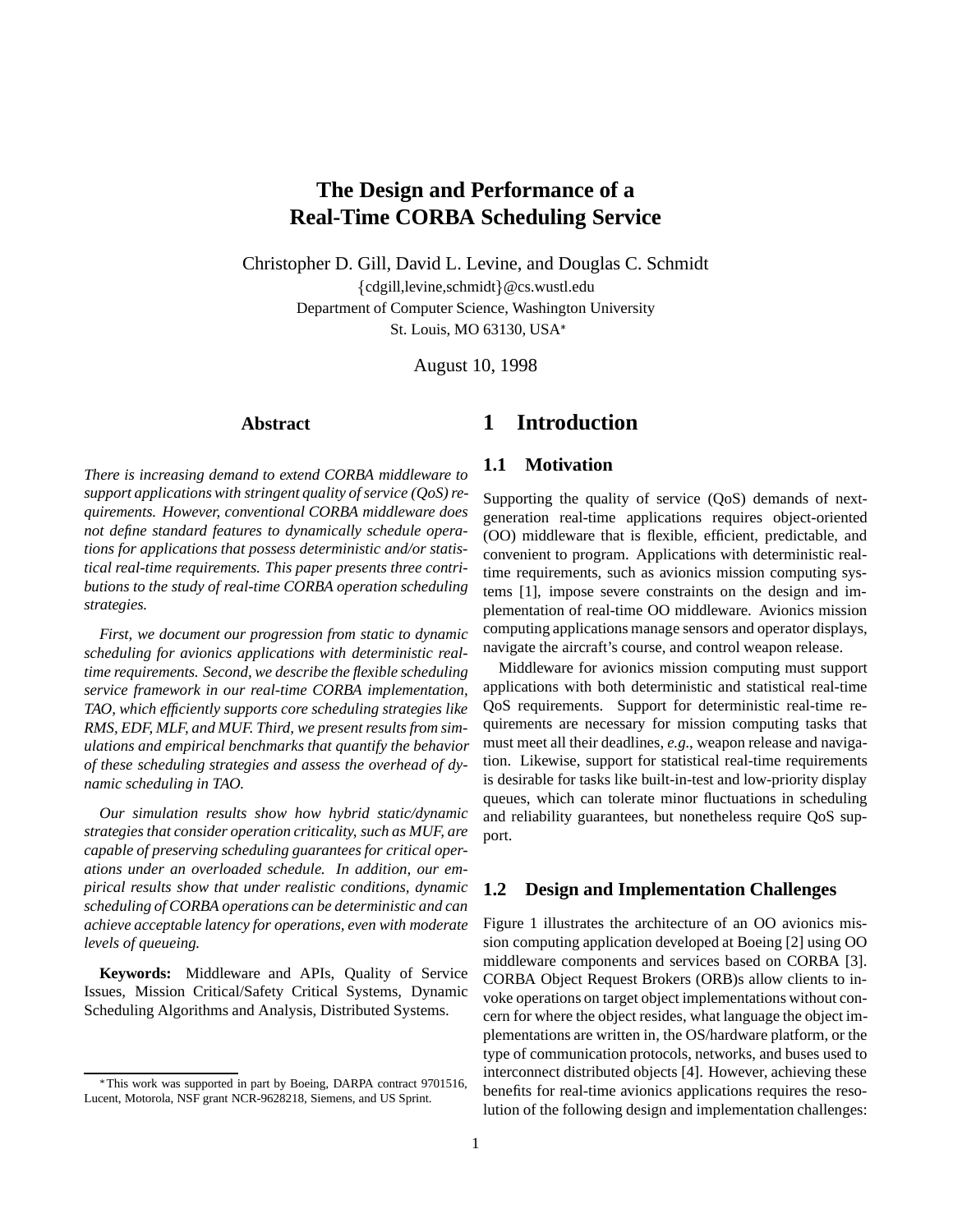# **The Design and Performance of a Real-Time CORBA Scheduling Service**

Christopher D. Gill, David L. Levine, and Douglas C. Schmidt {cdgill,levine,schmidt}@cs.wustl.edu

> Department of Computer Science, Washington University St. Louis, MO 63130, USA

> > August 10, 1998

## **Abstract**

*There is increasing demand to extend CORBA middleware to support applications with stringent quality of service (QoS) requirements. However, conventional CORBA middleware does not define standard features to dynamically schedule operations for applications that possess deterministic and/or statistical real-time requirements. This paper presents three contributions to the study of real-time CORBA operation scheduling strategies.*

*First, we document our progression from static to dynamic scheduling for avionics applications with deterministic realtime requirements. Second, we describe the flexible scheduling service framework in our real-time CORBA implementation, TAO, which efficiently supports core scheduling strategies like RMS, EDF, MLF, and MUF. Third, we present results from simulations and empirical benchmarks that quantify the behavior of these scheduling strategies and assess the overhead of dynamic scheduling in TAO.*

*Our simulation results show how hybrid static/dynamic strategies that consider operation criticality, such as MUF, are capable of preserving scheduling guarantees for critical operations under an overloaded schedule. In addition, our empirical results show that under realistic conditions, dynamic scheduling of CORBA operations can be deterministic and can achieve acceptable latency for operations, even with moderate levels of queueing.*

**Keywords:** Middleware and APIs, Quality of Service Issues, Mission Critical/Safety Critical Systems, Dynamic Scheduling Algorithms and Analysis, Distributed Systems.

# **1 Introduction**

# **1.1 Motivation**

Supporting the quality of service (QoS) demands of nextgeneration real-time applications requires object-oriented (OO) middleware that is flexible, efficient, predictable, and convenient to program. Applications with deterministic realtime requirements, such as avionics mission computing systems [1], impose severe constraints on the design and implementation of real-time OO middleware. Avionics mission computing applications manage sensors and operator displays, navigate the aircraft's course, and control weapon release.

Middleware for avionics mission computing must support applications with both deterministic and statistical real-time QoS requirements. Support for deterministic real-time requirements are necessary for mission computing tasks that must meet all their deadlines, *e.g.*, weapon release and navigation. Likewise, support for statistical real-time requirements is desirable for tasks like built-in-test and low-priority display queues, which can tolerate minor fluctuations in scheduling and reliability guarantees, but nonetheless require QoS support.

### **1.2 Design and Implementation Challenges**

Figure 1 illustrates the architecture of an OO avionics mission computing application developed at Boeing [2] using OO middleware components and services based on CORBA [3]. CORBA Object Request Brokers (ORB)s allow clients to invoke operations on target object implementations without concern for where the object resides, what language the object implementations are written in, the OS/hardware platform, or the type of communication protocols, networks, and buses used to interconnect distributed objects [4]. However, achieving these benefits for real-time avionics applications requires the resolution of the following design and implementation challenges:

This work was supported in part by Boeing, DARPA contract 9701516, Lucent, Motorola, NSF grant NCR-9628218, Siemens, and US Sprint.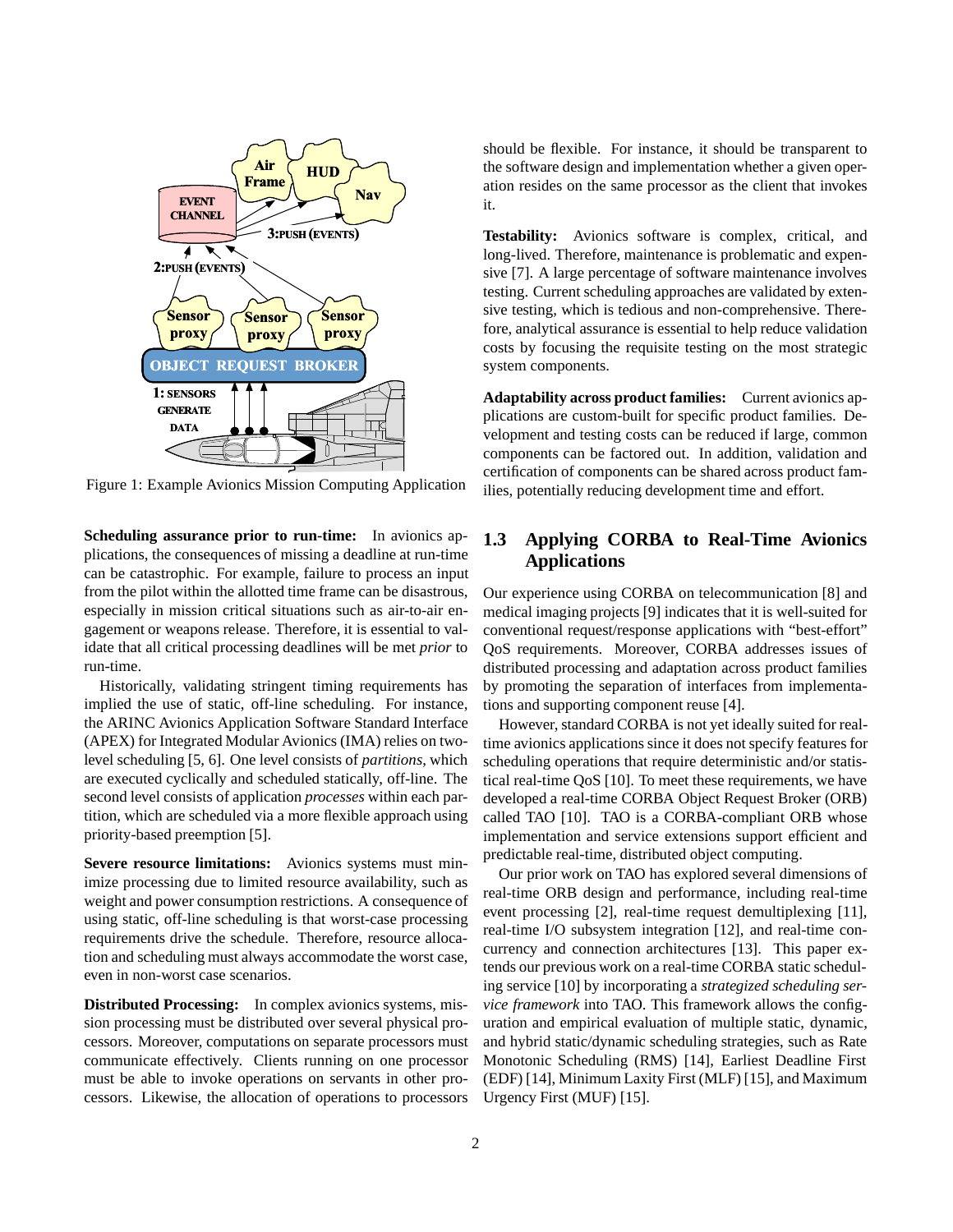

Figure 1: Example Avionics Mission Computing Application

**Scheduling assurance prior to run-time:** In avionics applications, the consequences of missing a deadline at run-time can be catastrophic. For example, failure to process an input from the pilot within the allotted time frame can be disastrous, especially in mission critical situations such as air-to-air engagement or weapons release. Therefore, it is essential to validate that all critical processing deadlines will be met *prior* to run-time.

Historically, validating stringent timing requirements has implied the use of static, off-line scheduling. For instance, the ARINC Avionics Application Software Standard Interface (APEX) for Integrated Modular Avionics (IMA) relies on twolevel scheduling [5, 6]. One level consists of *partitions*, which are executed cyclically and scheduled statically, off-line. The second level consists of application *processes* within each partition, which are scheduled via a more flexible approach using priority-based preemption [5].

**Severe resource limitations:** Avionics systems must minimize processing due to limited resource availability, such as weight and power consumption restrictions. A consequence of using static, off-line scheduling is that worst-case processing requirements drive the schedule. Therefore, resource allocation and scheduling must always accommodate the worst case, even in non-worst case scenarios.

**Distributed Processing:** In complex avionics systems, mission processing must be distributed over several physical processors. Moreover, computations on separate processors must communicate effectively. Clients running on one processor must be able to invoke operations on servants in other processors. Likewise, the allocation of operations to processors should be flexible. For instance, it should be transparent to the software design and implementation whether a given operation resides on the same processor as the client that invokes it.

**Testability:** Avionics software is complex, critical, and long-lived. Therefore, maintenance is problematic and expensive [7]. A large percentage of software maintenance involves testing. Current scheduling approaches are validated by extensive testing, which is tedious and non-comprehensive. Therefore, analytical assurance is essential to help reduce validation costs by focusing the requisite testing on the most strategic system components.

**Adaptability across product families:** Current avionics applications are custom-built for specific product families. Development and testing costs can be reduced if large, common components can be factored out. In addition, validation and certification of components can be shared across product families, potentially reducing development time and effort.

# **1.3 Applying CORBA to Real-Time Avionics Applications**

Our experience using CORBA on telecommunication [8] and medical imaging projects [9] indicates that it is well-suited for conventional request/response applications with "best-effort" QoS requirements. Moreover, CORBA addresses issues of distributed processing and adaptation across product families by promoting the separation of interfaces from implementations and supporting component reuse [4].

However, standard CORBA is not yet ideally suited for realtime avionics applications since it does not specify features for scheduling operations that require deterministic and/or statistical real-time QoS [10]. To meet these requirements, we have developed a real-time CORBA Object Request Broker (ORB) called TAO [10]. TAO is a CORBA-compliant ORB whose implementation and service extensions support efficient and predictable real-time, distributed object computing.

Our prior work on TAO has explored several dimensions of real-time ORB design and performance, including real-time event processing [2], real-time request demultiplexing [11], real-time I/O subsystem integration [12], and real-time concurrency and connection architectures [13]. This paper extends our previous work on a real-time CORBA static scheduling service [10] by incorporating a *strategized scheduling service framework* into TAO. This framework allows the configuration and empirical evaluation of multiple static, dynamic, and hybrid static/dynamic scheduling strategies, such as Rate Monotonic Scheduling (RMS) [14], Earliest Deadline First (EDF) [14], Minimum Laxity First (MLF) [15], and Maximum Urgency First (MUF) [15].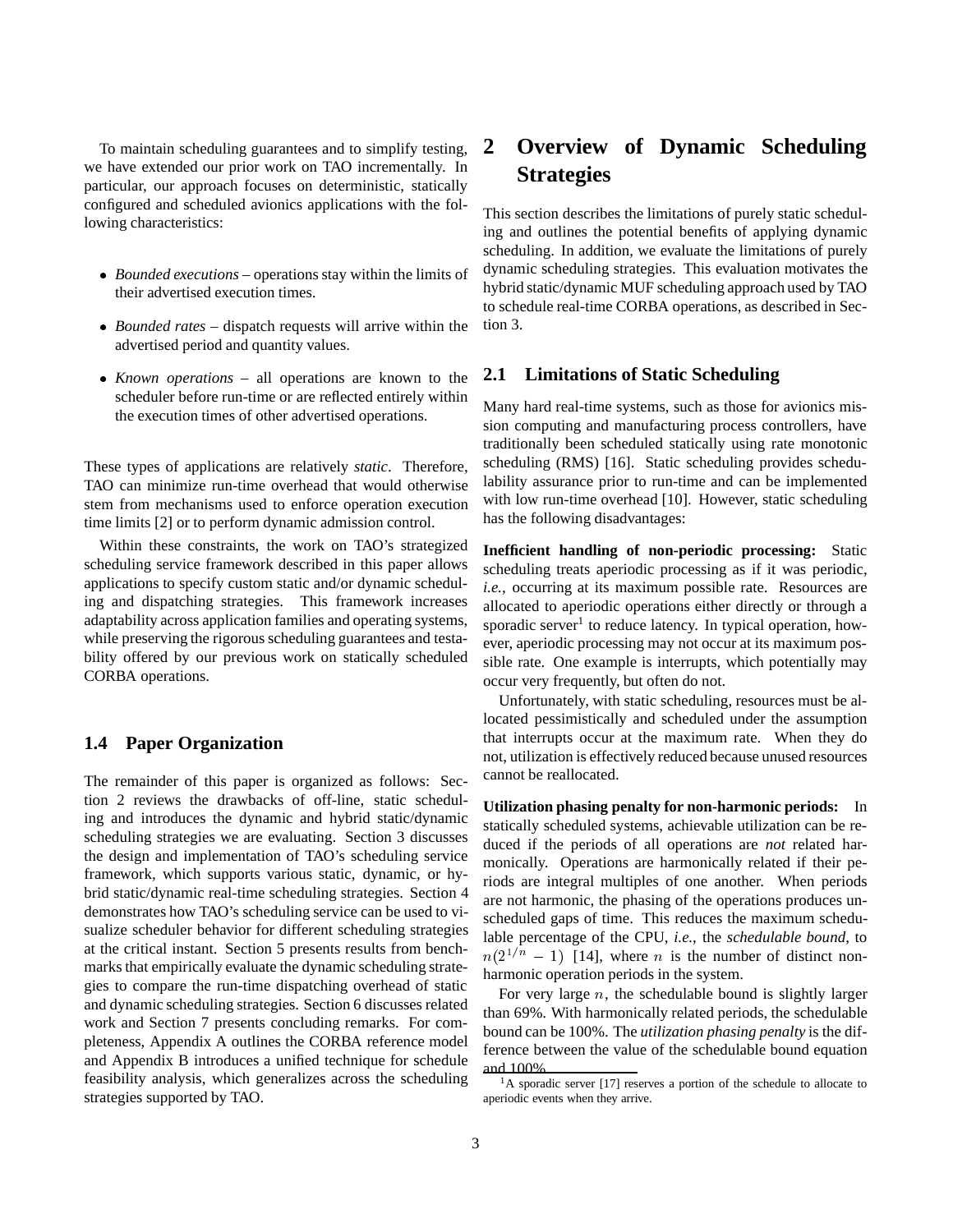To maintain scheduling guarantees and to simplify testing, we have extended our prior work on TAO incrementally. In particular, our approach focuses on deterministic, statically configured and scheduled avionics applications with the following characteristics:

- *Bounded executions* operations stay within the limits of their advertised execution times.
- *Bounded rates* dispatch requests will arrive within the advertised period and quantity values.
- *Known operations* all operations are known to the scheduler before run-time or are reflected entirely within the execution times of other advertised operations.

These types of applications are relatively *static*. Therefore, TAO can minimize run-time overhead that would otherwise stem from mechanisms used to enforce operation execution time limits [2] or to perform dynamic admission control.

Within these constraints, the work on TAO's strategized scheduling service framework described in this paper allows applications to specify custom static and/or dynamic scheduling and dispatching strategies. This framework increases adaptability across application families and operating systems, while preserving the rigorous scheduling guarantees and testability offered by our previous work on statically scheduled CORBA operations.

## **1.4 Paper Organization**

The remainder of this paper is organized as follows: Section 2 reviews the drawbacks of off-line, static scheduling and introduces the dynamic and hybrid static/dynamic scheduling strategies we are evaluating. Section 3 discusses the design and implementation of TAO's scheduling service framework, which supports various static, dynamic, or hybrid static/dynamic real-time scheduling strategies. Section 4 demonstrates how TAO's scheduling service can be used to visualize scheduler behavior for different scheduling strategies at the critical instant. Section 5 presents results from benchmarks that empirically evaluate the dynamic scheduling strategies to compare the run-time dispatching overhead of static and dynamic scheduling strategies. Section 6 discusses related work and Section 7 presents concluding remarks. For completeness, Appendix A outlines the CORBA reference model and Appendix B introduces a unified technique for schedule feasibility analysis, which generalizes across the scheduling strategies supported by TAO.

# **2 Overview of Dynamic Scheduling Strategies**

This section describes the limitations of purely static scheduling and outlines the potential benefits of applying dynamic scheduling. In addition, we evaluate the limitations of purely dynamic scheduling strategies. This evaluation motivates the hybrid static/dynamic MUF scheduling approach used by TAO to schedule real-time CORBA operations, as described in Section 3.

### **2.1 Limitations of Static Scheduling**

Many hard real-time systems, such as those for avionics mission computing and manufacturing process controllers, have traditionally been scheduled statically using rate monotonic scheduling (RMS) [16]. Static scheduling provides schedulability assurance prior to run-time and can be implemented with low run-time overhead [10]. However, static scheduling has the following disadvantages:

**Inefficient handling of non-periodic processing:** Static scheduling treats aperiodic processing as if it was periodic, *i.e.*, occurring at its maximum possible rate. Resources are allocated to aperiodic operations either directly or through a sporadic server<sup>1</sup> to reduce latency. In typical operation, however, aperiodic processing may not occur at its maximum possible rate. One example is interrupts, which potentially may occur very frequently, but often do not.

Unfortunately, with static scheduling, resources must be allocated pessimistically and scheduled under the assumption that interrupts occur at the maximum rate. When they do not, utilization is effectively reduced because unused resources cannot be reallocated.

**Utilization phasing penalty for non-harmonic periods:** In statically scheduled systems, achievable utilization can be reduced if the periods of all operations are *not* related harmonically. Operations are harmonically related if their periods are integral multiples of one another. When periods are not harmonic, the phasing of the operations produces unscheduled gaps of time. This reduces the maximum schedulable percentage of the CPU, *i.e.*, the *schedulable bound*, to  $n(2^{1/n} - 1)$  [14], where *n* is the number of distinct nonharmonic operation periods in the system.

For very large  $n$ , the schedulable bound is slightly larger than 69%. With harmonically related periods, the schedulable bound can be 100%. The *utilization phasing penalty* is the difference between the value of the schedulable bound equation and  $100\%$ .<br><sup>1</sup>A sporadic server [17] reserves a portion of the schedule to allocate to

aperiodic events when they arrive.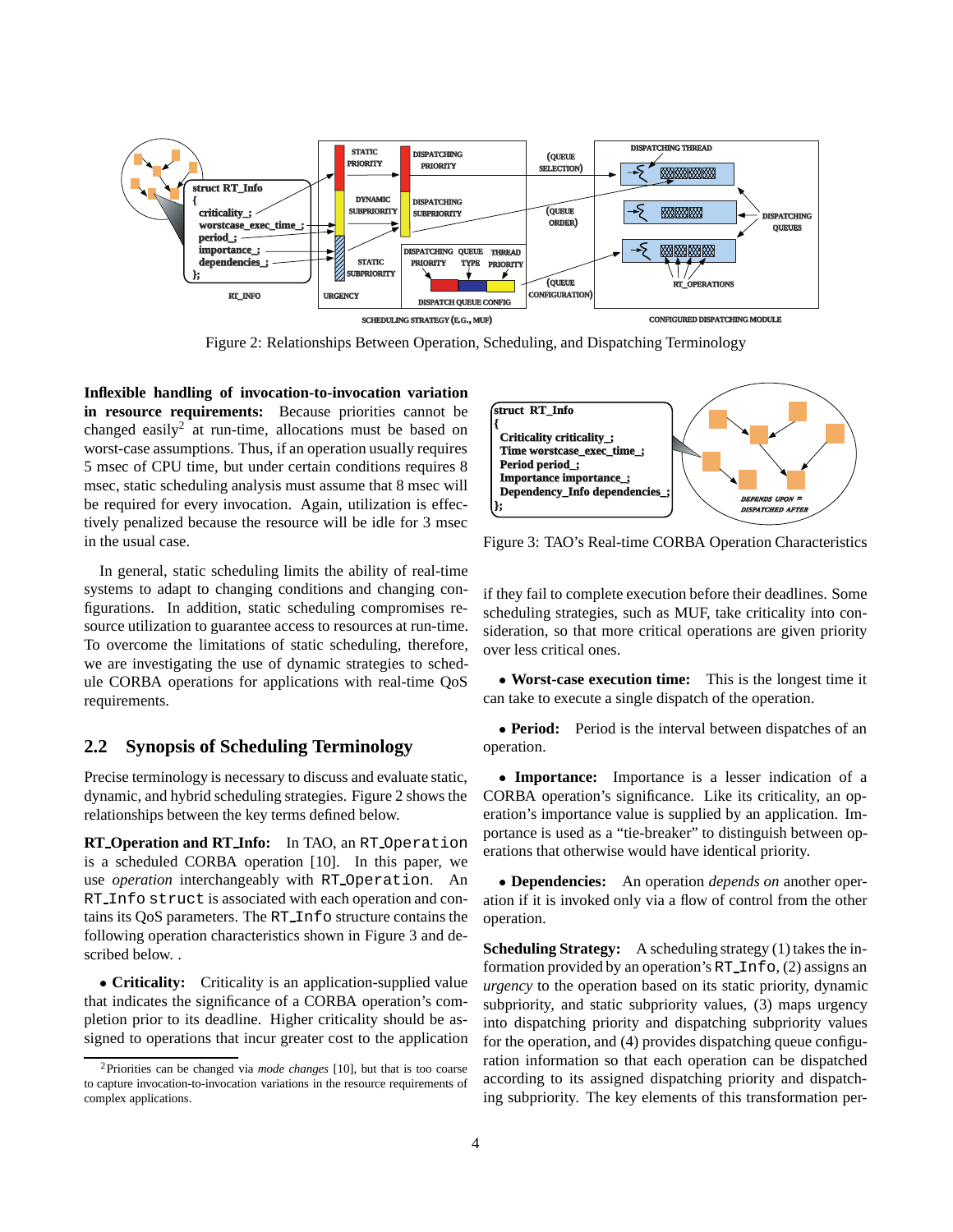

Figure 2: Relationships Between Operation, Scheduling, and Dispatching Terminology

**Inflexible handling of invocation-to-invocation variation in resource requirements:** Because priorities cannot be changed easily<sup>2</sup> at run-time, allocations must be based on worst-case assumptions. Thus, if an operation usually requires 5 msec of CPU time, but under certain conditions requires 8 msec, static scheduling analysis must assume that 8 msec will be required for every invocation. Again, utilization is effectively penalized because the resource will be idle for 3 msec in the usual case.

In general, static scheduling limits the ability of real-time systems to adapt to changing conditions and changing configurations. In addition, static scheduling compromises resource utilization to guarantee access to resources at run-time. To overcome the limitations of static scheduling, therefore, we are investigating the use of dynamic strategies to schedule CORBA operations for applications with real-time QoS requirements.

### **2.2 Synopsis of Scheduling Terminology**

Precise terminology is necessary to discuss and evaluate static, dynamic, and hybrid scheduling strategies. Figure 2 shows the relationships between the key terms defined below.

**RT Operation and RT Info:** In TAO, an RT Operation is a scheduled CORBA operation [10]. In this paper, we use *operation* interchangeably with RT Operation. An RT Info struct is associated with each operation and contains its QoS parameters. The RT Info structure contains the following operation characteristics shown in Figure 3 and described below. .

 **Criticality:** Criticality is an application-supplied value that indicates the significance of a CORBA operation's completion prior to its deadline. Higher criticality should be assigned to operations that incur greater cost to the application



Figure 3: TAO's Real-time CORBA Operation Characteristics

if they fail to complete execution before their deadlines. Some scheduling strategies, such as MUF, take criticality into consideration, so that more critical operations are given priority over less critical ones.

 **Worst-case execution time:** This is the longest time it can take to execute a single dispatch of the operation.

 **Period:** Period is the interval between dispatches of an operation.

 **Importance:** Importance is a lesser indication of a CORBA operation's significance. Like its criticality, an operation's importance value is supplied by an application. Importance is used as a "tie-breaker" to distinguish between operations that otherwise would have identical priority.

 **Dependencies:** An operation *depends on* another operation if it is invoked only via a flow of control from the other operation.

**Scheduling Strategy:** A scheduling strategy (1) takes the information provided by an operation's RT Info, (2) assigns an *urgency* to the operation based on its static priority, dynamic subpriority, and static subpriority values, (3) maps urgency into dispatching priority and dispatching subpriority values for the operation, and (4) provides dispatching queue configuration information so that each operation can be dispatched according to its assigned dispatching priority and dispatching subpriority. The key elements of this transformation per-

<sup>2</sup>Priorities can be changed via *mode changes* [10], but that is too coarse to capture invocation-to-invocation variations in the resource requirements of complex applications.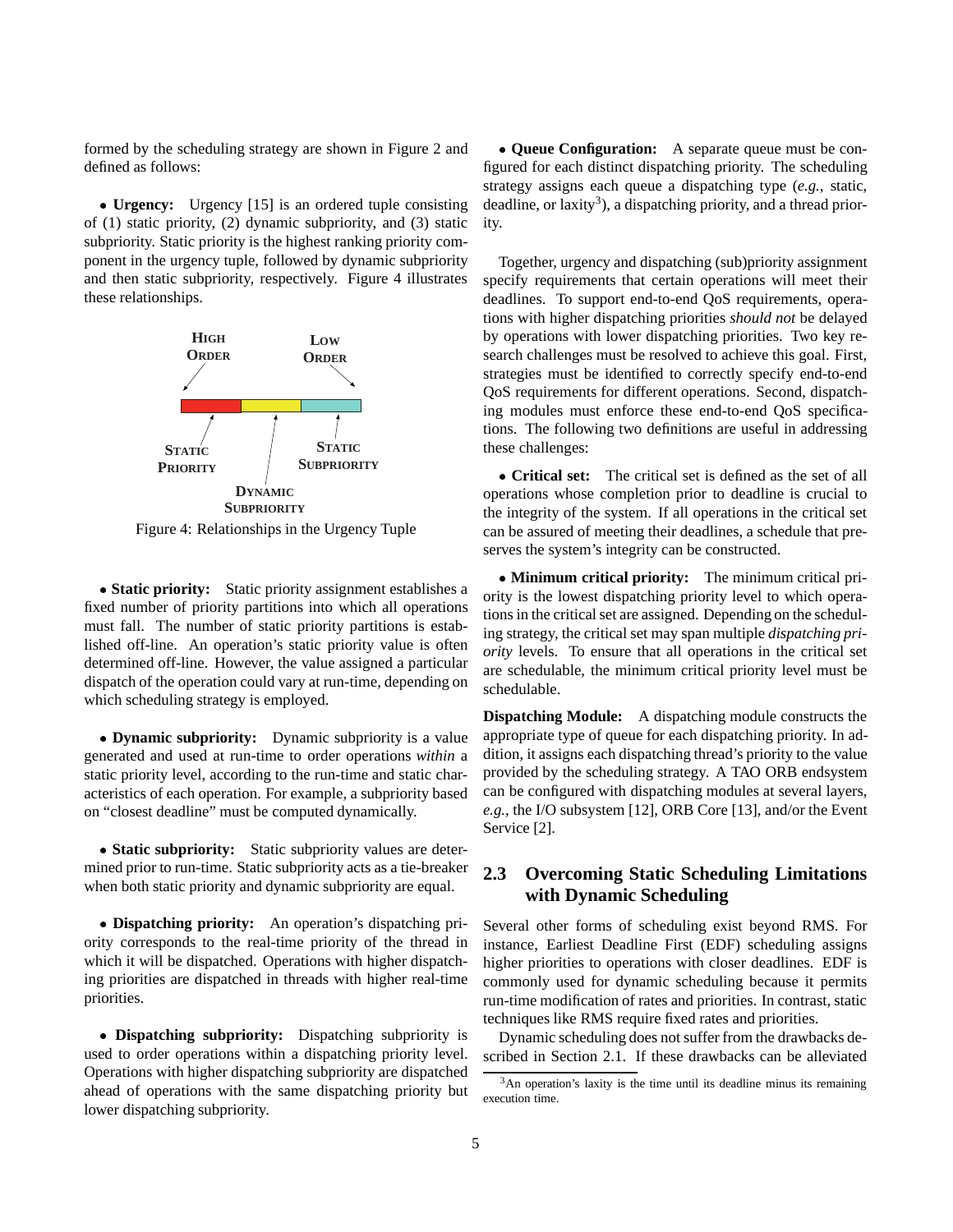formed by the scheduling strategy are shown in Figure 2 and defined as follows:

• **Urgency:** Urgency [15] is an ordered tuple consisting of (1) static priority, (2) dynamic subpriority, and (3) static subpriority. Static priority is the highest ranking priority component in the urgency tuple, followed by dynamic subpriority and then static subpriority, respectively. Figure 4 illustrates these relationships.



Figure 4: Relationships in the Urgency Tuple

 **Static priority:** Static priority assignment establishes a fixed number of priority partitions into which all operations must fall. The number of static priority partitions is established off-line. An operation's static priority value is often determined off-line. However, the value assigned a particular dispatch of the operation could vary at run-time, depending on which scheduling strategy is employed.

 **Dynamic subpriority:** Dynamic subpriority is a value generated and used at run-time to order operations *within* a static priority level, according to the run-time and static characteristics of each operation. For example, a subpriority based on "closest deadline" must be computed dynamically.

 **Static subpriority:** Static subpriority values are determined prior to run-time. Static subpriority acts as a tie-breaker when both static priority and dynamic subpriority are equal.

 **Dispatching priority:** An operation's dispatching priority corresponds to the real-time priority of the thread in which it will be dispatched. Operations with higher dispatching priorities are dispatched in threads with higher real-time priorities.

 **Dispatching subpriority:** Dispatching subpriority is used to order operations within a dispatching priority level. Operations with higher dispatching subpriority are dispatched ahead of operations with the same dispatching priority but lower dispatching subpriority.

 **Queue Configuration:** A separate queue must be configured for each distinct dispatching priority. The scheduling strategy assigns each queue a dispatching type (*e.g.,* static, deadline, or laxity<sup>3</sup>), a dispatching priority, and a thread priority.

Together, urgency and dispatching (sub)priority assignment specify requirements that certain operations will meet their deadlines. To support end-to-end QoS requirements, operations with higher dispatching priorities *should not* be delayed by operations with lower dispatching priorities. Two key research challenges must be resolved to achieve this goal. First, strategies must be identified to correctly specify end-to-end QoS requirements for different operations. Second, dispatching modules must enforce these end-to-end QoS specifications. The following two definitions are useful in addressing these challenges:

 **Critical set:** The critical set is defined as the set of all operations whose completion prior to deadline is crucial to the integrity of the system. If all operations in the critical set can be assured of meeting their deadlines, a schedule that preserves the system's integrity can be constructed.

 **Minimum critical priority:** The minimum critical priority is the lowest dispatching priority level to which operations in the critical set are assigned. Depending on the scheduling strategy, the critical set may span multiple *dispatching priority* levels. To ensure that all operations in the critical set are schedulable, the minimum critical priority level must be schedulable.

**Dispatching Module:** A dispatching module constructs the appropriate type of queue for each dispatching priority. In addition, it assigns each dispatching thread's priority to the value provided by the scheduling strategy. A TAO ORB endsystem can be configured with dispatching modules at several layers, *e.g.*, the I/O subsystem [12], ORB Core [13], and/or the Event Service [2].

# **2.3 Overcoming Static Scheduling Limitations with Dynamic Scheduling**

Several other forms of scheduling exist beyond RMS. For instance, Earliest Deadline First (EDF) scheduling assigns higher priorities to operations with closer deadlines. EDF is commonly used for dynamic scheduling because it permits run-time modification of rates and priorities. In contrast, static techniques like RMS require fixed rates and priorities.

Dynamic scheduling does not suffer from the drawbacks described in Section 2.1. If these drawbacks can be alleviated

<sup>3</sup>An operation's laxity is the time until its deadline minus its remaining execution time.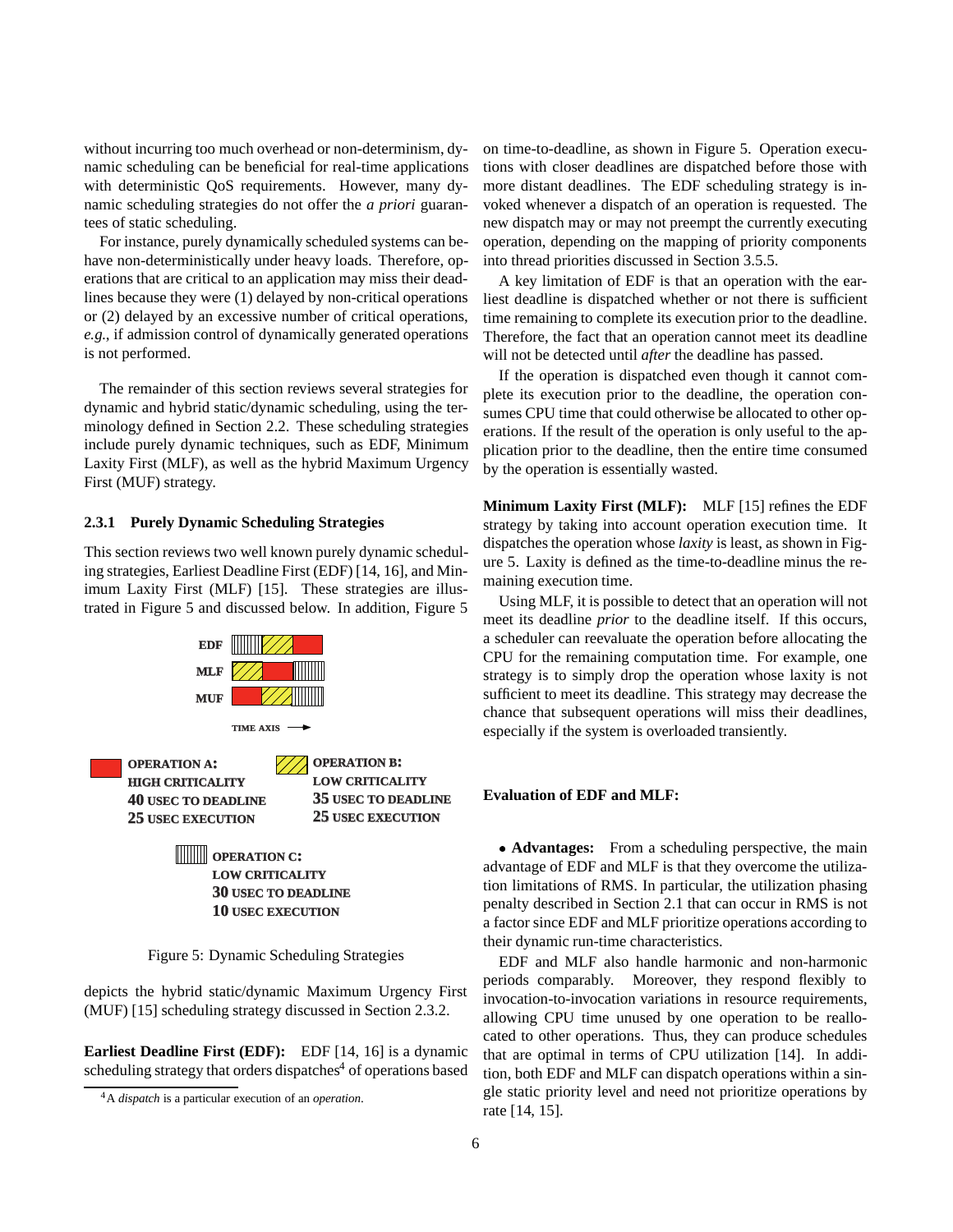without incurring too much overhead or non-determinism, dynamic scheduling can be beneficial for real-time applications with deterministic QoS requirements. However, many dynamic scheduling strategies do not offer the *a priori* guarantees of static scheduling.

For instance, purely dynamically scheduled systems can behave non-deterministically under heavy loads. Therefore, operations that are critical to an application may miss their deadlines because they were (1) delayed by non-critical operations or (2) delayed by an excessive number of critical operations, *e.g.*, if admission control of dynamically generated operations is not performed.

The remainder of this section reviews several strategies for dynamic and hybrid static/dynamic scheduling, using the terminology defined in Section 2.2. These scheduling strategies include purely dynamic techniques, such as EDF, Minimum Laxity First (MLF), as well as the hybrid Maximum Urgency First (MUF) strategy.

#### **2.3.1 Purely Dynamic Scheduling Strategies**

This section reviews two well known purely dynamic scheduling strategies, Earliest Deadline First (EDF) [14, 16], and Minimum Laxity First (MLF) [15]. These strategies are illustrated in Figure 5 and discussed below. In addition, Figure 5



Figure 5: Dynamic Scheduling Strategies

depicts the hybrid static/dynamic Maximum Urgency First (MUF) [15] scheduling strategy discussed in Section 2.3.2.

**Earliest Deadline First (EDF):** EDF [14, 16] is a dynamic scheduling strategy that orders dispatches<sup>4</sup> of operations based on time-to-deadline, as shown in Figure 5. Operation executions with closer deadlines are dispatched before those with more distant deadlines. The EDF scheduling strategy is invoked whenever a dispatch of an operation is requested. The new dispatch may or may not preempt the currently executing operation, depending on the mapping of priority components into thread priorities discussed in Section 3.5.5.

A key limitation of EDF is that an operation with the earliest deadline is dispatched whether or not there is sufficient time remaining to complete its execution prior to the deadline. Therefore, the fact that an operation cannot meet its deadline will not be detected until *after* the deadline has passed.

If the operation is dispatched even though it cannot complete its execution prior to the deadline, the operation consumes CPU time that could otherwise be allocated to other operations. If the result of the operation is only useful to the application prior to the deadline, then the entire time consumed by the operation is essentially wasted.

**Minimum Laxity First (MLF):** MLF [15] refines the EDF strategy by taking into account operation execution time. It dispatches the operation whose *laxity* is least, as shown in Figure 5. Laxity is defined as the time-to-deadline minus the remaining execution time.

Using MLF, it is possible to detect that an operation will not meet its deadline *prior* to the deadline itself. If this occurs, a scheduler can reevaluate the operation before allocating the CPU for the remaining computation time. For example, one strategy is to simply drop the operation whose laxity is not sufficient to meet its deadline. This strategy may decrease the chance that subsequent operations will miss their deadlines, especially if the system is overloaded transiently.

### **Evaluation of EDF and MLF:**

• **Advantages:** From a scheduling perspective, the main advantage of EDF and MLF is that they overcome the utilization limitations of RMS. In particular, the utilization phasing penalty described in Section 2.1 that can occur in RMS is not a factor since EDF and MLF prioritize operations according to their dynamic run-time characteristics.

EDF and MLF also handle harmonic and non-harmonic periods comparably. Moreover, they respond flexibly to invocation-to-invocation variations in resource requirements, allowing CPU time unused by one operation to be reallocated to other operations. Thus, they can produce schedules that are optimal in terms of CPU utilization [14]. In addition, both EDF and MLF can dispatch operations within a single static priority level and need not prioritize operations by rate [14, 15].

<sup>4</sup>A *dispatch* is a particular execution of an *operation*.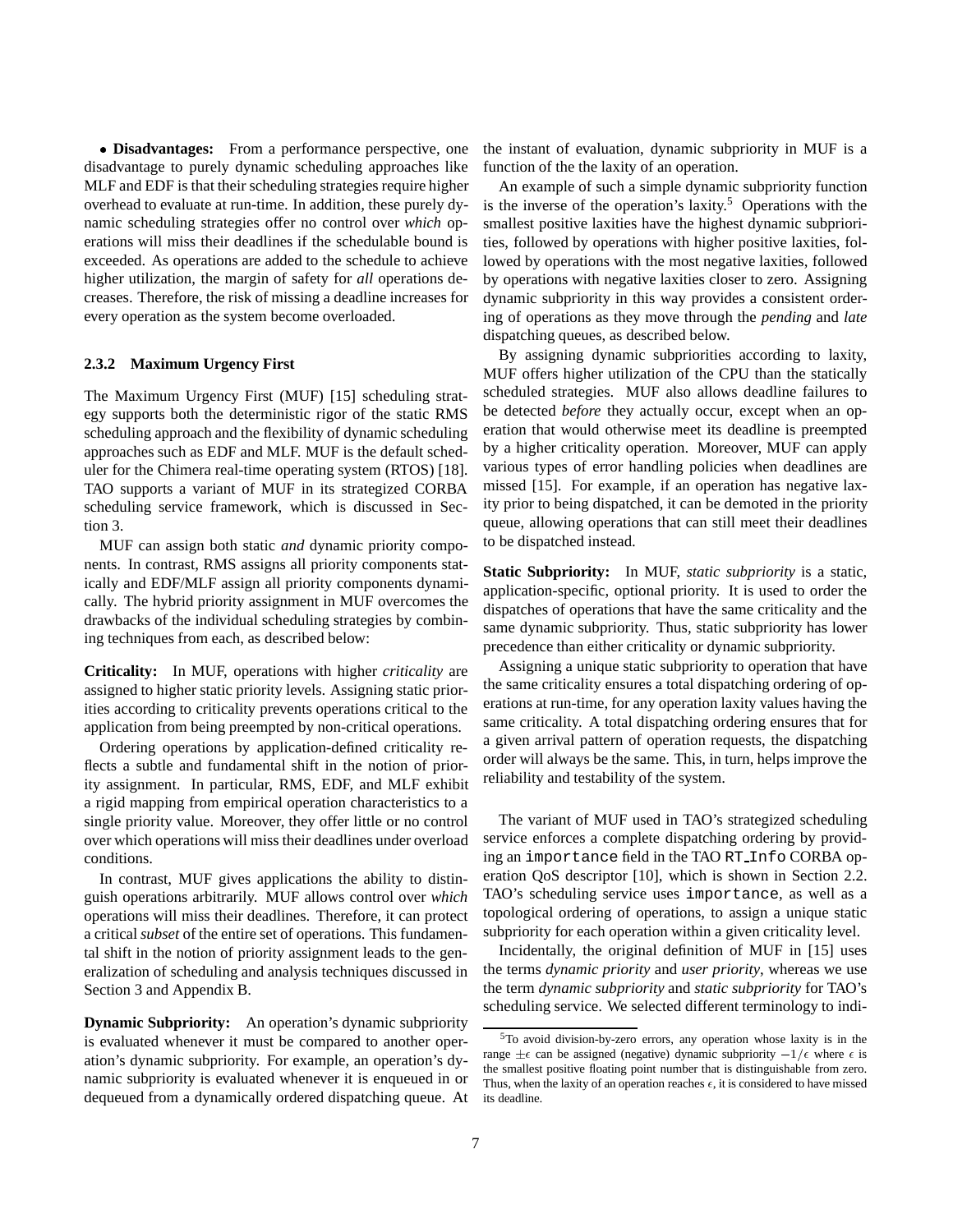**Disadvantages:** From a performance perspective, one disadvantage to purely dynamic scheduling approaches like MLF and EDF is that their scheduling strategies require higher overhead to evaluate at run-time. In addition, these purely dynamic scheduling strategies offer no control over *which* operations will miss their deadlines if the schedulable bound is exceeded. As operations are added to the schedule to achieve higher utilization, the margin of safety for *all* operations decreases. Therefore, the risk of missing a deadline increases for every operation as the system become overloaded.

#### **2.3.2 Maximum Urgency First**

The Maximum Urgency First (MUF) [15] scheduling strategy supports both the deterministic rigor of the static RMS scheduling approach and the flexibility of dynamic scheduling approaches such as EDF and MLF. MUF is the default scheduler for the Chimera real-time operating system (RTOS) [18]. TAO supports a variant of MUF in its strategized CORBA scheduling service framework, which is discussed in Section 3.

MUF can assign both static *and* dynamic priority components. In contrast, RMS assigns all priority components statically and EDF/MLF assign all priority components dynamically. The hybrid priority assignment in MUF overcomes the drawbacks of the individual scheduling strategies by combining techniques from each, as described below:

**Criticality:** In MUF, operations with higher *criticality* are assigned to higher static priority levels. Assigning static priorities according to criticality prevents operations critical to the application from being preempted by non-critical operations.

Ordering operations by application-defined criticality reflects a subtle and fundamental shift in the notion of priority assignment. In particular, RMS, EDF, and MLF exhibit a rigid mapping from empirical operation characteristics to a single priority value. Moreover, they offer little or no control over which operations will miss their deadlines under overload conditions.

In contrast, MUF gives applications the ability to distinguish operations arbitrarily. MUF allows control over *which* operations will miss their deadlines. Therefore, it can protect a critical *subset* of the entire set of operations. This fundamental shift in the notion of priority assignment leads to the generalization of scheduling and analysis techniques discussed in Section 3 and Appendix B.

**Dynamic Subpriority:** An operation's dynamic subpriority is evaluated whenever it must be compared to another operation's dynamic subpriority. For example, an operation's dynamic subpriority is evaluated whenever it is enqueued in or dequeued from a dynamically ordered dispatching queue. At the instant of evaluation, dynamic subpriority in MUF is a function of the the laxity of an operation.

An example of such a simple dynamic subpriority function is the inverse of the operation's laxity.<sup>5</sup> Operations with the smallest positive laxities have the highest dynamic subpriorities, followed by operations with higher positive laxities, followed by operations with the most negative laxities, followed by operations with negative laxities closer to zero. Assigning dynamic subpriority in this way provides a consistent ordering of operations as they move through the *pending* and *late* dispatching queues, as described below.

By assigning dynamic subpriorities according to laxity, MUF offers higher utilization of the CPU than the statically scheduled strategies. MUF also allows deadline failures to be detected *before* they actually occur, except when an operation that would otherwise meet its deadline is preempted by a higher criticality operation. Moreover, MUF can apply various types of error handling policies when deadlines are missed [15]. For example, if an operation has negative laxity prior to being dispatched, it can be demoted in the priority queue, allowing operations that can still meet their deadlines to be dispatched instead.

**Static Subpriority:** In MUF, *static subpriority* is a static, application-specific, optional priority. It is used to order the dispatches of operations that have the same criticality and the same dynamic subpriority. Thus, static subpriority has lower precedence than either criticality or dynamic subpriority.

Assigning a unique static subpriority to operation that have the same criticality ensures a total dispatching ordering of operations at run-time, for any operation laxity values having the same criticality. A total dispatching ordering ensures that for a given arrival pattern of operation requests, the dispatching order will always be the same. This, in turn, helps improve the reliability and testability of the system.

The variant of MUF used in TAO's strategized scheduling service enforces a complete dispatching ordering by providing an importance field in the TAO RT Info CORBA operation QoS descriptor [10], which is shown in Section 2.2. TAO's scheduling service uses importance, as well as a topological ordering of operations, to assign a unique static subpriority for each operation within a given criticality level.

Incidentally, the original definition of MUF in [15] uses the terms *dynamic priority* and *user priority*, whereas we use the term *dynamic subpriority* and *static subpriority* for TAO's scheduling service. We selected different terminology to indi-

<sup>5</sup>To avoid division-by-zero errors, any operation whose laxity is in the range  $\pm \epsilon$  can be assigned (negative) dynamic subpriority  $-1/\epsilon$  where  $\epsilon$  is the smallest positive floating point number that is distinguishable from zero. Thus, when the laxity of an operation reaches  $\epsilon$ , it is considered to have missed its deadline.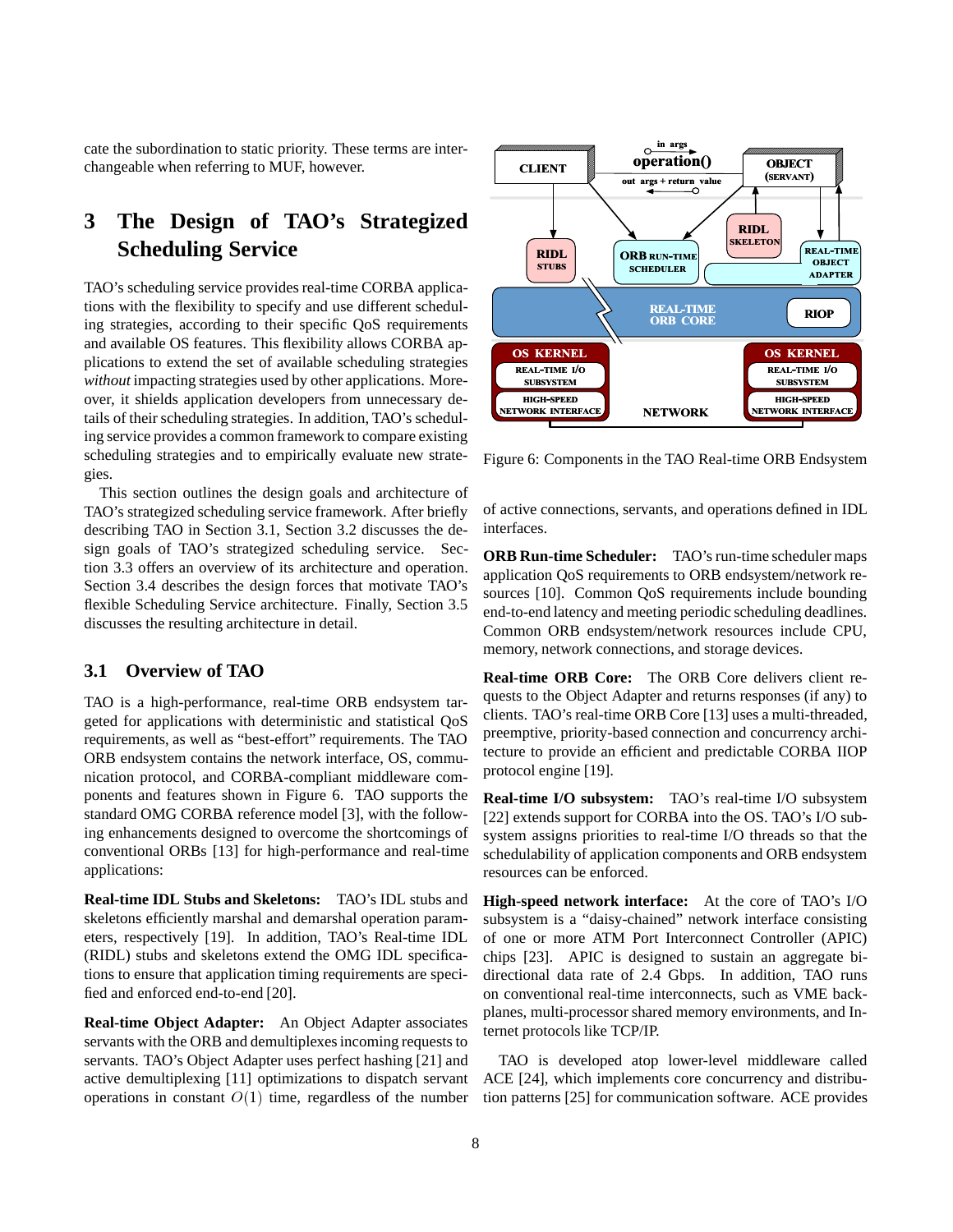cate the subordination to static priority. These terms are interchangeable when referring to MUF, however.

# **3 The Design of TAO's Strategized Scheduling Service**

TAO's scheduling service provides real-time CORBA applications with the flexibility to specify and use different scheduling strategies, according to their specific QoS requirements and available OS features. This flexibility allows CORBA applications to extend the set of available scheduling strategies *without* impacting strategies used by other applications. Moreover, it shields application developers from unnecessary details of their scheduling strategies. In addition, TAO's scheduling service provides a common framework to compare existing scheduling strategies and to empirically evaluate new strategies.

This section outlines the design goals and architecture of TAO's strategized scheduling service framework. After briefly describing TAO in Section 3.1, Section 3.2 discusses the design goals of TAO's strategized scheduling service. Section 3.3 offers an overview of its architecture and operation. Section 3.4 describes the design forces that motivate TAO's flexible Scheduling Service architecture. Finally, Section 3.5 discusses the resulting architecture in detail.

# **3.1 Overview of TAO**

TAO is a high-performance, real-time ORB endsystem targeted for applications with deterministic and statistical QoS requirements, as well as "best-effort" requirements. The TAO ORB endsystem contains the network interface, OS, communication protocol, and CORBA-compliant middleware components and features shown in Figure 6. TAO supports the standard OMG CORBA reference model [3], with the following enhancements designed to overcome the shortcomings of conventional ORBs [13] for high-performance and real-time applications:

**Real-time IDL Stubs and Skeletons:** TAO's IDL stubs and skeletons efficiently marshal and demarshal operation parameters, respectively [19]. In addition, TAO's Real-time IDL (RIDL) stubs and skeletons extend the OMG IDL specifications to ensure that application timing requirements are specified and enforced end-to-end [20].

**Real-time Object Adapter:** An Object Adapter associates servants with the ORB and demultiplexes incoming requests to servants. TAO's Object Adapter uses perfect hashing [21] and active demultiplexing [11] optimizations to dispatch servant operations in constant  $O(1)$  time, regardless of the number



Figure 6: Components in the TAO Real-time ORB Endsystem

of active connections, servants, and operations defined in IDL interfaces.

**ORB Run-time Scheduler:** TAO's run-time scheduler maps application QoS requirements to ORB endsystem/network resources [10]. Common QoS requirements include bounding end-to-end latency and meeting periodic scheduling deadlines. Common ORB endsystem/network resources include CPU, memory, network connections, and storage devices.

**Real-time ORB Core:** The ORB Core delivers client requests to the Object Adapter and returns responses (if any) to clients. TAO's real-time ORB Core [13] uses a multi-threaded, preemptive, priority-based connection and concurrency architecture to provide an efficient and predictable CORBA IIOP protocol engine [19].

**Real-time I/O subsystem:** TAO's real-time I/O subsystem [22] extends support for CORBA into the OS. TAO's I/O subsystem assigns priorities to real-time I/O threads so that the schedulability of application components and ORB endsystem resources can be enforced.

**High-speed network interface:** At the core of TAO's I/O subsystem is a "daisy-chained" network interface consisting of one or more ATM Port Interconnect Controller (APIC) chips [23]. APIC is designed to sustain an aggregate bidirectional data rate of 2.4 Gbps. In addition, TAO runs on conventional real-time interconnects, such as VME backplanes, multi-processor shared memory environments, and Internet protocols like TCP/IP.

TAO is developed atop lower-level middleware called ACE [24], which implements core concurrency and distribution patterns [25] for communication software. ACE provides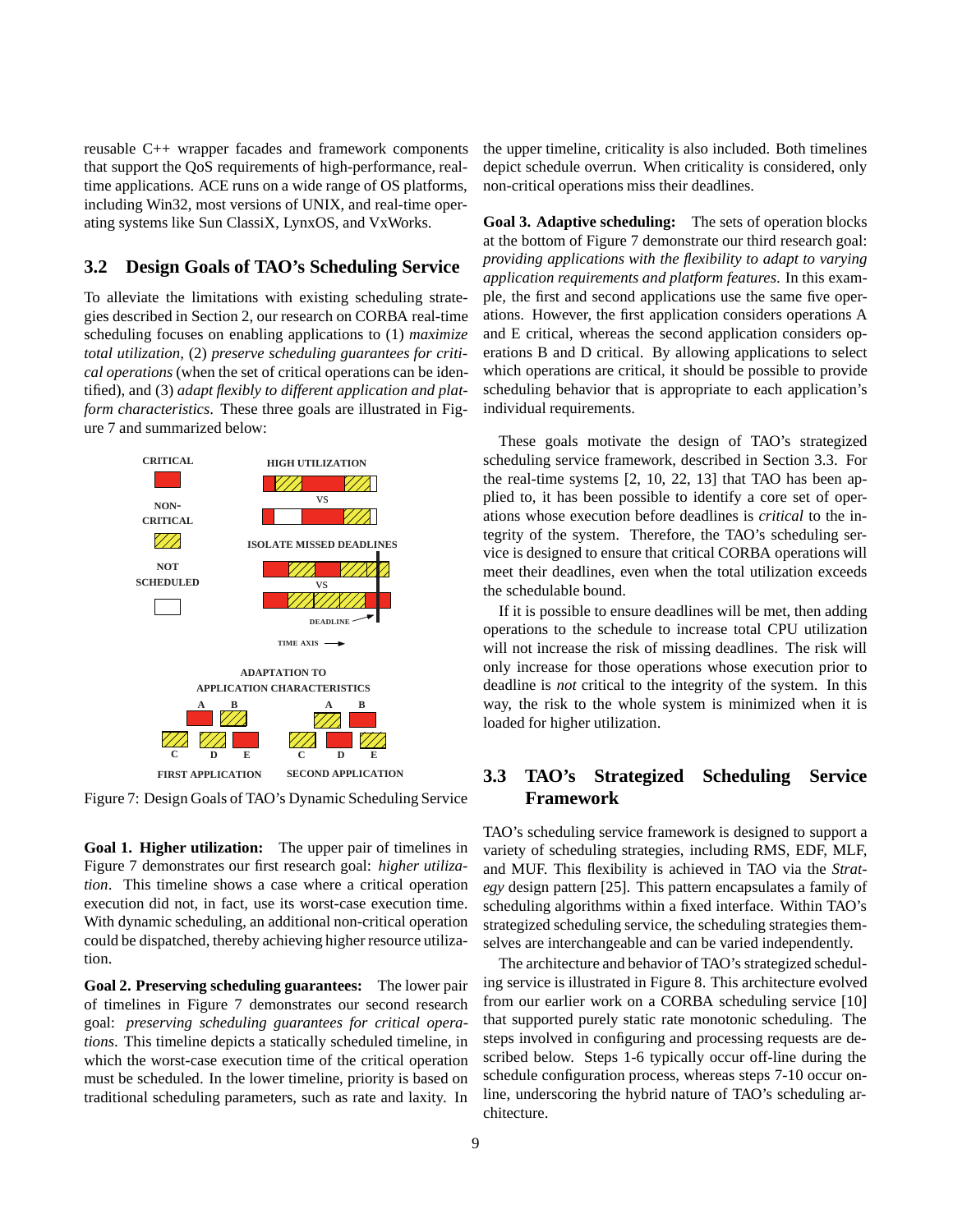reusable C++ wrapper facades and framework components that support the QoS requirements of high-performance, realtime applications. ACE runs on a wide range of OS platforms, including Win32, most versions of UNIX, and real-time operating systems like Sun ClassiX, LynxOS, and VxWorks.

### **3.2 Design Goals of TAO's Scheduling Service**

To alleviate the limitations with existing scheduling strategies described in Section 2, our research on CORBA real-time scheduling focuses on enabling applications to (1) *maximize total utilization*, (2) *preserve scheduling guarantees for critical operations* (when the set of critical operations can be identified), and (3) *adapt flexibly to different application and platform characteristics*. These three goals are illustrated in Figure 7 and summarized below:



Figure 7: Design Goals of TAO's Dynamic Scheduling Service

**Goal 1. Higher utilization:** The upper pair of timelines in Figure 7 demonstrates our first research goal: *higher utilization*. This timeline shows a case where a critical operation execution did not, in fact, use its worst-case execution time. With dynamic scheduling, an additional non-critical operation could be dispatched, thereby achieving higher resource utilization.

**Goal 2. Preserving scheduling guarantees:** The lower pair of timelines in Figure 7 demonstrates our second research goal: *preserving scheduling guarantees for critical operations*. This timeline depicts a statically scheduled timeline, in which the worst-case execution time of the critical operation must be scheduled. In the lower timeline, priority is based on traditional scheduling parameters, such as rate and laxity. In the upper timeline, criticality is also included. Both timelines depict schedule overrun. When criticality is considered, only non-critical operations miss their deadlines.

**Goal 3. Adaptive scheduling:** The sets of operation blocks at the bottom of Figure 7 demonstrate our third research goal: *providing applications with the flexibility to adapt to varying application requirements and platform features*. In this example, the first and second applications use the same five operations. However, the first application considers operations A and E critical, whereas the second application considers operations B and D critical. By allowing applications to select which operations are critical, it should be possible to provide scheduling behavior that is appropriate to each application's individual requirements.

These goals motivate the design of TAO's strategized scheduling service framework, described in Section 3.3. For the real-time systems [2, 10, 22, 13] that TAO has been applied to, it has been possible to identify a core set of operations whose execution before deadlines is *critical* to the integrity of the system. Therefore, the TAO's scheduling service is designed to ensure that critical CORBA operations will meet their deadlines, even when the total utilization exceeds the schedulable bound.

If it is possible to ensure deadlines will be met, then adding operations to the schedule to increase total CPU utilization will not increase the risk of missing deadlines. The risk will only increase for those operations whose execution prior to deadline is *not* critical to the integrity of the system. In this way, the risk to the whole system is minimized when it is loaded for higher utilization.

# **3.3 TAO's Strategized Scheduling Service Framework**

TAO's scheduling service framework is designed to support a variety of scheduling strategies, including RMS, EDF, MLF, and MUF. This flexibility is achieved in TAO via the *Strategy* design pattern [25]. This pattern encapsulates a family of scheduling algorithms within a fixed interface. Within TAO's strategized scheduling service, the scheduling strategies themselves are interchangeable and can be varied independently.

The architecture and behavior of TAO's strategized scheduling service is illustrated in Figure 8. This architecture evolved from our earlier work on a CORBA scheduling service [10] that supported purely static rate monotonic scheduling. The steps involved in configuring and processing requests are described below. Steps 1-6 typically occur off-line during the schedule configuration process, whereas steps 7-10 occur online, underscoring the hybrid nature of TAO's scheduling architecture.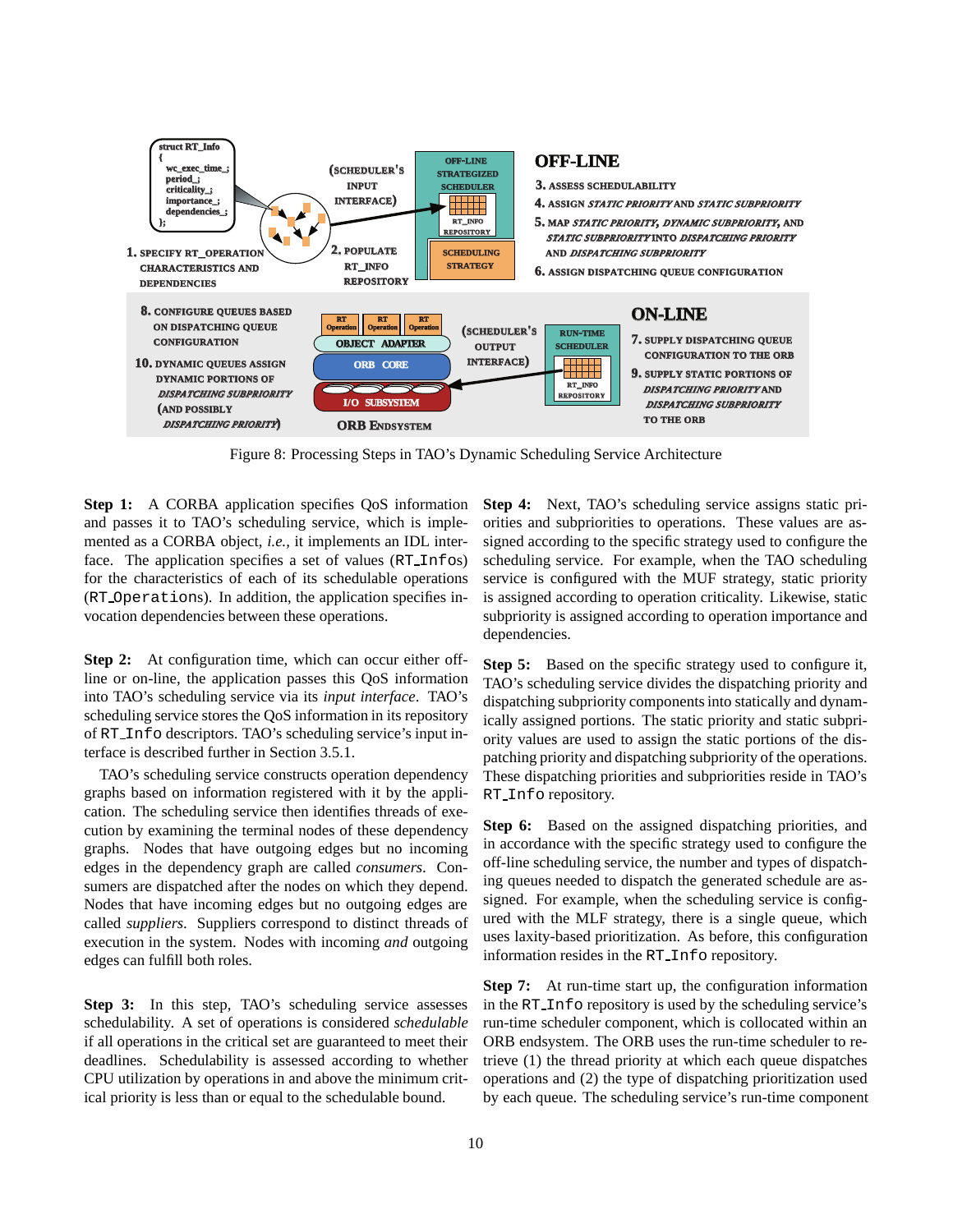

Figure 8: Processing Steps in TAO's Dynamic Scheduling Service Architecture

**Step 1:** A CORBA application specifies QoS information and passes it to TAO's scheduling service, which is implemented as a CORBA object, *i.e.*, it implements an IDL interface. The application specifies a set of values (RT Infos) for the characteristics of each of its schedulable operations (RT Operations). In addition, the application specifies invocation dependencies between these operations.

**Step 2:** At configuration time, which can occur either offline or on-line, the application passes this QoS information into TAO's scheduling service via its *input interface*. TAO's scheduling service stores the QoS information in its repository of RT Info descriptors. TAO's scheduling service's input interface is described further in Section 3.5.1.

TAO's scheduling service constructs operation dependency graphs based on information registered with it by the application. The scheduling service then identifies threads of execution by examining the terminal nodes of these dependency graphs. Nodes that have outgoing edges but no incoming edges in the dependency graph are called *consumers*. Consumers are dispatched after the nodes on which they depend. Nodes that have incoming edges but no outgoing edges are called *suppliers*. Suppliers correspond to distinct threads of execution in the system. Nodes with incoming *and* outgoing edges can fulfill both roles.

**Step 3:** In this step, TAO's scheduling service assesses schedulability. A set of operations is considered *schedulable* if all operations in the critical set are guaranteed to meet their deadlines. Schedulability is assessed according to whether CPU utilization by operations in and above the minimum critical priority is less than or equal to the schedulable bound.

**Step 4:** Next, TAO's scheduling service assigns static priorities and subpriorities to operations. These values are assigned according to the specific strategy used to configure the scheduling service. For example, when the TAO scheduling service is configured with the MUF strategy, static priority is assigned according to operation criticality. Likewise, static subpriority is assigned according to operation importance and dependencies.

**Step 5:** Based on the specific strategy used to configure it, TAO's scheduling service divides the dispatching priority and dispatching subpriority components into statically and dynamically assigned portions. The static priority and static subpriority values are used to assign the static portions of the dispatching priority and dispatching subpriority of the operations. These dispatching priorities and subpriorities reside in TAO's RT Info repository.

**Step 6:** Based on the assigned dispatching priorities, and in accordance with the specific strategy used to configure the off-line scheduling service, the number and types of dispatching queues needed to dispatch the generated schedule are assigned. For example, when the scheduling service is configured with the MLF strategy, there is a single queue, which uses laxity-based prioritization. As before, this configuration information resides in the RT Info repository.

**Step 7:** At run-time start up, the configuration information in the RT Info repository is used by the scheduling service's run-time scheduler component, which is collocated within an ORB endsystem. The ORB uses the run-time scheduler to retrieve (1) the thread priority at which each queue dispatches operations and (2) the type of dispatching prioritization used by each queue. The scheduling service's run-time component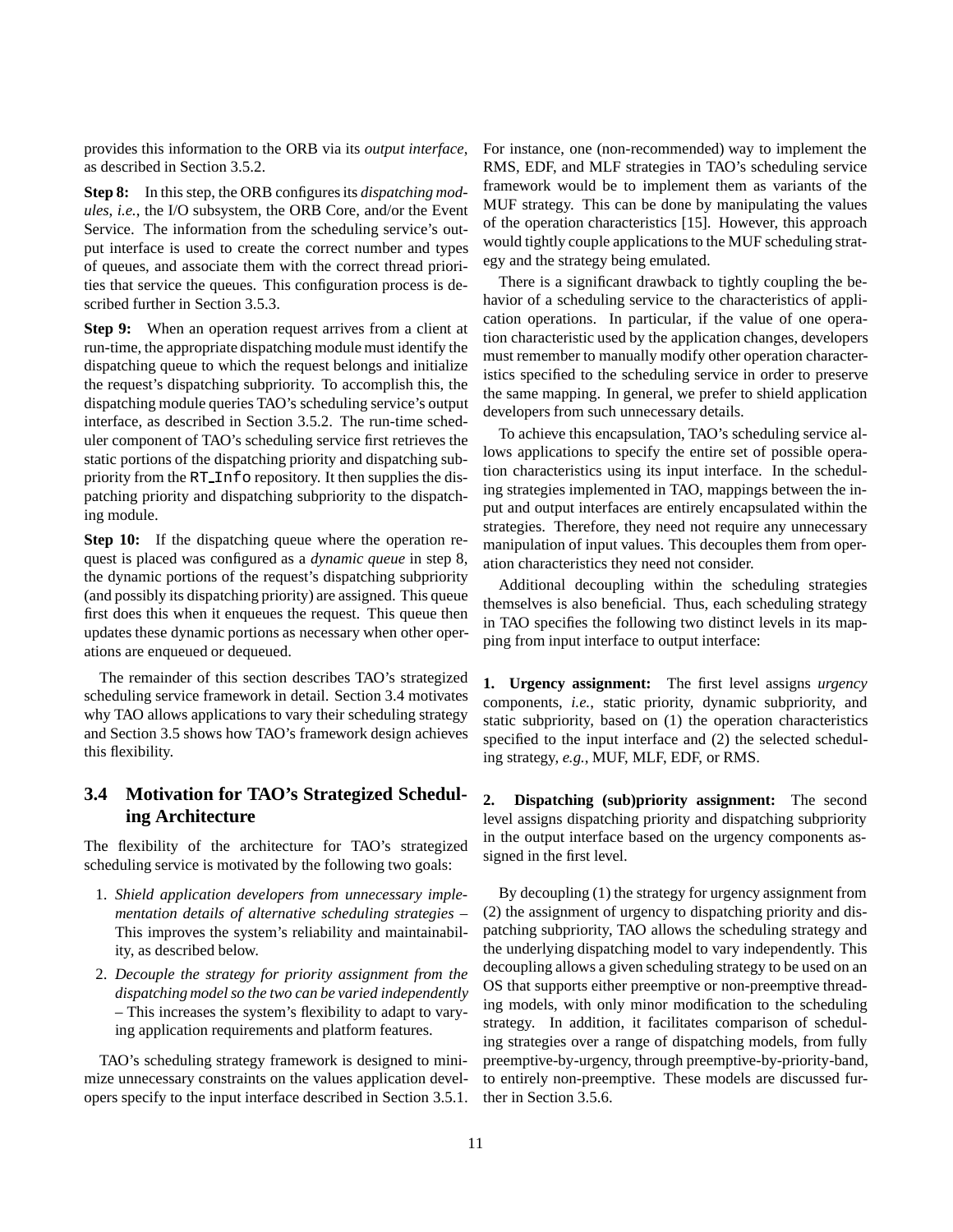provides this information to the ORB via its *output interface*, as described in Section 3.5.2.

**Step 8:** In this step, the ORB configures its *dispatching modules*, *i.e.*, the I/O subsystem, the ORB Core, and/or the Event Service. The information from the scheduling service's output interface is used to create the correct number and types of queues, and associate them with the correct thread priorities that service the queues. This configuration process is described further in Section 3.5.3.

**Step 9:** When an operation request arrives from a client at run-time, the appropriate dispatching module must identify the dispatching queue to which the request belongs and initialize the request's dispatching subpriority. To accomplish this, the dispatching module queries TAO's scheduling service's output interface, as described in Section 3.5.2. The run-time scheduler component of TAO's scheduling service first retrieves the static portions of the dispatching priority and dispatching subpriority from the RT Info repository. It then supplies the dispatching priority and dispatching subpriority to the dispatching module.

**Step 10:** If the dispatching queue where the operation request is placed was configured as a *dynamic queue* in step 8, the dynamic portions of the request's dispatching subpriority (and possibly its dispatching priority) are assigned. This queue first does this when it enqueues the request. This queue then updates these dynamic portions as necessary when other operations are enqueued or dequeued.

The remainder of this section describes TAO's strategized scheduling service framework in detail. Section 3.4 motivates why TAO allows applications to vary their scheduling strategy and Section 3.5 shows how TAO's framework design achieves this flexibility.

# **3.4 Motivation for TAO's Strategized Scheduling Architecture**

The flexibility of the architecture for TAO's strategized scheduling service is motivated by the following two goals:

- 1. *Shield application developers from unnecessary implementation details of alternative scheduling strategies* – This improves the system's reliability and maintainability, as described below.
- 2. *Decouple the strategy for priority assignment from the dispatching model so the two can be varied independently* – This increases the system's flexibility to adapt to varying application requirements and platform features.

TAO's scheduling strategy framework is designed to minimize unnecessary constraints on the values application developers specify to the input interface described in Section 3.5.1. For instance, one (non-recommended) way to implement the RMS, EDF, and MLF strategies in TAO's scheduling service framework would be to implement them as variants of the MUF strategy. This can be done by manipulating the values of the operation characteristics [15]. However, this approach would tightly couple applications to the MUF scheduling strategy and the strategy being emulated.

There is a significant drawback to tightly coupling the behavior of a scheduling service to the characteristics of application operations. In particular, if the value of one operation characteristic used by the application changes, developers must remember to manually modify other operation characteristics specified to the scheduling service in order to preserve the same mapping. In general, we prefer to shield application developers from such unnecessary details.

To achieve this encapsulation, TAO's scheduling service allows applications to specify the entire set of possible operation characteristics using its input interface. In the scheduling strategies implemented in TAO, mappings between the input and output interfaces are entirely encapsulated within the strategies. Therefore, they need not require any unnecessary manipulation of input values. This decouples them from operation characteristics they need not consider.

Additional decoupling within the scheduling strategies themselves is also beneficial. Thus, each scheduling strategy in TAO specifies the following two distinct levels in its mapping from input interface to output interface:

**1. Urgency assignment:** The first level assigns *urgency* components, *i.e.*, static priority, dynamic subpriority, and static subpriority, based on (1) the operation characteristics specified to the input interface and (2) the selected scheduling strategy, *e.g.*, MUF, MLF, EDF, or RMS.

**2. Dispatching (sub)priority assignment:** The second level assigns dispatching priority and dispatching subpriority in the output interface based on the urgency components assigned in the first level.

By decoupling (1) the strategy for urgency assignment from (2) the assignment of urgency to dispatching priority and dispatching subpriority, TAO allows the scheduling strategy and the underlying dispatching model to vary independently. This decoupling allows a given scheduling strategy to be used on an OS that supports either preemptive or non-preemptive threading models, with only minor modification to the scheduling strategy. In addition, it facilitates comparison of scheduling strategies over a range of dispatching models, from fully preemptive-by-urgency, through preemptive-by-priority-band, to entirely non-preemptive. These models are discussed further in Section 3.5.6.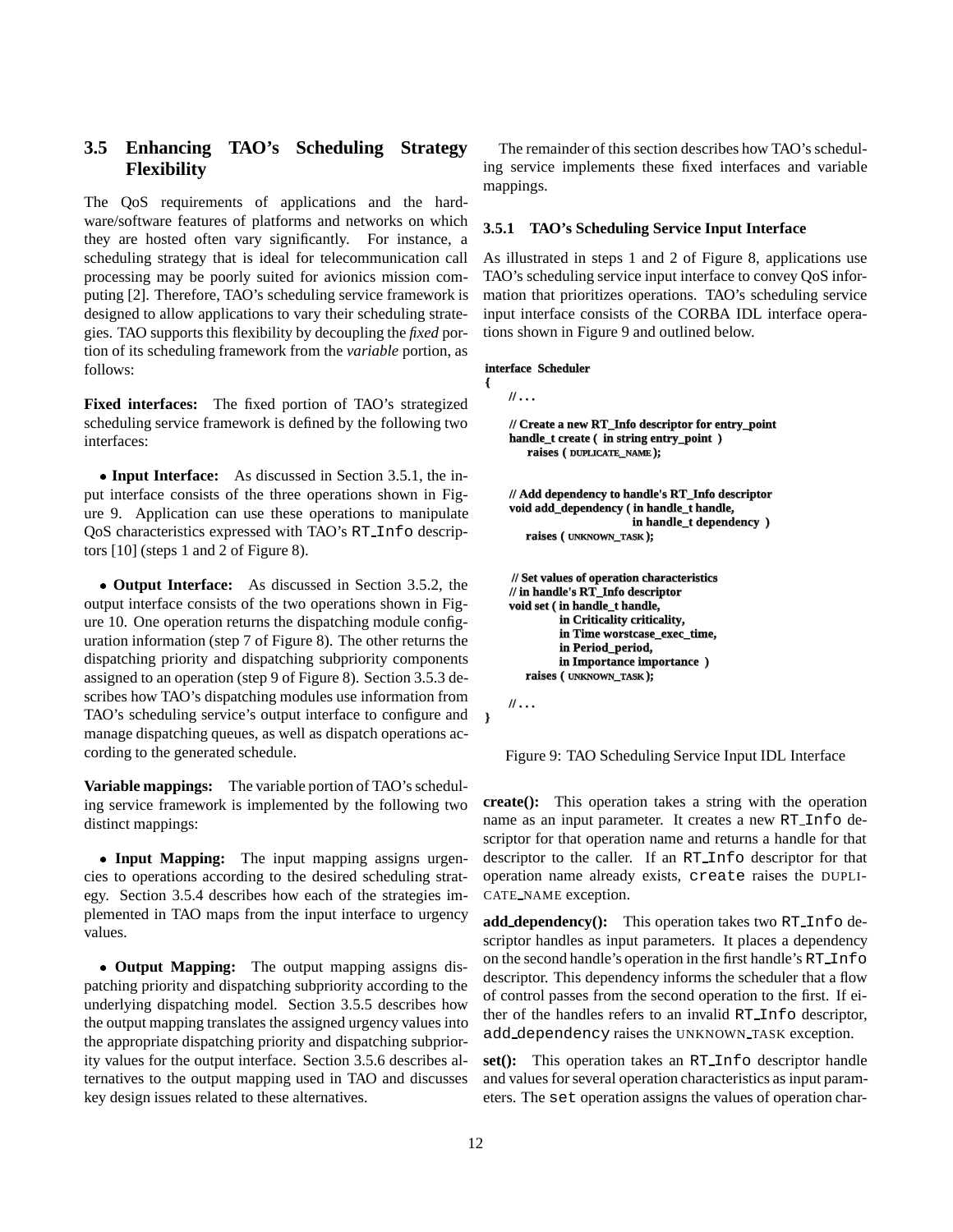# **3.5 Enhancing TAO's Scheduling Strategy Flexibility**

The QoS requirements of applications and the hardware/software features of platforms and networks on which they are hosted often vary significantly. For instance, a scheduling strategy that is ideal for telecommunication call processing may be poorly suited for avionics mission computing [2]. Therefore, TAO's scheduling service framework is designed to allow applications to vary their scheduling strategies. TAO supports this flexibility by decoupling the *fixed* portion of its scheduling framework from the *variable* portion, as follows:

**Fixed interfaces:** The fixed portion of TAO's strategized scheduling service framework is defined by the following two interfaces:

 **Input Interface:** As discussed in Section 3.5.1, the input interface consists of the three operations shown in Figure 9. Application can use these operations to manipulate QoS characteristics expressed with TAO's RT Info descriptors [10] (steps 1 and 2 of Figure 8).

 **Output Interface:** As discussed in Section 3.5.2, the output interface consists of the two operations shown in Figure 10. One operation returns the dispatching module configuration information (step 7 of Figure 8). The other returns the dispatching priority and dispatching subpriority components assigned to an operation (step 9 of Figure 8). Section 3.5.3 describes how TAO's dispatching modules use information from TAO's scheduling service's output interface to configure and manage dispatching queues, as well as dispatch operations according to the generated schedule.

**Variable mappings:** The variable portion of TAO's scheduling service framework is implemented by the following two distinct mappings:

 **Input Mapping:** The input mapping assigns urgencies to operations according to the desired scheduling strategy. Section 3.5.4 describes how each of the strategies implemented in TAO maps from the input interface to urgency values.

 **Output Mapping:** The output mapping assigns dispatching priority and dispatching subpriority according to the underlying dispatching model. Section 3.5.5 describes how the output mapping translates the assigned urgency values into the appropriate dispatching priority and dispatching subpriority values for the output interface. Section 3.5.6 describes alternatives to the output mapping used in TAO and discusses key design issues related to these alternatives.

The remainder of this section describes how TAO's scheduling service implements these fixed interfaces and variable mappings.

### **3.5.1 TAO's Scheduling Service Input Interface**

As illustrated in steps 1 and 2 of Figure 8, applications use TAO's scheduling service input interface to convey QoS information that prioritizes operations. TAO's scheduling service input interface consists of the CORBA IDL interface operations shown in Figure 9 and outlined below.

#### **interface Scheduler {**

 **// . . .**

 **// Create a new RT\_Info descriptor for entry\_point handle\_t create ( in string entry\_point ) raises ( DUPLICATE\_NAME );**

```
 // Add dependency to handle's RT_Info descriptor
void add_dependency ( in handle_t handle,
                       in handle_t dependency )
   raises ( UNKNOWN_TASK );
```

```
 // Set values of operation characteristics
// in handle's RT_Info descriptor
    void set ( in handle_t handle,
              in Criticality criticality,
             in Time worstcase_exec_time,
              in Period_period,
             in Importance importance )
       raises ( UNKNOWN_TASK );
```
 **// . . .**

**}**

Figure 9: TAO Scheduling Service Input IDL Interface

**create():** This operation takes a string with the operation name as an input parameter. It creates a new RT Info descriptor for that operation name and returns a handle for that descriptor to the caller. If an RT Info descriptor for that operation name already exists, create raises the DUPLI-CATE NAME exception.

**add dependency():** This operation takes two RT Info descriptor handles as input parameters. It places a dependency on the second handle's operation in the first handle's RT Info descriptor. This dependency informs the scheduler that a flow of control passes from the second operation to the first. If either of the handles refers to an invalid RT Info descriptor, add dependency raises the UNKNOWN TASK exception.

**set():** This operation takes an RT Info descriptor handle and values for several operation characteristics as input parameters. The set operation assigns the values of operation char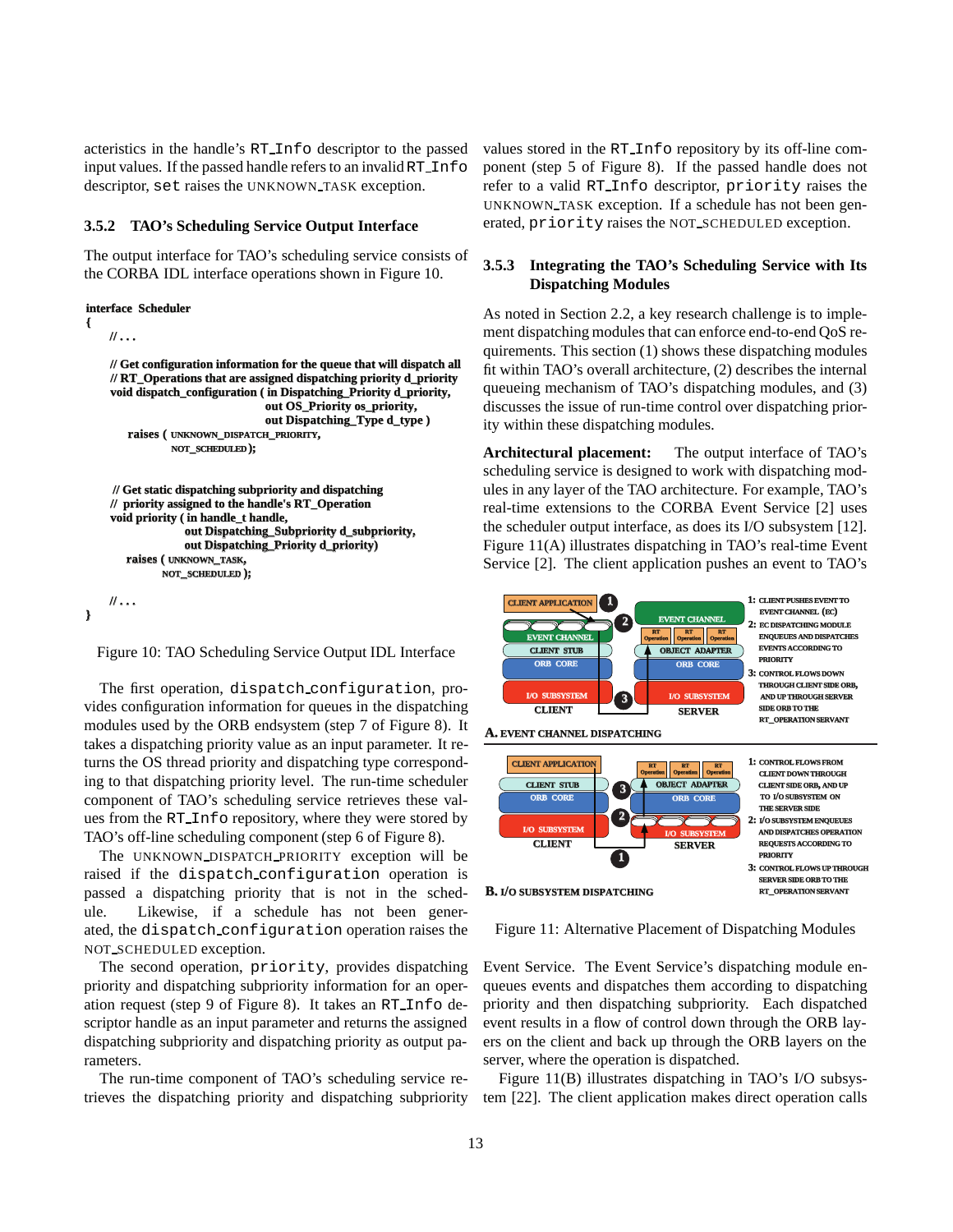acteristics in the handle's RT Info descriptor to the passed input values. If the passed handle refers to an invalid  $RT\_Info$ descriptor, set raises the UNKNOWN TASK exception.

#### **3.5.2 TAO's Scheduling Service Output Interface**

The output interface for TAO's scheduling service consists of the CORBA IDL interface operations shown in Figure 10.

#### **interface Scheduler**

```
 // . . .
```
**{**

**}**

 **// Get configuration information for the queue that will dispatch all // RT\_Operations that are assigned dispatching priority d\_priority void dispatch\_configuration ( in Dispatching\_Priority d\_priority, out OS\_Priority os\_priority, out Dispatching\_Type d\_type ) raises ( UNKNOWN\_DISPATCH\_PRIORITY, NOT\_SCHEDULED );**

```
 // Get static dispatching subpriority and dispatching
// priority assigned to the handle's RT_Operation
void priority ( in handle_t handle,
               out Dispatching_Subpriority d_subpriority,
               out Dispatching_Priority d_priority)
   raises ( UNKNOWN_TASK,
          NOT_SCHEDULED );
// . . .
```
Figure 10: TAO Scheduling Service Output IDL Interface

The first operation, dispatch configuration, provides configuration information for queues in the dispatching modules used by the ORB endsystem (step 7 of Figure 8). It takes a dispatching priority value as an input parameter. It returns the OS thread priority and dispatching type corresponding to that dispatching priority level. The run-time scheduler component of TAO's scheduling service retrieves these values from the RT Info repository, where they were stored by TAO's off-line scheduling component (step 6 of Figure 8).

The UNKNOWN DISPATCH PRIORITY exception will be raised if the dispatch configuration operation is passed a dispatching priority that is not in the schedule. Likewise, if a schedule has not been generated, the dispatch configuration operation raises the NOT SCHEDULED exception.

The second operation, priority, provides dispatching priority and dispatching subpriority information for an operation request (step 9 of Figure 8). It takes an RT Info descriptor handle as an input parameter and returns the assigned dispatching subpriority and dispatching priority as output parameters.

The run-time component of TAO's scheduling service retrieves the dispatching priority and dispatching subpriority values stored in the RT Info repository by its off-line component (step 5 of Figure 8). If the passed handle does not refer to a valid RT Info descriptor, priority raises the UNKNOWN TASK exception. If a schedule has not been generated, priority raises the NOT SCHEDULED exception.

## **3.5.3 Integrating the TAO's Scheduling Service with Its Dispatching Modules**

As noted in Section 2.2, a key research challenge is to implement dispatching modules that can enforce end-to-end QoS requirements. This section (1) shows these dispatching modules fit within TAO's overall architecture, (2) describes the internal queueing mechanism of TAO's dispatching modules, and (3) discusses the issue of run-time control over dispatching priority within these dispatching modules.

**Architectural placement:** The output interface of TAO's scheduling service is designed to work with dispatching modules in any layer of the TAO architecture. For example, TAO's real-time extensions to the CORBA Event Service [2] uses the scheduler output interface, as does its I/O subsystem [12]. Figure 11(A) illustrates dispatching in TAO's real-time Event Service [2]. The client application pushes an event to TAO's



Figure 11: Alternative Placement of Dispatching Modules

Event Service. The Event Service's dispatching module enqueues events and dispatches them according to dispatching priority and then dispatching subpriority. Each dispatched event results in a flow of control down through the ORB layers on the client and back up through the ORB layers on the server, where the operation is dispatched.

Figure 11(B) illustrates dispatching in TAO's I/O subsystem [22]. The client application makes direct operation calls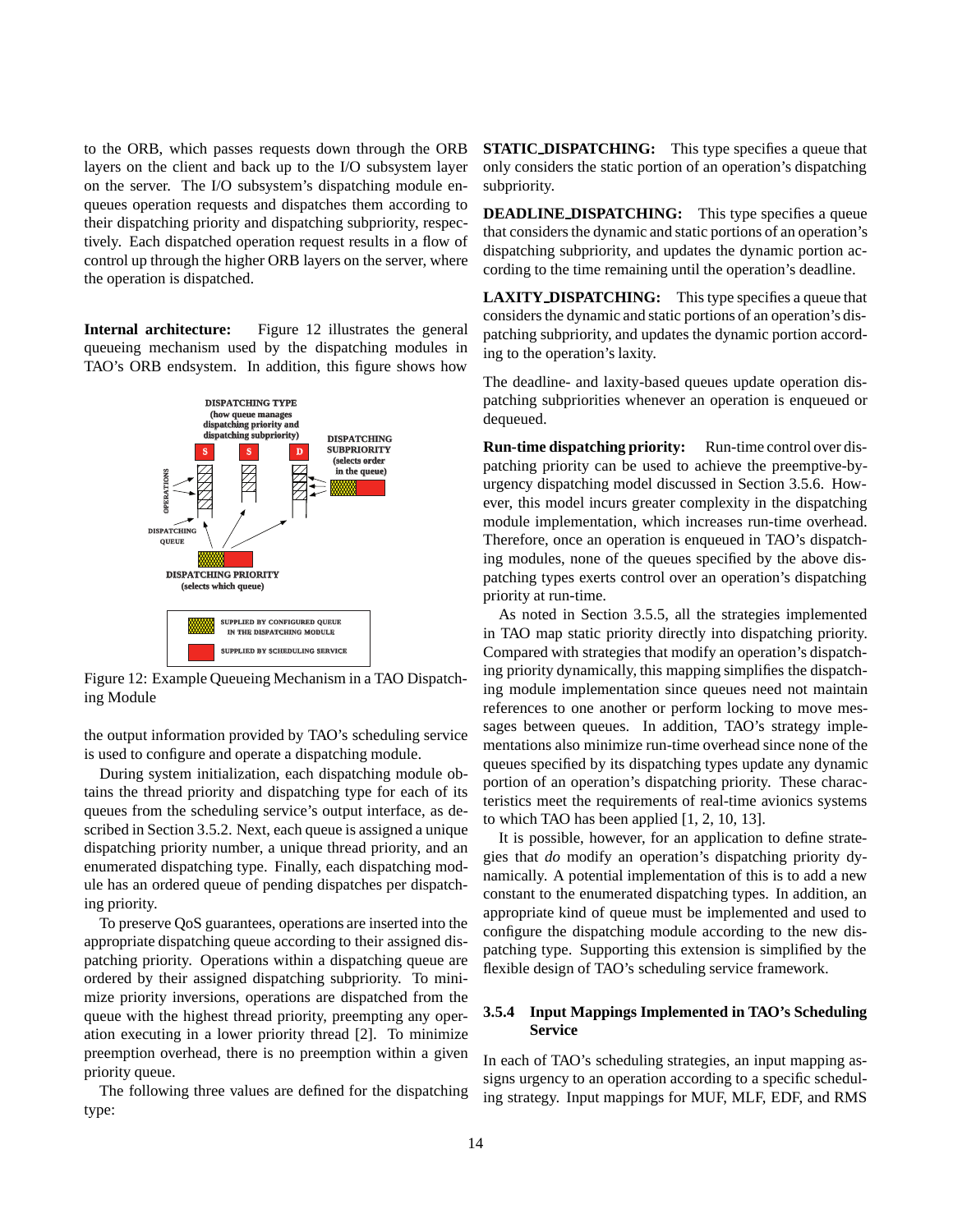to the ORB, which passes requests down through the ORB layers on the client and back up to the I/O subsystem layer on the server. The I/O subsystem's dispatching module enqueues operation requests and dispatches them according to their dispatching priority and dispatching subpriority, respectively. Each dispatched operation request results in a flow of control up through the higher ORB layers on the server, where the operation is dispatched.

**Internal architecture:** Figure 12 illustrates the general queueing mechanism used by the dispatching modules in TAO's ORB endsystem. In addition, this figure shows how



Figure 12: Example Queueing Mechanism in a TAO Dispatching Module

the output information provided by TAO's scheduling service is used to configure and operate a dispatching module.

During system initialization, each dispatching module obtains the thread priority and dispatching type for each of its queues from the scheduling service's output interface, as described in Section 3.5.2. Next, each queue is assigned a unique dispatching priority number, a unique thread priority, and an enumerated dispatching type. Finally, each dispatching module has an ordered queue of pending dispatches per dispatching priority.

To preserve QoS guarantees, operations are inserted into the appropriate dispatching queue according to their assigned dispatching priority. Operations within a dispatching queue are ordered by their assigned dispatching subpriority. To minimize priority inversions, operations are dispatched from the queue with the highest thread priority, preempting any operation executing in a lower priority thread [2]. To minimize preemption overhead, there is no preemption within a given priority queue.

The following three values are defined for the dispatching type:

**STATIC\_DISPATCHING:** This type specifies a queue that only considers the static portion of an operation's dispatching subpriority.

**DEADLINE\_DISPATCHING:** This type specifies a queue that considers the dynamic and static portions of an operation's dispatching subpriority, and updates the dynamic portion according to the time remaining until the operation's deadline.

**LAXITY DISPATCHING:** This type specifies a queue that considers the dynamic and static portions of an operation's dispatching subpriority, and updates the dynamic portion according to the operation's laxity.

The deadline- and laxity-based queues update operation dispatching subpriorities whenever an operation is enqueued or dequeued.

**Run-time dispatching priority:** Run-time control over dispatching priority can be used to achieve the preemptive-byurgency dispatching model discussed in Section 3.5.6. However, this model incurs greater complexity in the dispatching module implementation, which increases run-time overhead. Therefore, once an operation is enqueued in TAO's dispatching modules, none of the queues specified by the above dispatching types exerts control over an operation's dispatching priority at run-time.

As noted in Section 3.5.5, all the strategies implemented in TAO map static priority directly into dispatching priority. Compared with strategies that modify an operation's dispatching priority dynamically, this mapping simplifies the dispatching module implementation since queues need not maintain references to one another or perform locking to move messages between queues. In addition, TAO's strategy implementations also minimize run-time overhead since none of the queues specified by its dispatching types update any dynamic portion of an operation's dispatching priority. These characteristics meet the requirements of real-time avionics systems to which TAO has been applied [1, 2, 10, 13].

It is possible, however, for an application to define strategies that *do* modify an operation's dispatching priority dynamically. A potential implementation of this is to add a new constant to the enumerated dispatching types. In addition, an appropriate kind of queue must be implemented and used to configure the dispatching module according to the new dispatching type. Supporting this extension is simplified by the flexible design of TAO's scheduling service framework.

### **3.5.4 Input Mappings Implemented in TAO's Scheduling Service**

In each of TAO's scheduling strategies, an input mapping assigns urgency to an operation according to a specific scheduling strategy. Input mappings for MUF, MLF, EDF, and RMS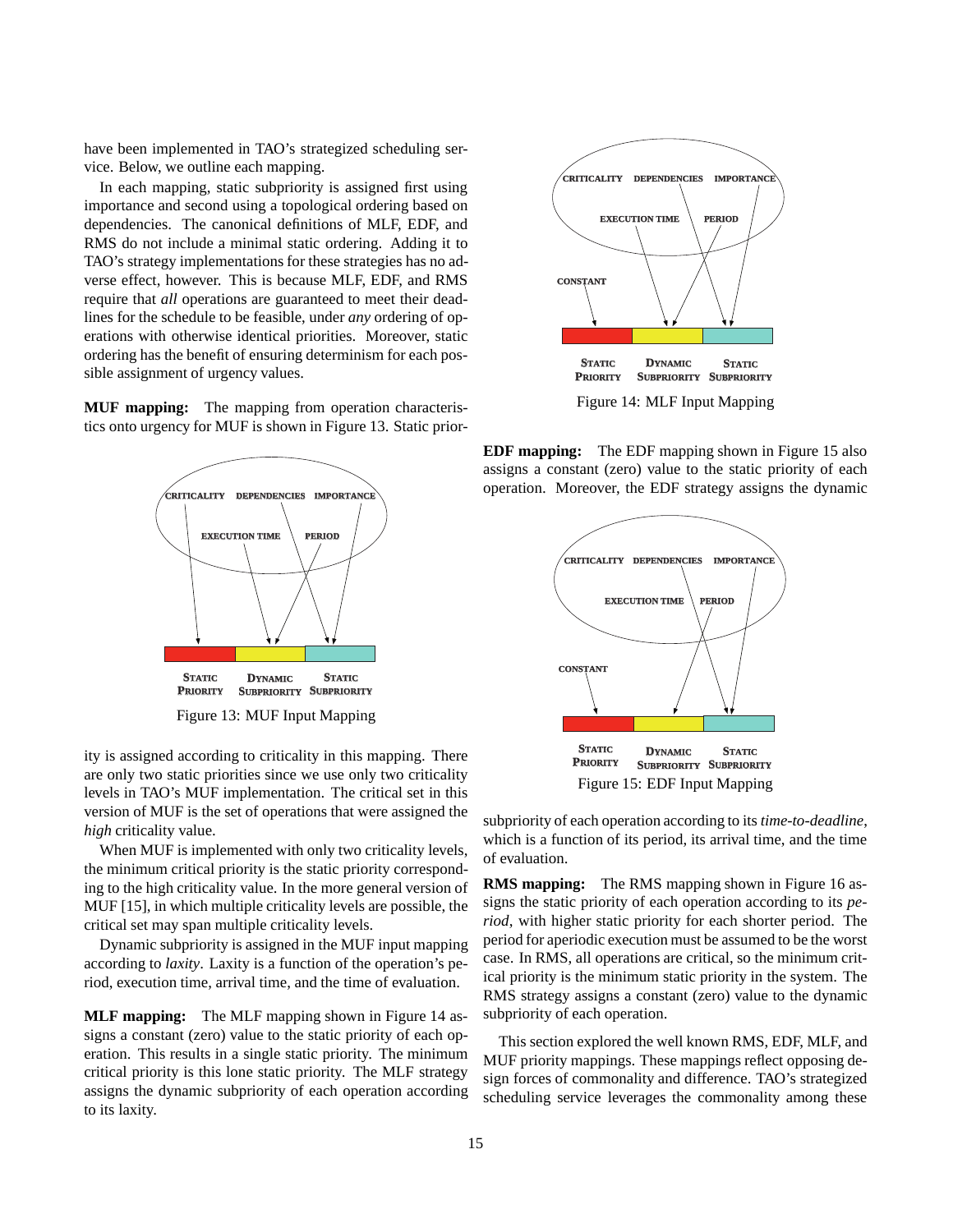have been implemented in TAO's strategized scheduling service. Below, we outline each mapping.

In each mapping, static subpriority is assigned first using importance and second using a topological ordering based on dependencies. The canonical definitions of MLF, EDF, and RMS do not include a minimal static ordering. Adding it to TAO's strategy implementations for these strategies has no adverse effect, however. This is because MLF, EDF, and RMS require that *all* operations are guaranteed to meet their deadlines for the schedule to be feasible, under *any* ordering of operations with otherwise identical priorities. Moreover, static ordering has the benefit of ensuring determinism for each possible assignment of urgency values.

**MUF mapping:** The mapping from operation characteristics onto urgency for MUF is shown in Figure 13. Static prior-



Figure 13: MUF Input Mapping

ity is assigned according to criticality in this mapping. There are only two static priorities since we use only two criticality levels in TAO's MUF implementation. The critical set in this version of MUF is the set of operations that were assigned the *high* criticality value.

When MUF is implemented with only two criticality levels, the minimum critical priority is the static priority corresponding to the high criticality value. In the more general version of MUF [15], in which multiple criticality levels are possible, the critical set may span multiple criticality levels.

Dynamic subpriority is assigned in the MUF input mapping according to *laxity*. Laxity is a function of the operation's period, execution time, arrival time, and the time of evaluation.

**MLF mapping:** The MLF mapping shown in Figure 14 assigns a constant (zero) value to the static priority of each operation. This results in a single static priority. The minimum critical priority is this lone static priority. The MLF strategy assigns the dynamic subpriority of each operation according to its laxity.



Figure 14: MLF Input Mapping

**EDF mapping:** The EDF mapping shown in Figure 15 also assigns a constant (zero) value to the static priority of each operation. Moreover, the EDF strategy assigns the dynamic



subpriority of each operation according to its *time-to-deadline*, which is a function of its period, its arrival time, and the time of evaluation.

**RMS mapping:** The RMS mapping shown in Figure 16 assigns the static priority of each operation according to its *period*, with higher static priority for each shorter period. The period for aperiodic execution must be assumed to be the worst case. In RMS, all operations are critical, so the minimum critical priority is the minimum static priority in the system. The RMS strategy assigns a constant (zero) value to the dynamic subpriority of each operation.

This section explored the well known RMS, EDF, MLF, and MUF priority mappings. These mappings reflect opposing design forces of commonality and difference. TAO's strategized scheduling service leverages the commonality among these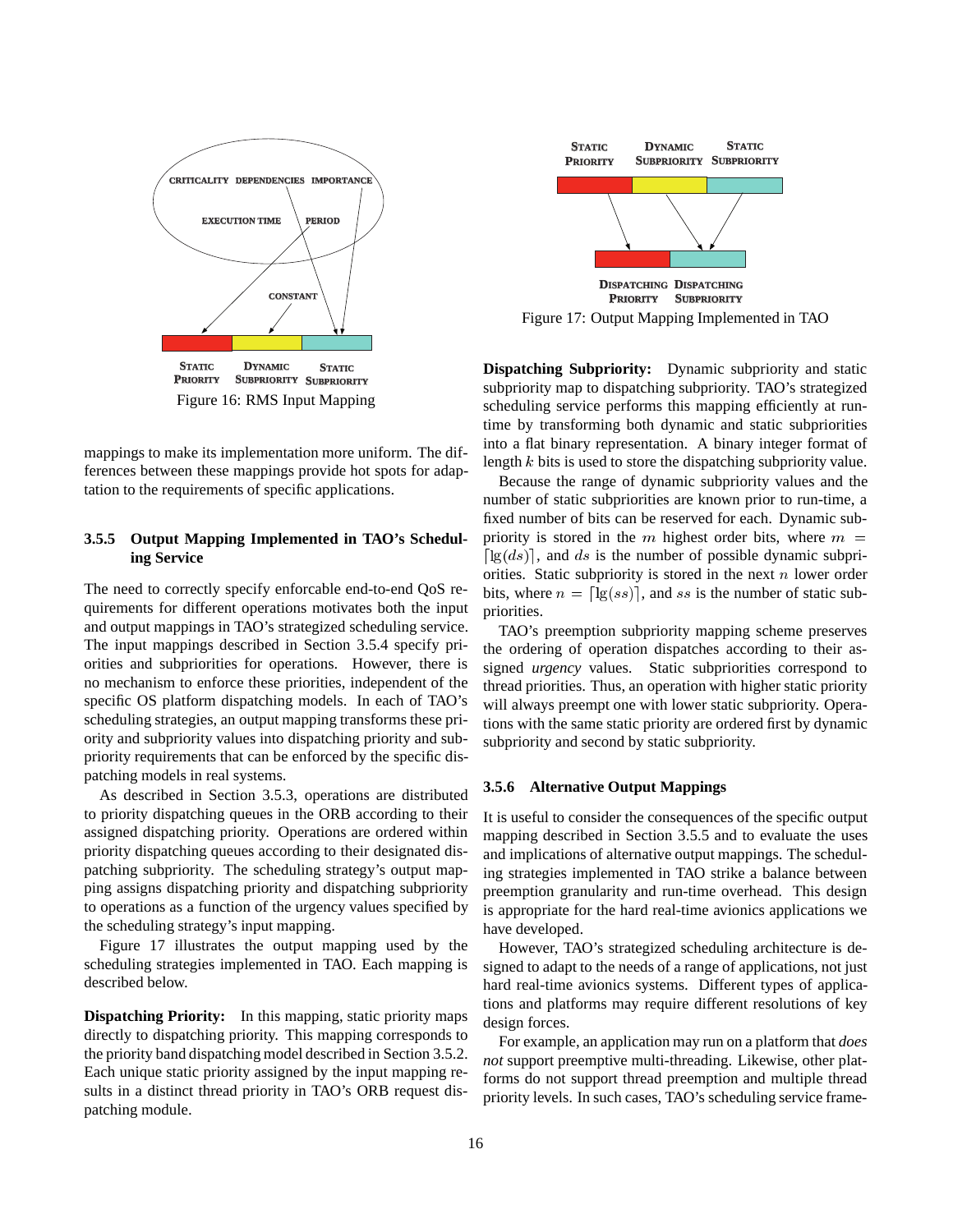

mappings to make its implementation more uniform. The differences between these mappings provide hot spots for adaptation to the requirements of specific applications.

### **3.5.5 Output Mapping Implemented in TAO's Scheduling Service**

The need to correctly specify enforcable end-to-end QoS requirements for different operations motivates both the input and output mappings in TAO's strategized scheduling service. The input mappings described in Section 3.5.4 specify priorities and subpriorities for operations. However, there is no mechanism to enforce these priorities, independent of the specific OS platform dispatching models. In each of TAO's scheduling strategies, an output mapping transforms these priority and subpriority values into dispatching priority and subpriority requirements that can be enforced by the specific dispatching models in real systems.

As described in Section 3.5.3, operations are distributed to priority dispatching queues in the ORB according to their assigned dispatching priority. Operations are ordered within priority dispatching queues according to their designated dispatching subpriority. The scheduling strategy's output mapping assigns dispatching priority and dispatching subpriority to operations as a function of the urgency values specified by the scheduling strategy's input mapping.

Figure 17 illustrates the output mapping used by the scheduling strategies implemented in TAO. Each mapping is described below.

**Dispatching Priority:** In this mapping, static priority maps directly to dispatching priority. This mapping corresponds to the priority band dispatching model described in Section 3.5.2. Each unique static priority assigned by the input mapping results in a distinct thread priority in TAO's ORB request dispatching module.



Figure 17: Output Mapping Implemented in TAO

**Dispatching Subpriority:** Dynamic subpriority and static subpriority map to dispatching subpriority. TAO's strategized scheduling service performs this mapping efficiently at runtime by transforming both dynamic and static subpriorities into a flat binary representation. A binary integer format of length <sup>k</sup> bits is used to store the dispatching subpriority value.

Because the range of dynamic subpriority values and the number of static subpriorities are known prior to run-time, a fixed number of bits can be reserved for each. Dynamic subpriority is stored in the m highest order bits, where  $m =$  $\lceil \lg(ds) \rceil$ , and ds is the number of possible dynamic subpriorities. Static subpriority is stored in the next  $n$  lower order bits, where  $n = \lfloor \lg(ss) \rfloor$ , and ss is the number of static subpriorities.

TAO's preemption subpriority mapping scheme preserves the ordering of operation dispatches according to their assigned *urgency* values. Static subpriorities correspond to thread priorities. Thus, an operation with higher static priority will always preempt one with lower static subpriority. Operations with the same static priority are ordered first by dynamic subpriority and second by static subpriority.

#### **3.5.6 Alternative Output Mappings**

It is useful to consider the consequences of the specific output mapping described in Section 3.5.5 and to evaluate the uses and implications of alternative output mappings. The scheduling strategies implemented in TAO strike a balance between preemption granularity and run-time overhead. This design is appropriate for the hard real-time avionics applications we have developed.

However, TAO's strategized scheduling architecture is designed to adapt to the needs of a range of applications, not just hard real-time avionics systems. Different types of applications and platforms may require different resolutions of key design forces.

For example, an application may run on a platform that *does not* support preemptive multi-threading. Likewise, other platforms do not support thread preemption and multiple thread priority levels. In such cases, TAO's scheduling service frame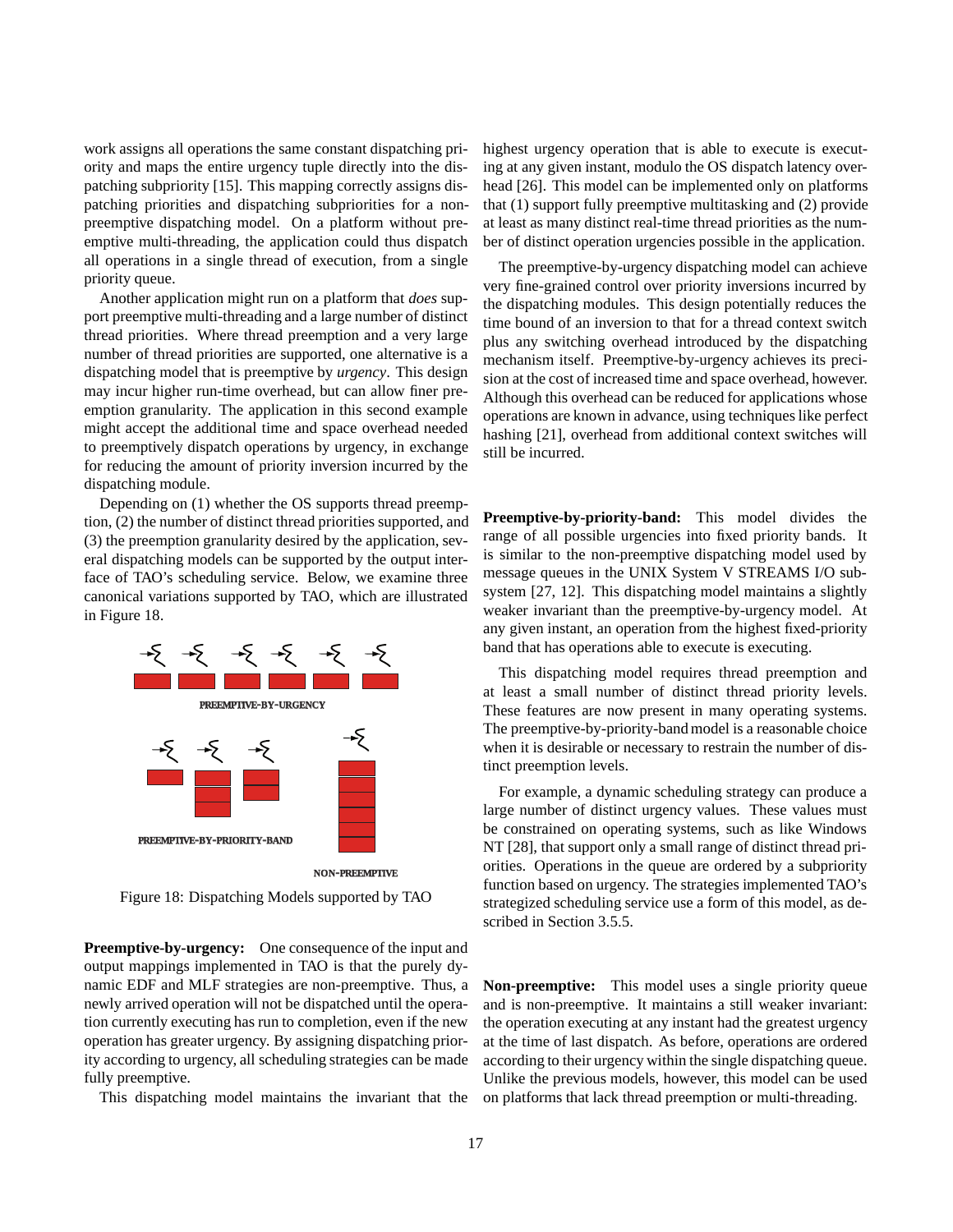work assigns all operations the same constant dispatching priority and maps the entire urgency tuple directly into the dispatching subpriority [15]. This mapping correctly assigns dispatching priorities and dispatching subpriorities for a nonpreemptive dispatching model. On a platform without preemptive multi-threading, the application could thus dispatch all operations in a single thread of execution, from a single priority queue.

Another application might run on a platform that *does* support preemptive multi-threading and a large number of distinct thread priorities. Where thread preemption and a very large number of thread priorities are supported, one alternative is a dispatching model that is preemptive by *urgency*. This design may incur higher run-time overhead, but can allow finer preemption granularity. The application in this second example might accept the additional time and space overhead needed to preemptively dispatch operations by urgency, in exchange for reducing the amount of priority inversion incurred by the dispatching module.

Depending on (1) whether the OS supports thread preemption, (2) the number of distinct thread priorities supported, and (3) the preemption granularity desired by the application, several dispatching models can be supported by the output interface of TAO's scheduling service. Below, we examine three canonical variations supported by TAO, which are illustrated in Figure 18.



Figure 18: Dispatching Models supported by TAO

**Preemptive-by-urgency:** One consequence of the input and output mappings implemented in TAO is that the purely dynamic EDF and MLF strategies are non-preemptive. Thus, a newly arrived operation will not be dispatched until the operation currently executing has run to completion, even if the new operation has greater urgency. By assigning dispatching priority according to urgency, all scheduling strategies can be made fully preemptive.

This dispatching model maintains the invariant that the

highest urgency operation that is able to execute is executing at any given instant, modulo the OS dispatch latency overhead [26]. This model can be implemented only on platforms that (1) support fully preemptive multitasking and (2) provide at least as many distinct real-time thread priorities as the number of distinct operation urgencies possible in the application.

The preemptive-by-urgency dispatching model can achieve very fine-grained control over priority inversions incurred by the dispatching modules. This design potentially reduces the time bound of an inversion to that for a thread context switch plus any switching overhead introduced by the dispatching mechanism itself. Preemptive-by-urgency achieves its precision at the cost of increased time and space overhead, however. Although this overhead can be reduced for applications whose operations are known in advance, using techniques like perfect hashing [21], overhead from additional context switches will still be incurred.

**Preemptive-by-priority-band:** This model divides the range of all possible urgencies into fixed priority bands. It is similar to the non-preemptive dispatching model used by message queues in the UNIX System V STREAMS I/O subsystem [27, 12]. This dispatching model maintains a slightly weaker invariant than the preemptive-by-urgency model. At any given instant, an operation from the highest fixed-priority band that has operations able to execute is executing.

This dispatching model requires thread preemption and at least a small number of distinct thread priority levels. These features are now present in many operating systems. The preemptive-by-priority-band model is a reasonable choice when it is desirable or necessary to restrain the number of distinct preemption levels.

For example, a dynamic scheduling strategy can produce a large number of distinct urgency values. These values must be constrained on operating systems, such as like Windows NT [28], that support only a small range of distinct thread priorities. Operations in the queue are ordered by a subpriority function based on urgency. The strategies implemented TAO's strategized scheduling service use a form of this model, as described in Section 3.5.5.

**Non-preemptive:** This model uses a single priority queue and is non-preemptive. It maintains a still weaker invariant: the operation executing at any instant had the greatest urgency at the time of last dispatch. As before, operations are ordered according to their urgency within the single dispatching queue. Unlike the previous models, however, this model can be used on platforms that lack thread preemption or multi-threading.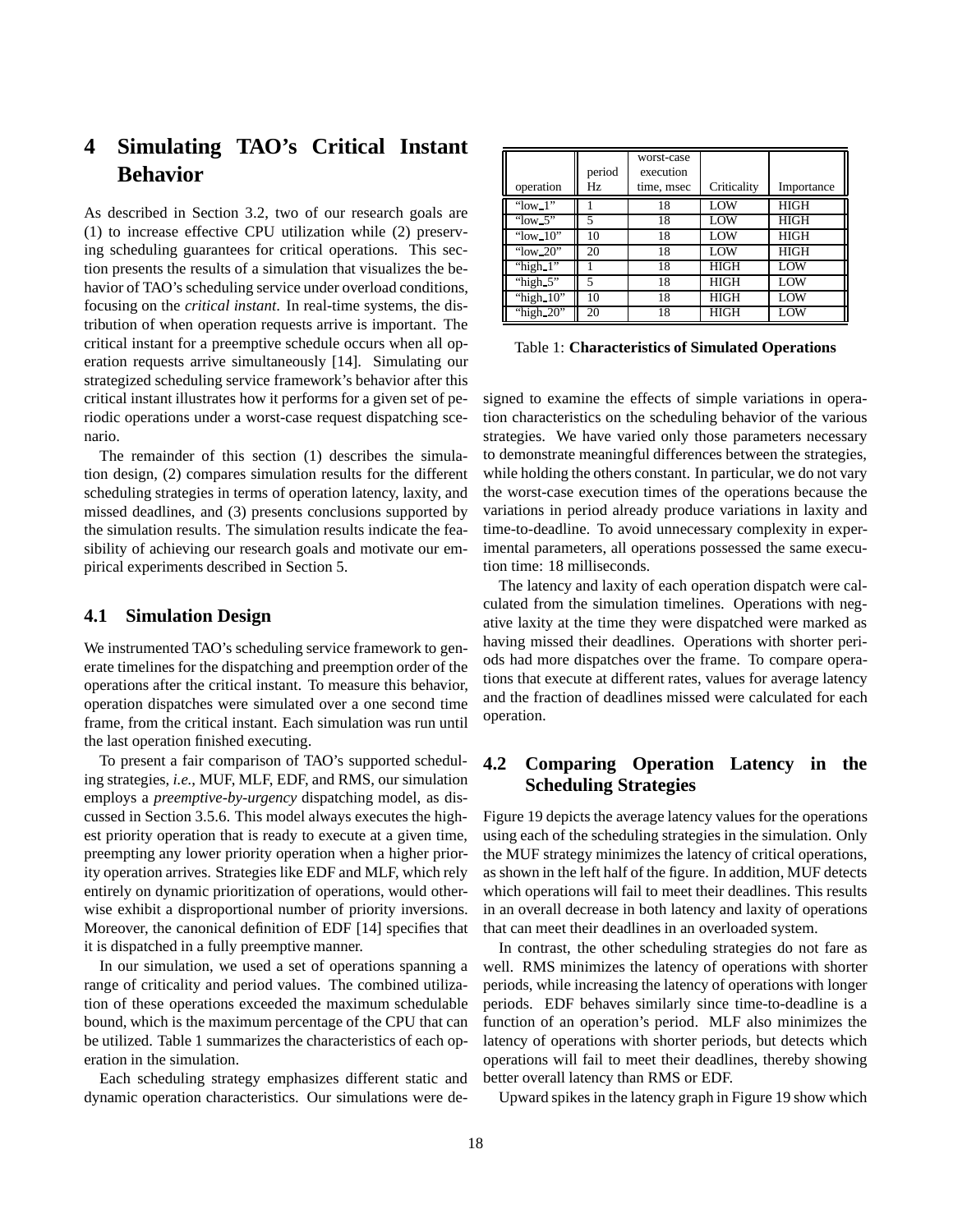# **4 Simulating TAO's Critical Instant Behavior**

As described in Section 3.2, two of our research goals are (1) to increase effective CPU utilization while (2) preserving scheduling guarantees for critical operations. This section presents the results of a simulation that visualizes the behavior of TAO's scheduling service under overload conditions, focusing on the *critical instant*. In real-time systems, the distribution of when operation requests arrive is important. The critical instant for a preemptive schedule occurs when all operation requests arrive simultaneously [14]. Simulating our strategized scheduling service framework's behavior after this critical instant illustrates how it performs for a given set of periodic operations under a worst-case request dispatching scenario.

The remainder of this section (1) describes the simulation design, (2) compares simulation results for the different scheduling strategies in terms of operation latency, laxity, and missed deadlines, and (3) presents conclusions supported by the simulation results. The simulation results indicate the feasibility of achieving our research goals and motivate our empirical experiments described in Section 5.

### **4.1 Simulation Design**

We instrumented TAO's scheduling service framework to generate timelines for the dispatching and preemption order of the operations after the critical instant. To measure this behavior, operation dispatches were simulated over a one second time frame, from the critical instant. Each simulation was run until the last operation finished executing.

To present a fair comparison of TAO's supported scheduling strategies, *i.e.*, MUF, MLF, EDF, and RMS, our simulation employs a *preemptive-by-urgency* dispatching model, as discussed in Section 3.5.6. This model always executes the highest priority operation that is ready to execute at a given time, preempting any lower priority operation when a higher priority operation arrives. Strategies like EDF and MLF, which rely entirely on dynamic prioritization of operations, would otherwise exhibit a disproportional number of priority inversions. Moreover, the canonical definition of EDF [14] specifies that it is dispatched in a fully preemptive manner.

In our simulation, we used a set of operations spanning a range of criticality and period values. The combined utilization of these operations exceeded the maximum schedulable bound, which is the maximum percentage of the CPU that can be utilized. Table 1 summarizes the characteristics of each operation in the simulation.

Each scheduling strategy emphasizes different static and dynamic operation characteristics. Our simulations were de-

| operation             | period<br>Hz | worst-case<br>execution<br>time, msec | Criticality | Importance  |
|-----------------------|--------------|---------------------------------------|-------------|-------------|
| " $low$ <sup>1"</sup> |              | 18                                    | LOW         | <b>HIGH</b> |
| " $low$ 5"            | 5            | 18                                    | LOW         | <b>HIGH</b> |
| " $low_10"$           | 10           | 18                                    | LOW         | <b>HIGH</b> |
| " $1$ ow $20$ "       | 20           | 18                                    | LOW         | HIGH        |
| "high $1$ "           |              | 18                                    | <b>HIGH</b> | LOW         |
| "high_5"              | 5            | 18                                    | <b>HIGH</b> | LOW         |
| "high $10$ "          | 10           | 18                                    | <b>HIGH</b> | LOW         |
| "high $20$ "          | 20           | 18                                    | <b>HIGH</b> | LOW         |

Table 1: **Characteristics of Simulated Operations**

signed to examine the effects of simple variations in operation characteristics on the scheduling behavior of the various strategies. We have varied only those parameters necessary to demonstrate meaningful differences between the strategies, while holding the others constant. In particular, we do not vary the worst-case execution times of the operations because the variations in period already produce variations in laxity and time-to-deadline. To avoid unnecessary complexity in experimental parameters, all operations possessed the same execution time: 18 milliseconds.

The latency and laxity of each operation dispatch were calculated from the simulation timelines. Operations with negative laxity at the time they were dispatched were marked as having missed their deadlines. Operations with shorter periods had more dispatches over the frame. To compare operations that execute at different rates, values for average latency and the fraction of deadlines missed were calculated for each operation.

# **4.2 Comparing Operation Latency in the Scheduling Strategies**

Figure 19 depicts the average latency values for the operations using each of the scheduling strategies in the simulation. Only the MUF strategy minimizes the latency of critical operations, as shown in the left half of the figure. In addition, MUF detects which operations will fail to meet their deadlines. This results in an overall decrease in both latency and laxity of operations that can meet their deadlines in an overloaded system.

In contrast, the other scheduling strategies do not fare as well. RMS minimizes the latency of operations with shorter periods, while increasing the latency of operations with longer periods. EDF behaves similarly since time-to-deadline is a function of an operation's period. MLF also minimizes the latency of operations with shorter periods, but detects which operations will fail to meet their deadlines, thereby showing better overall latency than RMS or EDF.

Upward spikes in the latency graph in Figure 19 show which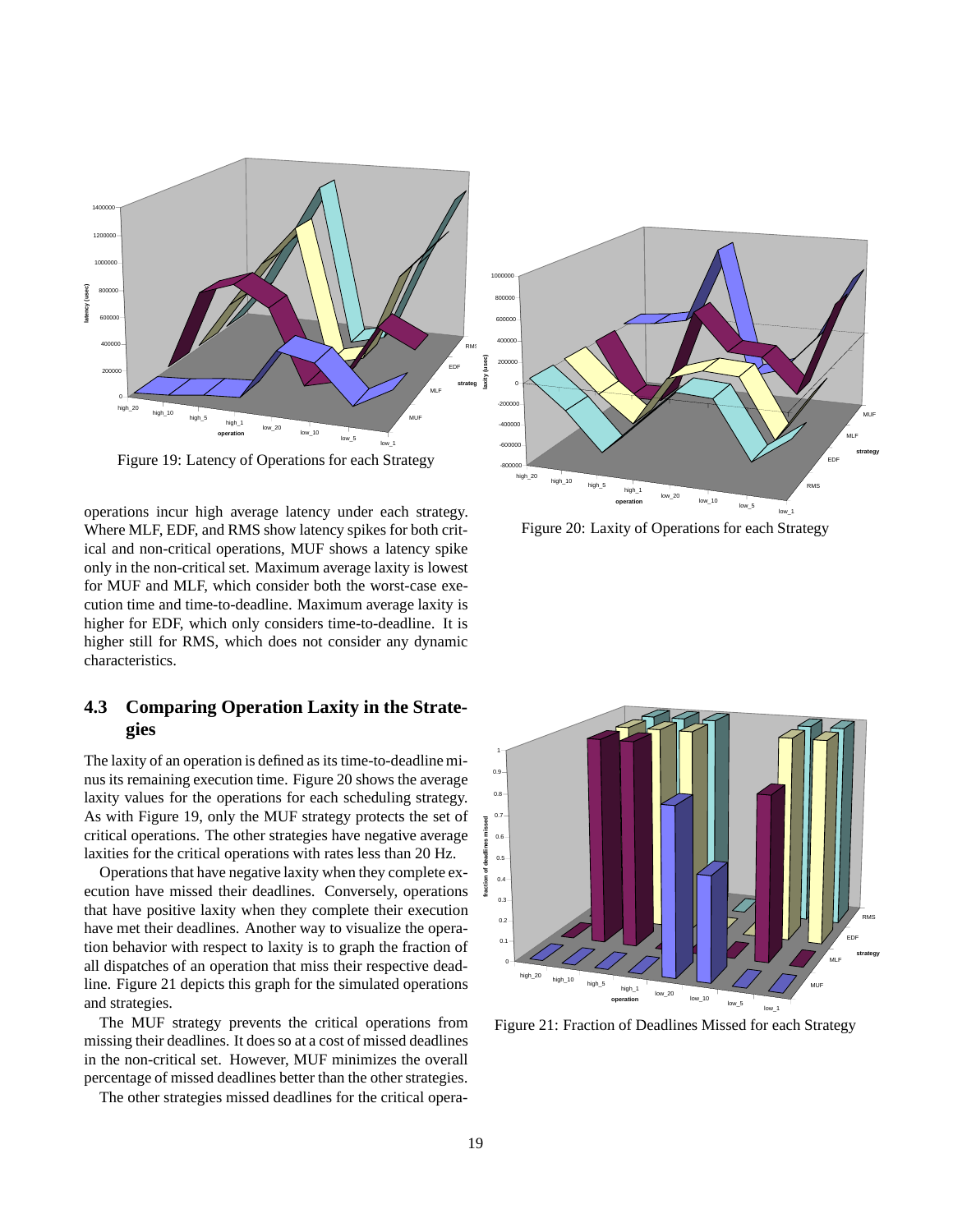

Figure 19: Latency of Operations for each Strategy

operations incur high average latency under each strategy. Where MLF, EDF, and RMS show latency spikes for both critical and non-critical operations, MUF shows a latency spike only in the non-critical set. Maximum average laxity is lowest for MUF and MLF, which consider both the worst-case execution time and time-to-deadline. Maximum average laxity is higher for EDF, which only considers time-to-deadline. It is higher still for RMS, which does not consider any dynamic characteristics.

# **4.3 Comparing Operation Laxity in the Strategies**

The laxity of an operation is defined as its time-to-deadline minus its remaining execution time. Figure 20 shows the average laxity values for the operations for each scheduling strategy. As with Figure 19, only the MUF strategy protects the set of critical operations. The other strategies have negative average laxities for the critical operations with rates less than 20 Hz.

Operations that have negative laxity when they complete execution have missed their deadlines. Conversely, operations that have positive laxity when they complete their execution have met their deadlines. Another way to visualize the operation behavior with respect to laxity is to graph the fraction of all dispatches of an operation that miss their respective deadline. Figure 21 depicts this graph for the simulated operations and strategies.

The MUF strategy prevents the critical operations from missing their deadlines. It does so at a cost of missed deadlines in the non-critical set. However, MUF minimizes the overall percentage of missed deadlines better than the other strategies.

The other strategies missed deadlines for the critical opera-



Figure 20: Laxity of Operations for each Strategy



Figure 21: Fraction of Deadlines Missed for each Strategy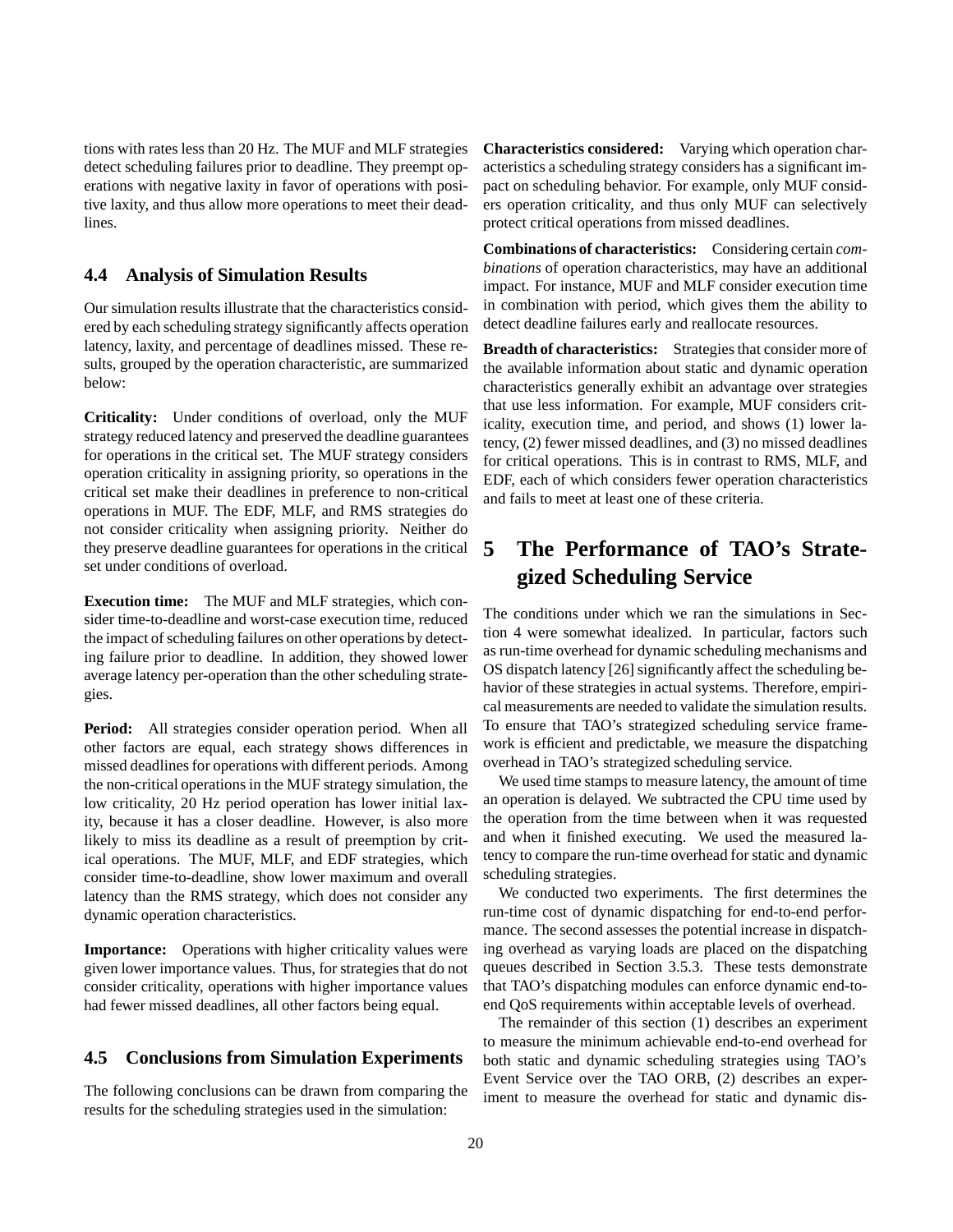tions with rates less than 20 Hz. The MUF and MLF strategies detect scheduling failures prior to deadline. They preempt operations with negative laxity in favor of operations with positive laxity, and thus allow more operations to meet their deadlines.

### **4.4 Analysis of Simulation Results**

Our simulation results illustrate that the characteristics considered by each scheduling strategy significantly affects operation latency, laxity, and percentage of deadlines missed. These results, grouped by the operation characteristic, are summarized below:

**Criticality:** Under conditions of overload, only the MUF strategy reduced latency and preserved the deadline guarantees for operations in the critical set. The MUF strategy considers operation criticality in assigning priority, so operations in the critical set make their deadlines in preference to non-critical operations in MUF. The EDF, MLF, and RMS strategies do not consider criticality when assigning priority. Neither do they preserve deadline guarantees for operations in the critical set under conditions of overload.

**Execution time:** The MUF and MLF strategies, which consider time-to-deadline and worst-case execution time, reduced the impact of scheduling failures on other operations by detecting failure prior to deadline. In addition, they showed lower average latency per-operation than the other scheduling strategies.

**Period:** All strategies consider operation period. When all other factors are equal, each strategy shows differences in missed deadlines for operations with different periods. Among the non-critical operations in the MUF strategy simulation, the low criticality, 20 Hz period operation has lower initial laxity, because it has a closer deadline. However, is also more likely to miss its deadline as a result of preemption by critical operations. The MUF, MLF, and EDF strategies, which consider time-to-deadline, show lower maximum and overall latency than the RMS strategy, which does not consider any dynamic operation characteristics.

**Importance:** Operations with higher criticality values were given lower importance values. Thus, for strategies that do not consider criticality, operations with higher importance values had fewer missed deadlines, all other factors being equal.

## **4.5 Conclusions from Simulation Experiments**

The following conclusions can be drawn from comparing the results for the scheduling strategies used in the simulation:

**Characteristics considered:** Varying which operation characteristics a scheduling strategy considers has a significant impact on scheduling behavior. For example, only MUF considers operation criticality, and thus only MUF can selectively protect critical operations from missed deadlines.

**Combinations of characteristics:** Considering certain *combinations* of operation characteristics, may have an additional impact. For instance, MUF and MLF consider execution time in combination with period, which gives them the ability to detect deadline failures early and reallocate resources.

**Breadth of characteristics:** Strategies that consider more of the available information about static and dynamic operation characteristics generally exhibit an advantage over strategies that use less information. For example, MUF considers criticality, execution time, and period, and shows (1) lower latency, (2) fewer missed deadlines, and (3) no missed deadlines for critical operations. This is in contrast to RMS, MLF, and EDF, each of which considers fewer operation characteristics and fails to meet at least one of these criteria.

# **5 The Performance of TAO's Strategized Scheduling Service**

The conditions under which we ran the simulations in Section 4 were somewhat idealized. In particular, factors such as run-time overhead for dynamic scheduling mechanisms and OS dispatch latency [26] significantly affect the scheduling behavior of these strategies in actual systems. Therefore, empirical measurements are needed to validate the simulation results. To ensure that TAO's strategized scheduling service framework is efficient and predictable, we measure the dispatching overhead in TAO's strategized scheduling service.

We used time stamps to measure latency, the amount of time an operation is delayed. We subtracted the CPU time used by the operation from the time between when it was requested and when it finished executing. We used the measured latency to compare the run-time overhead for static and dynamic scheduling strategies.

We conducted two experiments. The first determines the run-time cost of dynamic dispatching for end-to-end performance. The second assesses the potential increase in dispatching overhead as varying loads are placed on the dispatching queues described in Section 3.5.3. These tests demonstrate that TAO's dispatching modules can enforce dynamic end-toend QoS requirements within acceptable levels of overhead.

The remainder of this section (1) describes an experiment to measure the minimum achievable end-to-end overhead for both static and dynamic scheduling strategies using TAO's Event Service over the TAO ORB, (2) describes an experiment to measure the overhead for static and dynamic dis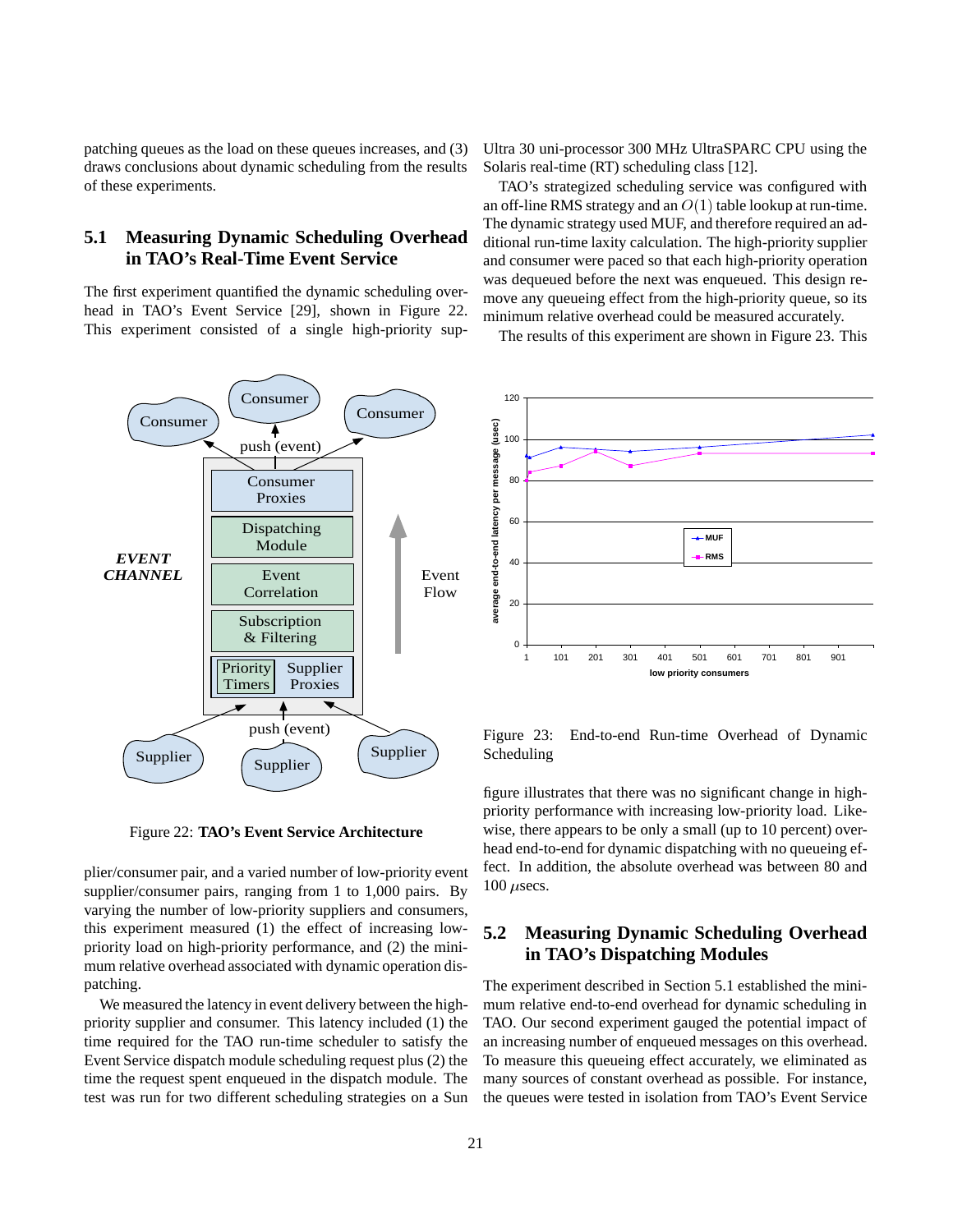patching queues as the load on these queues increases, and (3) draws conclusions about dynamic scheduling from the results of these experiments.

## **5.1 Measuring Dynamic Scheduling Overhead in TAO's Real-Time Event Service**

The first experiment quantified the dynamic scheduling overhead in TAO's Event Service [29], shown in Figure 22. This experiment consisted of a single high-priority sup-



Figure 22: **TAO's Event Service Architecture**

plier/consumer pair, and a varied number of low-priority event supplier/consumer pairs, ranging from 1 to 1,000 pairs. By varying the number of low-priority suppliers and consumers, this experiment measured (1) the effect of increasing lowpriority load on high-priority performance, and (2) the minimum relative overhead associated with dynamic operation dispatching.

We measured the latency in event delivery between the highpriority supplier and consumer. This latency included (1) the time required for the TAO run-time scheduler to satisfy the Event Service dispatch module scheduling request plus (2) the time the request spent enqueued in the dispatch module. The test was run for two different scheduling strategies on a Sun

Ultra 30 uni-processor 300 MHz UltraSPARC CPU using the Solaris real-time (RT) scheduling class [12].

TAO's strategized scheduling service was configured with an off-line RMS strategy and an  $O(1)$  table lookup at run-time. The dynamic strategy used MUF, and therefore required an additional run-time laxity calculation. The high-priority supplier and consumer were paced so that each high-priority operation was dequeued before the next was enqueued. This design remove any queueing effect from the high-priority queue, so its minimum relative overhead could be measured accurately.

The results of this experiment are shown in Figure 23. This



Figure 23: End-to-end Run-time Overhead of Dynamic Scheduling

figure illustrates that there was no significant change in highpriority performance with increasing low-priority load. Likewise, there appears to be only a small (up to 10 percent) overhead end-to-end for dynamic dispatching with no queueing effect. In addition, the absolute overhead was between 80 and 100  $\mu$ secs.

# **5.2 Measuring Dynamic Scheduling Overhead in TAO's Dispatching Modules**

The experiment described in Section 5.1 established the minimum relative end-to-end overhead for dynamic scheduling in TAO. Our second experiment gauged the potential impact of an increasing number of enqueued messages on this overhead. To measure this queueing effect accurately, we eliminated as many sources of constant overhead as possible. For instance, the queues were tested in isolation from TAO's Event Service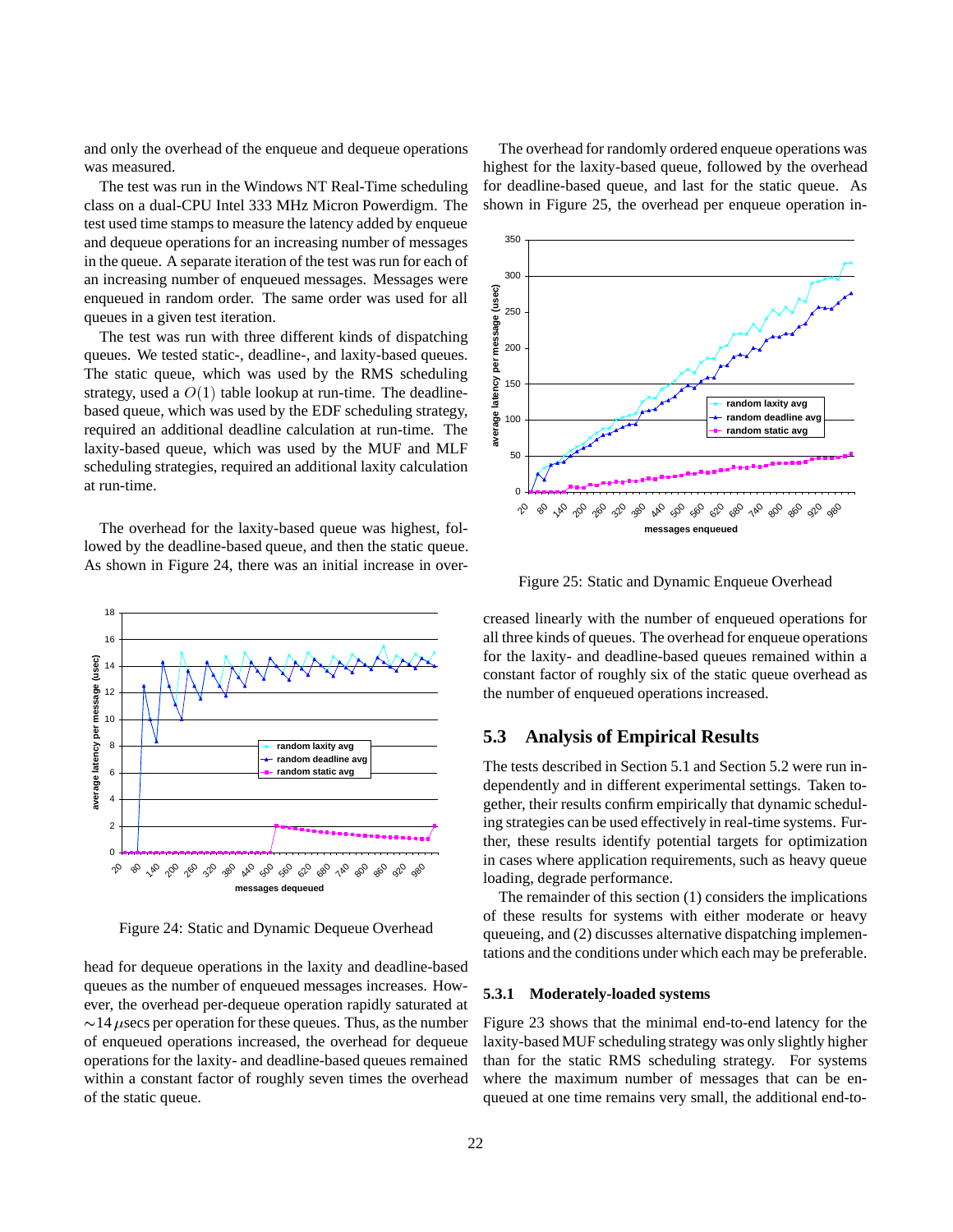and only the overhead of the enqueue and dequeue operations was measured.

The test was run in the Windows NT Real-Time scheduling class on a dual-CPU Intel 333 MHz Micron Powerdigm. The test used time stamps to measure the latency added by enqueue and dequeue operations for an increasing number of messages in the queue. A separate iteration of the test was run for each of an increasing number of enqueued messages. Messages were enqueued in random order. The same order was used for all queues in a given test iteration.

The test was run with three different kinds of dispatching queues. We tested static-, deadline-, and laxity-based queues. The static queue, which was used by the RMS scheduling strategy, used a  $O(1)$  table lookup at run-time. The deadlinebased queue, which was used by the EDF scheduling strategy, required an additional deadline calculation at run-time. The laxity-based queue, which was used by the MUF and MLF scheduling strategies, required an additional laxity calculation at run-time.

The overhead for the laxity-based queue was highest, followed by the deadline-based queue, and then the static queue. As shown in Figure 24, there was an initial increase in over-



Figure 24: Static and Dynamic Dequeue Overhead

head for dequeue operations in the laxity and deadline-based queues as the number of enqueued messages increases. However, the overhead per-dequeue operation rapidly saturated at  $\sim$  14  $\mu$ secs per operation for these queues. Thus, as the number of enqueued operations increased, the overhead for dequeue operations for the laxity- and deadline-based queues remained within a constant factor of roughly seven times the overhead of the static queue.

The overhead for randomly ordered enqueue operations was highest for the laxity-based queue, followed by the overhead for deadline-based queue, and last for the static queue. As shown in Figure 25, the overhead per enqueue operation in-



Figure 25: Static and Dynamic Enqueue Overhead

creased linearly with the number of enqueued operations for all three kinds of queues. The overhead for enqueue operations for the laxity- and deadline-based queues remained within a constant factor of roughly six of the static queue overhead as the number of enqueued operations increased.

## **5.3 Analysis of Empirical Results**

The tests described in Section 5.1 and Section 5.2 were run independently and in different experimental settings. Taken together, their results confirm empirically that dynamic scheduling strategies can be used effectively in real-time systems. Further, these results identify potential targets for optimization in cases where application requirements, such as heavy queue loading, degrade performance.

The remainder of this section (1) considers the implications of these results for systems with either moderate or heavy queueing, and (2) discusses alternative dispatching implementations and the conditions under which each may be preferable.

#### **5.3.1 Moderately-loaded systems**

Figure 23 shows that the minimal end-to-end latency for the laxity-based MUF scheduling strategy was only slightly higher than for the static RMS scheduling strategy. For systems where the maximum number of messages that can be enqueued at one time remains very small, the additional end-to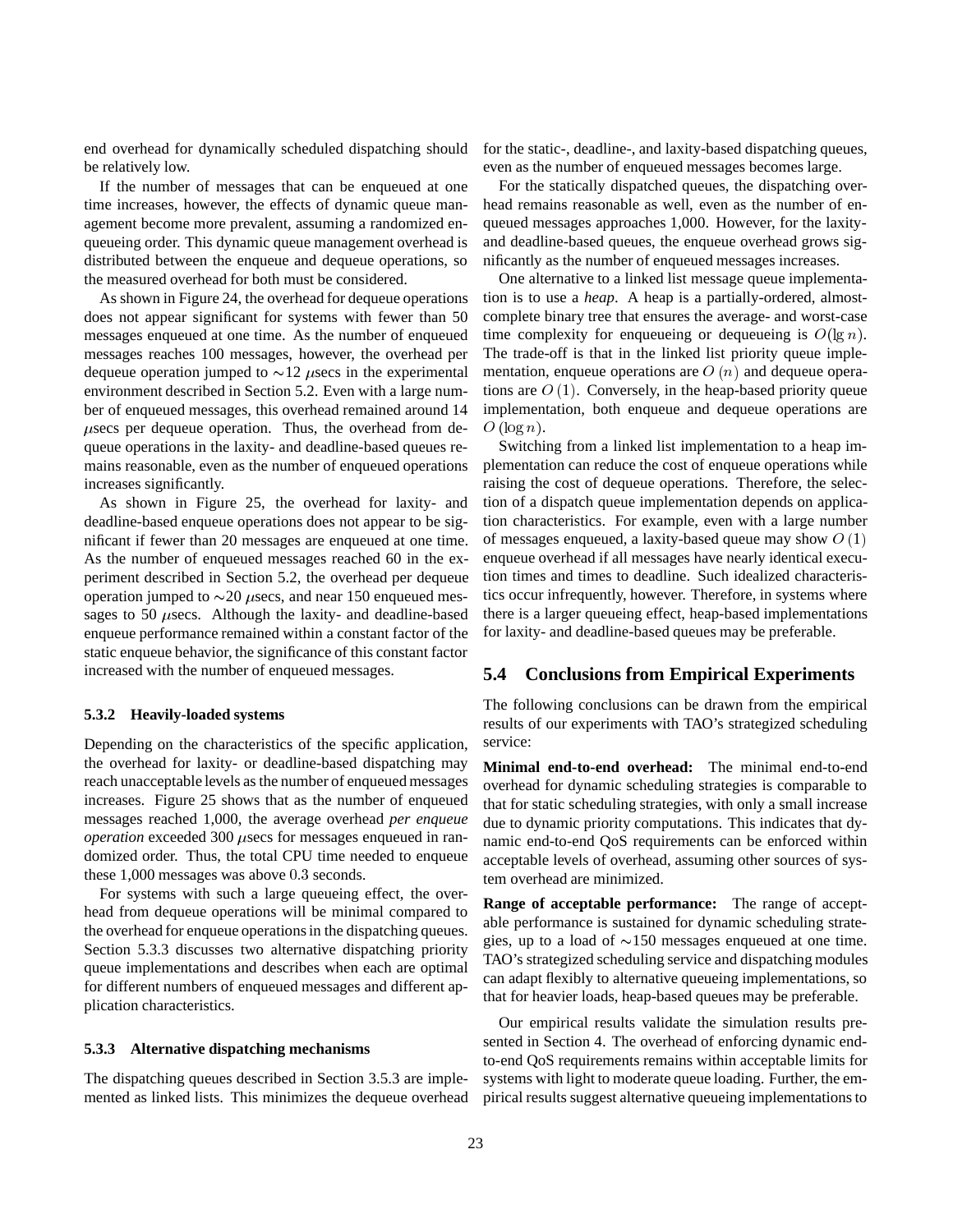end overhead for dynamically scheduled dispatching should be relatively low.

If the number of messages that can be enqueued at one time increases, however, the effects of dynamic queue management become more prevalent, assuming a randomized enqueueing order. This dynamic queue management overhead is distributed between the enqueue and dequeue operations, so the measured overhead for both must be considered.

As shown in Figure 24, the overhead for dequeue operations does not appear significant for systems with fewer than 50 messages enqueued at one time. As the number of enqueued messages reaches 100 messages, however, the overhead per dequeue operation jumped to  $\sim$ 12  $\mu$ secs in the experimental environment described in Section 5.2. Even with a large number of enqueued messages, this overhead remained around 14  $\mu$ secs per dequeue operation. Thus, the overhead from dequeue operations in the laxity- and deadline-based queues remains reasonable, even as the number of enqueued operations increases significantly.

As shown in Figure 25, the overhead for laxity- and deadline-based enqueue operations does not appear to be significant if fewer than 20 messages are enqueued at one time. As the number of enqueued messages reached 60 in the experiment described in Section 5.2, the overhead per dequeue operation jumped to  $\sim$  20  $\mu$ secs, and near 150 enqueued messages to 50  $\mu$ secs. Although the laxity- and deadline-based enqueue performance remained within a constant factor of the static enqueue behavior, the significance of this constant factor increased with the number of enqueued messages.

#### **5.3.2 Heavily-loaded systems**

Depending on the characteristics of the specific application, the overhead for laxity- or deadline-based dispatching may reach unacceptable levels as the number of enqueued messages increases. Figure 25 shows that as the number of enqueued messages reached 1,000, the average overhead *per enqueue operation* exceeded 300  $\mu$ secs for messages enqueued in randomized order. Thus, the total CPU time needed to enqueue these 1,000 messages was above 0.3 seconds.

For systems with such a large queueing effect, the overhead from dequeue operations will be minimal compared to the overhead for enqueue operations in the dispatching queues. Section 5.3.3 discusses two alternative dispatching priority queue implementations and describes when each are optimal for different numbers of enqueued messages and different application characteristics.

#### **5.3.3 Alternative dispatching mechanisms**

The dispatching queues described in Section 3.5.3 are implemented as linked lists. This minimizes the dequeue overhead for the static-, deadline-, and laxity-based dispatching queues, even as the number of enqueued messages becomes large.

For the statically dispatched queues, the dispatching overhead remains reasonable as well, even as the number of enqueued messages approaches 1,000. However, for the laxityand deadline-based queues, the enqueue overhead grows significantly as the number of enqueued messages increases.

One alternative to a linked list message queue implementation is to use a *heap*. A heap is a partially-ordered, almostcomplete binary tree that ensures the average- and worst-case time complexity for enqueueing or dequeueing is  $O(\lg n)$ . The trade-off is that in the linked list priority queue implementation, enqueue operations are  $O(n)$  and dequeue operations are  $O(1)$ . Conversely, in the heap-based priority queue implementation, both enqueue and dequeue operations are  $O(\log n)$ .

Switching from a linked list implementation to a heap implementation can reduce the cost of enqueue operations while raising the cost of dequeue operations. Therefore, the selection of a dispatch queue implementation depends on application characteristics. For example, even with a large number of messages enqueued, a laxity-based queue may show  $O(1)$ enqueue overhead if all messages have nearly identical execution times and times to deadline. Such idealized characteristics occur infrequently, however. Therefore, in systems where there is a larger queueing effect, heap-based implementations for laxity- and deadline-based queues may be preferable.

### **5.4 Conclusions from Empirical Experiments**

The following conclusions can be drawn from the empirical results of our experiments with TAO's strategized scheduling service:

**Minimal end-to-end overhead:** The minimal end-to-end overhead for dynamic scheduling strategies is comparable to that for static scheduling strategies, with only a small increase due to dynamic priority computations. This indicates that dynamic end-to-end QoS requirements can be enforced within acceptable levels of overhead, assuming other sources of system overhead are minimized.

**Range of acceptable performance:** The range of acceptable performance is sustained for dynamic scheduling strategies, up to a load of  $\sim$ 150 messages enqueued at one time. TAO's strategized scheduling service and dispatching modules can adapt flexibly to alternative queueing implementations, so that for heavier loads, heap-based queues may be preferable.

Our empirical results validate the simulation results presented in Section 4. The overhead of enforcing dynamic endto-end QoS requirements remains within acceptable limits for systems with light to moderate queue loading. Further, the empirical results suggest alternative queueing implementations to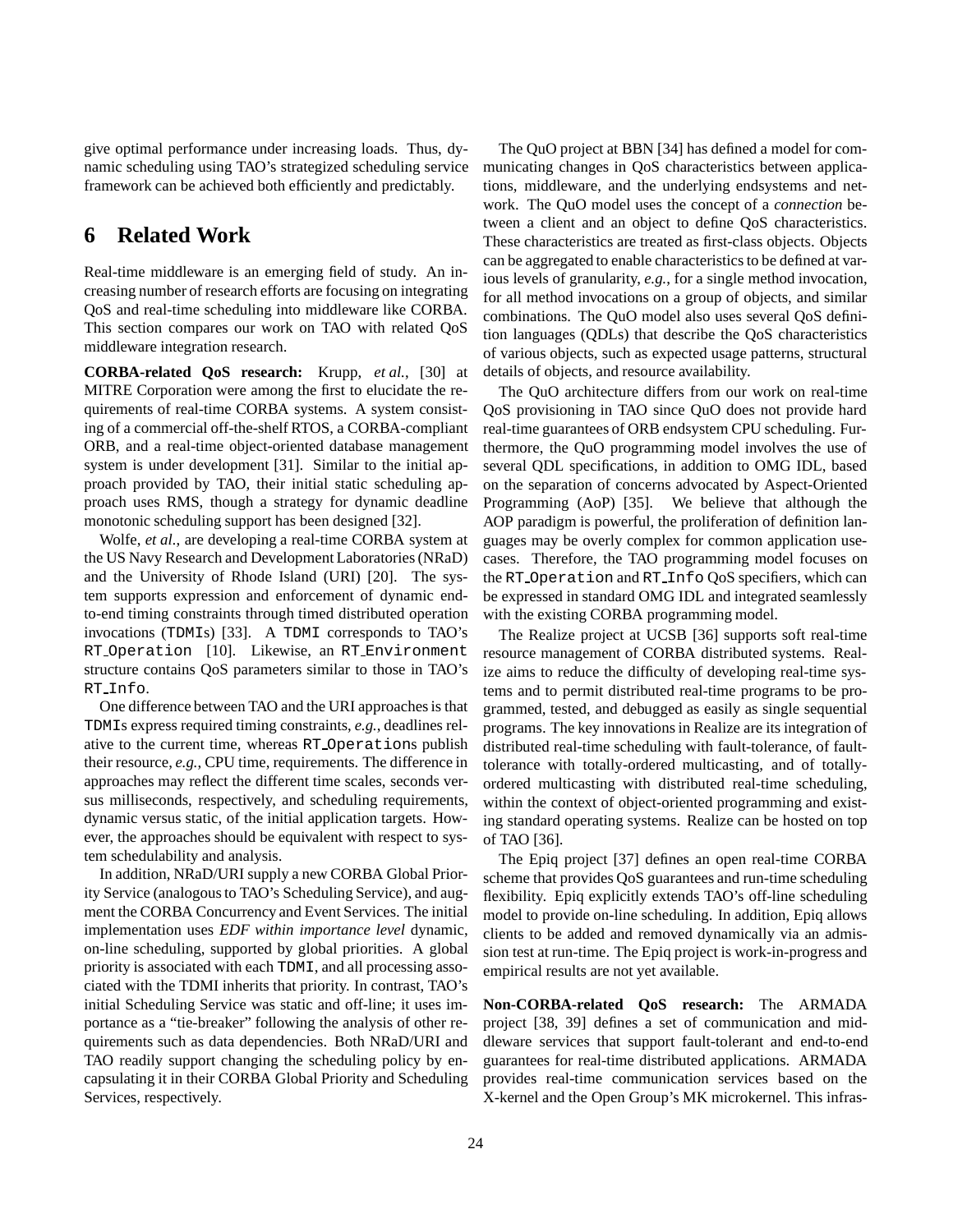give optimal performance under increasing loads. Thus, dynamic scheduling using TAO's strategized scheduling service framework can be achieved both efficiently and predictably.

# **6 Related Work**

Real-time middleware is an emerging field of study. An increasing number of research efforts are focusing on integrating QoS and real-time scheduling into middleware like CORBA. This section compares our work on TAO with related QoS middleware integration research.

**CORBA-related QoS research:** Krupp, *et al.*, [30] at MITRE Corporation were among the first to elucidate the requirements of real-time CORBA systems. A system consisting of a commercial off-the-shelf RTOS, a CORBA-compliant ORB, and a real-time object-oriented database management system is under development [31]. Similar to the initial approach provided by TAO, their initial static scheduling approach uses RMS, though a strategy for dynamic deadline monotonic scheduling support has been designed [32].

Wolfe, *et al.*, are developing a real-time CORBA system at the US Navy Research and Development Laboratories (NRaD) and the University of Rhode Island (URI) [20]. The system supports expression and enforcement of dynamic endto-end timing constraints through timed distributed operation invocations (TDMIs) [33]. A TDMI corresponds to TAO's RT Operation [10]. Likewise, an RT Environment structure contains QoS parameters similar to those in TAO's RT Info.

One difference between TAO and the URI approaches is that TDMIs express required timing constraints, *e.g.*, deadlines relative to the current time, whereas RT Operations publish their resource, *e.g.*, CPU time, requirements. The difference in approaches may reflect the different time scales, seconds versus milliseconds, respectively, and scheduling requirements, dynamic versus static, of the initial application targets. However, the approaches should be equivalent with respect to system schedulability and analysis.

In addition, NRaD/URI supply a new CORBA Global Priority Service (analogous to TAO's Scheduling Service), and augment the CORBA Concurrency and Event Services. The initial implementation uses *EDF within importance level* dynamic, on-line scheduling, supported by global priorities. A global priority is associated with each TDMI, and all processing associated with the TDMI inherits that priority. In contrast, TAO's initial Scheduling Service was static and off-line; it uses importance as a "tie-breaker" following the analysis of other requirements such as data dependencies. Both NRaD/URI and TAO readily support changing the scheduling policy by encapsulating it in their CORBA Global Priority and Scheduling Services, respectively.

The QuO project at BBN [34] has defined a model for communicating changes in QoS characteristics between applications, middleware, and the underlying endsystems and network. The QuO model uses the concept of a *connection* between a client and an object to define QoS characteristics. These characteristics are treated as first-class objects. Objects can be aggregated to enable characteristics to be defined at various levels of granularity, *e.g.*, for a single method invocation, for all method invocations on a group of objects, and similar combinations. The QuO model also uses several QoS definition languages (QDLs) that describe the QoS characteristics of various objects, such as expected usage patterns, structural details of objects, and resource availability.

The QuO architecture differs from our work on real-time QoS provisioning in TAO since QuO does not provide hard real-time guarantees of ORB endsystem CPU scheduling. Furthermore, the QuO programming model involves the use of several QDL specifications, in addition to OMG IDL, based on the separation of concerns advocated by Aspect-Oriented Programming (AoP) [35]. We believe that although the AOP paradigm is powerful, the proliferation of definition languages may be overly complex for common application usecases. Therefore, the TAO programming model focuses on the RT Operation and RT Info QoS specifiers, which can be expressed in standard OMG IDL and integrated seamlessly with the existing CORBA programming model.

The Realize project at UCSB [36] supports soft real-time resource management of CORBA distributed systems. Realize aims to reduce the difficulty of developing real-time systems and to permit distributed real-time programs to be programmed, tested, and debugged as easily as single sequential programs. The key innovations in Realize are its integration of distributed real-time scheduling with fault-tolerance, of faulttolerance with totally-ordered multicasting, and of totallyordered multicasting with distributed real-time scheduling, within the context of object-oriented programming and existing standard operating systems. Realize can be hosted on top of TAO [36].

The Epiq project [37] defines an open real-time CORBA scheme that provides QoS guarantees and run-time scheduling flexibility. Epiq explicitly extends TAO's off-line scheduling model to provide on-line scheduling. In addition, Epiq allows clients to be added and removed dynamically via an admission test at run-time. The Epiq project is work-in-progress and empirical results are not yet available.

**Non-CORBA-related QoS research:** The ARMADA project [38, 39] defines a set of communication and middleware services that support fault-tolerant and end-to-end guarantees for real-time distributed applications. ARMADA provides real-time communication services based on the X-kernel and the Open Group's MK microkernel. This infras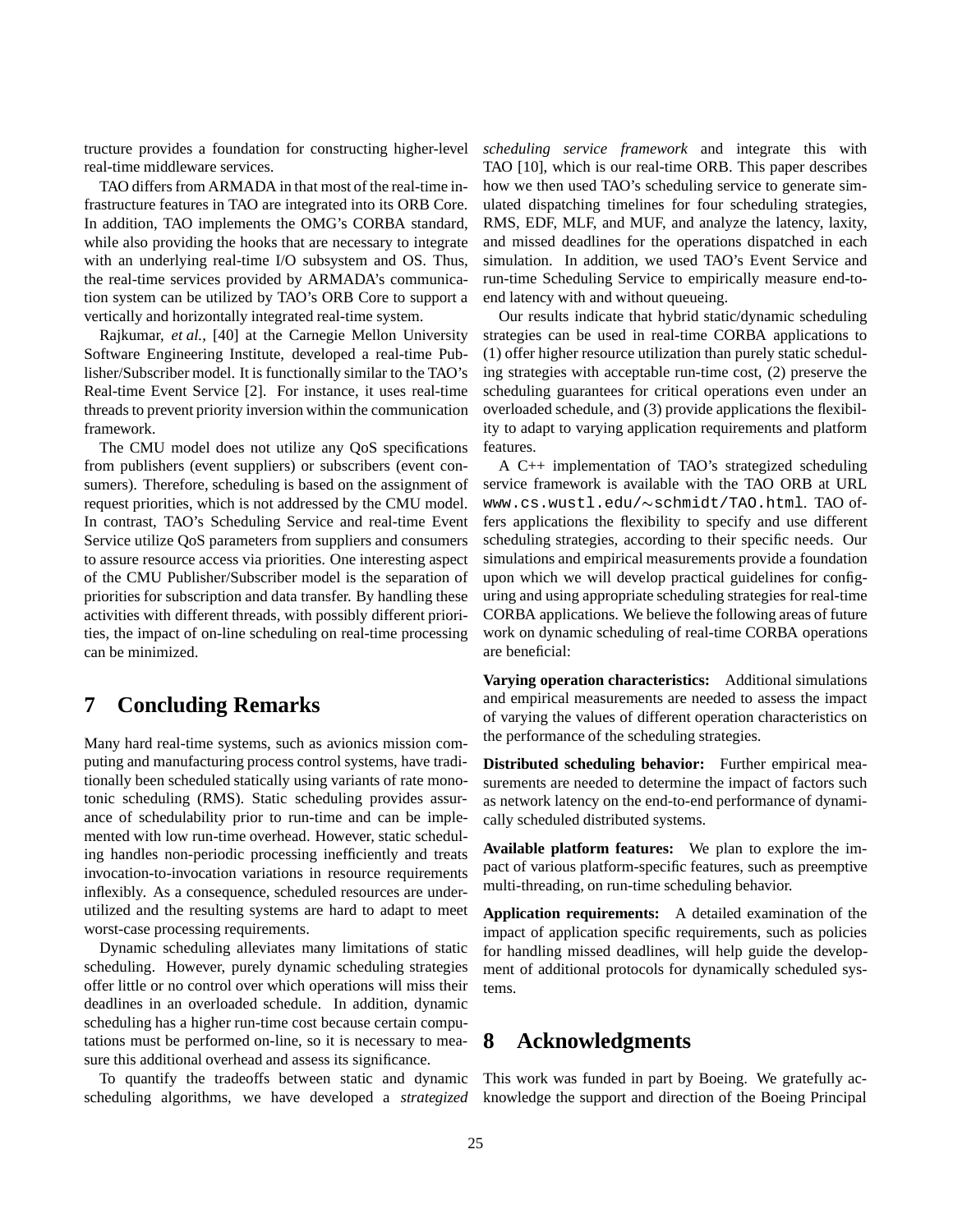tructure provides a foundation for constructing higher-level real-time middleware services.

TAO differs from ARMADA in that most of the real-time infrastructure features in TAO are integrated into its ORB Core. In addition, TAO implements the OMG's CORBA standard, while also providing the hooks that are necessary to integrate with an underlying real-time I/O subsystem and OS. Thus, the real-time services provided by ARMADA's communication system can be utilized by TAO's ORB Core to support a vertically and horizontally integrated real-time system.

Rajkumar, *et al.*, [40] at the Carnegie Mellon University Software Engineering Institute, developed a real-time Publisher/Subscriber model. It is functionally similar to the TAO's Real-time Event Service [2]. For instance, it uses real-time threads to prevent priority inversion within the communication framework.

The CMU model does not utilize any QoS specifications from publishers (event suppliers) or subscribers (event consumers). Therefore, scheduling is based on the assignment of request priorities, which is not addressed by the CMU model. In contrast, TAO's Scheduling Service and real-time Event Service utilize QoS parameters from suppliers and consumers to assure resource access via priorities. One interesting aspect of the CMU Publisher/Subscriber model is the separation of priorities for subscription and data transfer. By handling these activities with different threads, with possibly different priorities, the impact of on-line scheduling on real-time processing can be minimized.

# **7 Concluding Remarks**

Many hard real-time systems, such as avionics mission computing and manufacturing process control systems, have traditionally been scheduled statically using variants of rate monotonic scheduling (RMS). Static scheduling provides assurance of schedulability prior to run-time and can be implemented with low run-time overhead. However, static scheduling handles non-periodic processing inefficiently and treats invocation-to-invocation variations in resource requirements inflexibly. As a consequence, scheduled resources are underutilized and the resulting systems are hard to adapt to meet worst-case processing requirements.

Dynamic scheduling alleviates many limitations of static scheduling. However, purely dynamic scheduling strategies offer little or no control over which operations will miss their deadlines in an overloaded schedule. In addition, dynamic scheduling has a higher run-time cost because certain computations must be performed on-line, so it is necessary to measure this additional overhead and assess its significance.

To quantify the tradeoffs between static and dynamic scheduling algorithms, we have developed a *strategized* *scheduling service framework* and integrate this with TAO [10], which is our real-time ORB. This paper describes how we then used TAO's scheduling service to generate simulated dispatching timelines for four scheduling strategies, RMS, EDF, MLF, and MUF, and analyze the latency, laxity, and missed deadlines for the operations dispatched in each simulation. In addition, we used TAO's Event Service and run-time Scheduling Service to empirically measure end-toend latency with and without queueing.

Our results indicate that hybrid static/dynamic scheduling strategies can be used in real-time CORBA applications to (1) offer higher resource utilization than purely static scheduling strategies with acceptable run-time cost, (2) preserve the scheduling guarantees for critical operations even under an overloaded schedule, and (3) provide applications the flexibility to adapt to varying application requirements and platform features.

A C++ implementation of TAO's strategized scheduling service framework is available with the TAO ORB at URL www.cs.wustl.edu/~schmidt/TAO.html. TAO offers applications the flexibility to specify and use different scheduling strategies, according to their specific needs. Our simulations and empirical measurements provide a foundation upon which we will develop practical guidelines for configuring and using appropriate scheduling strategies for real-time CORBA applications. We believe the following areas of future work on dynamic scheduling of real-time CORBA operations are beneficial:

**Varying operation characteristics:** Additional simulations and empirical measurements are needed to assess the impact of varying the values of different operation characteristics on the performance of the scheduling strategies.

**Distributed scheduling behavior:** Further empirical measurements are needed to determine the impact of factors such as network latency on the end-to-end performance of dynamically scheduled distributed systems.

**Available platform features:** We plan to explore the impact of various platform-specific features, such as preemptive multi-threading, on run-time scheduling behavior.

**Application requirements:** A detailed examination of the impact of application specific requirements, such as policies for handling missed deadlines, will help guide the development of additional protocols for dynamically scheduled systems.

# **8 Acknowledgments**

This work was funded in part by Boeing. We gratefully acknowledge the support and direction of the Boeing Principal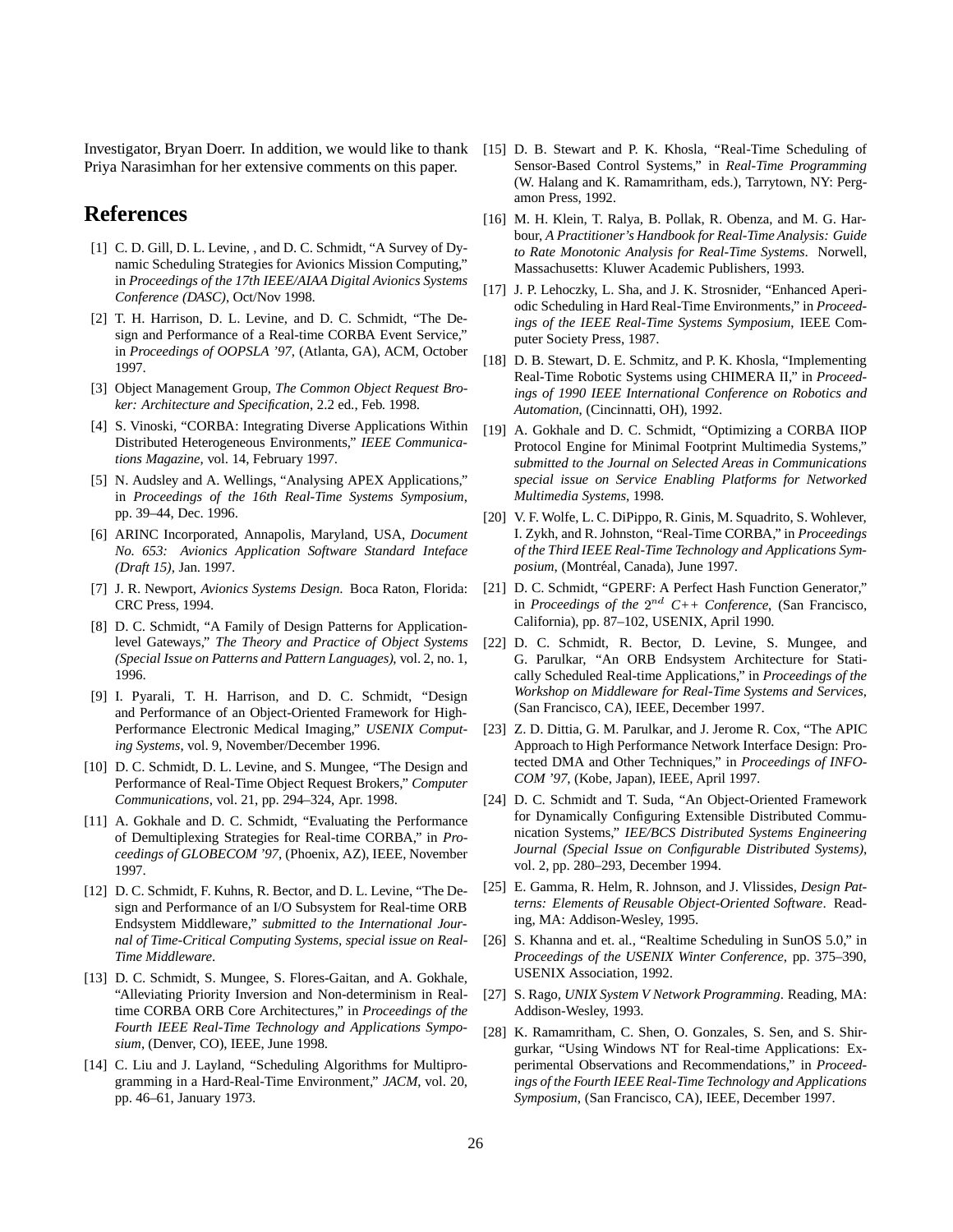Investigator, Bryan Doerr. In addition, we would like to thank [15] D. B. Stewart and P. K. Khosla, "Real-Time Scheduling of Priya Narasimhan for her extensive comments on this paper.

# **References**

- [1] C. D. Gill, D. L. Levine, , and D. C. Schmidt, "A Survey of Dynamic Scheduling Strategies for Avionics Mission Computing, in *Proceedings of the 17th IEEE/AIAA Digital Avionics Systems Conference (DASC)*, Oct/Nov 1998.
- [2] T. H. Harrison, D. L. Levine, and D. C. Schmidt, "The Design and Performance of a Real-time CORBA Event Service," in *Proceedings of OOPSLA '97*, (Atlanta, GA), ACM, October 1997.
- [3] Object Management Group, *The Common Object Request Broker: Architecture and Specification*, 2.2 ed., Feb. 1998.
- [4] S. Vinoski, "CORBA: Integrating Diverse Applications Within Distributed Heterogeneous Environments," *IEEE Communications Magazine*, vol. 14, February 1997.
- [5] N. Audsley and A. Wellings, "Analysing APEX Applications," in *Proceedings of the 16th Real-Time Systems Symposium*, pp. 39–44, Dec. 1996.
- [6] ARINC Incorporated, Annapolis, Maryland, USA, *Document No. 653: Avionics Application Software Standard Inteface (Draft 15)*, Jan. 1997.
- [7] J. R. Newport, *Avionics Systems Design*. Boca Raton, Florida: CRC Press, 1994.
- [8] D. C. Schmidt, "A Family of Design Patterns for Applicationlevel Gateways," *The Theory and Practice of Object Systems (Special Issue on Patterns and Pattern Languages)*, vol. 2, no. 1, 1996.
- [9] I. Pyarali, T. H. Harrison, and D. C. Schmidt, "Design and Performance of an Object-Oriented Framework for High-Performance Electronic Medical Imaging," *USENIX Computing Systems*, vol. 9, November/December 1996.
- [10] D. C. Schmidt, D. L. Levine, and S. Mungee, "The Design and Performance of Real-Time Object Request Brokers," *Computer Communications*, vol. 21, pp. 294–324, Apr. 1998.
- [11] A. Gokhale and D. C. Schmidt, "Evaluating the Performance of Demultiplexing Strategies for Real-time CORBA," in *Proceedings of GLOBECOM '97*, (Phoenix, AZ), IEEE, November 1997.
- [12] D. C. Schmidt, F. Kuhns, R. Bector, and D. L. Levine, "The Design and Performance of an I/O Subsystem for Real-time ORB Endsystem Middleware," *submitted to the International Journal of Time-Critical Computing Systems, special issue on Real-Time Middleware*.
- [13] D. C. Schmidt, S. Mungee, S. Flores-Gaitan, and A. Gokhale, "Alleviating Priority Inversion and Non-determinism in Realtime CORBA ORB Core Architectures," in *Proceedings of the Fourth IEEE Real-Time Technology and Applications Symposium*, (Denver, CO), IEEE, June 1998.
- [14] C. Liu and J. Layland, "Scheduling Algorithms for Multiprogramming in a Hard-Real-Time Environment," *JACM*, vol. 20, pp. 46–61, January 1973.
- Sensor-Based Control Systems," in *Real-Time Programming* (W. Halang and K. Ramamritham, eds.), Tarrytown, NY: Pergamon Press, 1992.
- [16] M. H. Klein, T. Ralya, B. Pollak, R. Obenza, and M. G. Harbour, *A Practitioner's Handbook for Real-Time Analysis: Guide to Rate Monotonic Analysis for Real-Time Systems*. Norwell, Massachusetts: Kluwer Academic Publishers, 1993.
- [17] J. P. Lehoczky, L. Sha, and J. K. Strosnider, "Enhanced Aperiodic Scheduling in Hard Real-Time Environments," in *Proceedings of the IEEE Real-Time Systems Symposium*, IEEE Computer Society Press, 1987.
- [18] D. B. Stewart, D. E. Schmitz, and P. K. Khosla, "Implementing Real-Time Robotic Systems using CHIMERA II," in *Proceedings of 1990 IEEE International Conference on Robotics and Automation*, (Cincinnatti, OH), 1992.
- [19] A. Gokhale and D. C. Schmidt, "Optimizing a CORBA IIOP Protocol Engine for Minimal Footprint Multimedia Systems," *submitted to the Journal on Selected Areas in Communications special issue on Service Enabling Platforms for Networked Multimedia Systems*, 1998.
- [20] V. F. Wolfe, L. C. DiPippo, R. Ginis, M. Squadrito, S. Wohlever, I. Zykh, and R. Johnston, "Real-Time CORBA," in *Proceedings of the Third IEEE Real-Time Technology and Applications Symposium*, (Montréal, Canada), June 1997.
- [21] D. C. Schmidt, "GPERF: A Perfect Hash Function Generator," in *Proceedings of the*  $2^{nd}$  C++ Conference, (San Francisco, California), pp. 87–102, USENIX, April 1990.
- [22] D. C. Schmidt, R. Bector, D. Levine, S. Mungee, and G. Parulkar, "An ORB Endsystem Architecture for Statically Scheduled Real-time Applications," in *Proceedings of the Workshop on Middleware for Real-Time Systems and Services*, (San Francisco, CA), IEEE, December 1997.
- [23] Z. D. Dittia, G. M. Parulkar, and J. Jerome R. Cox, "The APIC Approach to High Performance Network Interface Design: Protected DMA and Other Techniques," in *Proceedings of INFO-COM '97*, (Kobe, Japan), IEEE, April 1997.
- [24] D. C. Schmidt and T. Suda, "An Object-Oriented Framework for Dynamically Configuring Extensible Distributed Communication Systems," *IEE/BCS Distributed Systems Engineering Journal (Special Issue on Configurable Distributed Systems)*, vol. 2, pp. 280–293, December 1994.
- [25] E. Gamma, R. Helm, R. Johnson, and J. Vlissides, *Design Patterns: Elements of Reusable Object-Oriented Software*. Reading, MA: Addison-Wesley, 1995.
- [26] S. Khanna and et. al., "Realtime Scheduling in SunOS 5.0," in *Proceedings of the USENIX Winter Conference*, pp. 375–390, USENIX Association, 1992.
- [27] S. Rago, *UNIX System V Network Programming*. Reading, MA: Addison-Wesley, 1993.
- [28] K. Ramamritham, C. Shen, O. Gonzales, S. Sen, and S. Shirgurkar, "Using Windows NT for Real-time Applications: Experimental Observations and Recommendations," in *Proceedings of the Fourth IEEE Real-Time Technology and Applications Symposium*, (San Francisco, CA), IEEE, December 1997.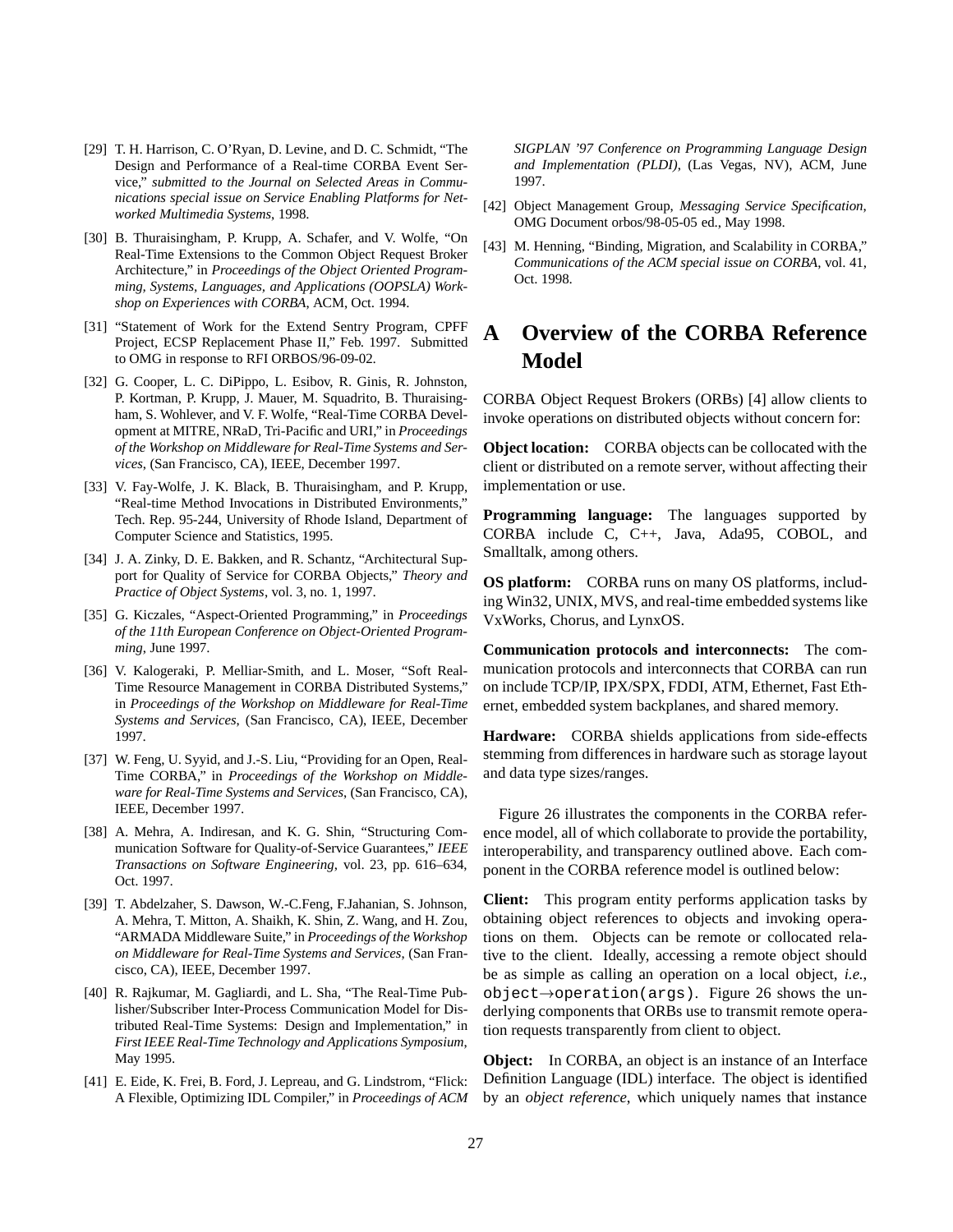- [29] T. H. Harrison, C. O'Ryan, D. Levine, and D. C. Schmidt, "The Design and Performance of a Real-time CORBA Event Service," *submitted to the Journal on Selected Areas in Communications special issue on Service Enabling Platforms for Networked Multimedia Systems*, 1998.
- [30] B. Thuraisingham, P. Krupp, A. Schafer, and V. Wolfe, "On Real-Time Extensions to the Common Object Request Broker Architecture," in *Proceedings of the Object Oriented Programming, Systems, Languages, and Applications (OOPSLA) Workshop on Experiences with CORBA*, ACM, Oct. 1994.
- [31] "Statement of Work for the Extend Sentry Program, CPFF Project, ECSP Replacement Phase II," Feb. 1997. Submitted to OMG in response to RFI ORBOS/96-09-02.
- [32] G. Cooper, L. C. DiPippo, L. Esibov, R. Ginis, R. Johnston, P. Kortman, P. Krupp, J. Mauer, M. Squadrito, B. Thuraisingham, S. Wohlever, and V. F. Wolfe, "Real-Time CORBA Development at MITRE, NRaD, Tri-Pacific and URI," in *Proceedings of the Workshop on Middleware for Real-Time Systems and Services*, (San Francisco, CA), IEEE, December 1997.
- [33] V. Fay-Wolfe, J. K. Black, B. Thuraisingham, and P. Krupp, "Real-time Method Invocations in Distributed Environments," Tech. Rep. 95-244, University of Rhode Island, Department of Computer Science and Statistics, 1995.
- [34] J. A. Zinky, D. E. Bakken, and R. Schantz, "Architectural Support for Quality of Service for CORBA Objects," *Theory and Practice of Object Systems*, vol. 3, no. 1, 1997.
- [35] G. Kiczales, "Aspect-Oriented Programming," in *Proceedings of the 11th European Conference on Object-Oriented Programming*, June 1997.
- [36] V. Kalogeraki, P. Melliar-Smith, and L. Moser, "Soft Real-Time Resource Management in CORBA Distributed Systems," in *Proceedings of the Workshop on Middleware for Real-Time Systems and Services*, (San Francisco, CA), IEEE, December 1997.
- [37] W. Feng, U. Syyid, and J.-S. Liu, "Providing for an Open, Real-Time CORBA," in *Proceedings of the Workshop on Middleware for Real-Time Systems and Services*, (San Francisco, CA), IEEE, December 1997.
- [38] A. Mehra, A. Indiresan, and K. G. Shin, "Structuring Communication Software for Quality-of-Service Guarantees," *IEEE Transactions on Software Engineering*, vol. 23, pp. 616–634, Oct. 1997.
- [39] T. Abdelzaher, S. Dawson, W.-C.Feng, F.Jahanian, S. Johnson, A. Mehra, T. Mitton, A. Shaikh, K. Shin, Z. Wang, and H. Zou, "ARMADA Middleware Suite," in *Proceedings of the Workshop on Middleware for Real-Time Systems and Services*, (San Francisco, CA), IEEE, December 1997.
- [40] R. Rajkumar, M. Gagliardi, and L. Sha, "The Real-Time Publisher/Subscriber Inter-Process Communication Model for Distributed Real-Time Systems: Design and Implementation," in *First IEEE Real-Time Technology and Applications Symposium*, May 1995.
- [41] E. Eide, K. Frei, B. Ford, J. Lepreau, and G. Lindstrom, "Flick: A Flexible, Optimizing IDL Compiler," in *Proceedings of ACM*

*SIGPLAN '97 Conference on Programming Language Design and Implementation (PLDI)*, (Las Vegas, NV), ACM, June 1997.

- [42] Object Management Group, *Messaging Service Specification*, OMG Document orbos/98-05-05 ed., May 1998.
- [43] M. Henning, "Binding, Migration, and Scalability in CORBA," *Communications of the ACM special issue on CORBA*, vol. 41, Oct. 1998.

# **A Overview of the CORBA Reference Model**

CORBA Object Request Brokers (ORBs) [4] allow clients to invoke operations on distributed objects without concern for:

**Object location:** CORBA objects can be collocated with the client or distributed on a remote server, without affecting their implementation or use.

**Programming language:** The languages supported by CORBA include C, C++, Java, Ada95, COBOL, and Smalltalk, among others.

**OS platform:** CORBA runs on many OS platforms, including Win32, UNIX, MVS, and real-time embedded systems like VxWorks, Chorus, and LynxOS.

**Communication protocols and interconnects:** The communication protocols and interconnects that CORBA can run on include TCP/IP, IPX/SPX, FDDI, ATM, Ethernet, Fast Ethernet, embedded system backplanes, and shared memory.

**Hardware:** CORBA shields applications from side-effects stemming from differences in hardware such as storage layout and data type sizes/ranges.

Figure 26 illustrates the components in the CORBA reference model, all of which collaborate to provide the portability, interoperability, and transparency outlined above. Each component in the CORBA reference model is outlined below:

**Client:** This program entity performs application tasks by obtaining object references to objects and invoking operations on them. Objects can be remote or collocated relative to the client. Ideally, accessing a remote object should be as simple as calling an operation on a local object, *i.e.*,  $object \rightarrow operation(args)$ . Figure 26 shows the underlying components that ORBs use to transmit remote operation requests transparently from client to object.

**Object:** In CORBA, an object is an instance of an Interface Definition Language (IDL) interface. The object is identified by an *object reference*, which uniquely names that instance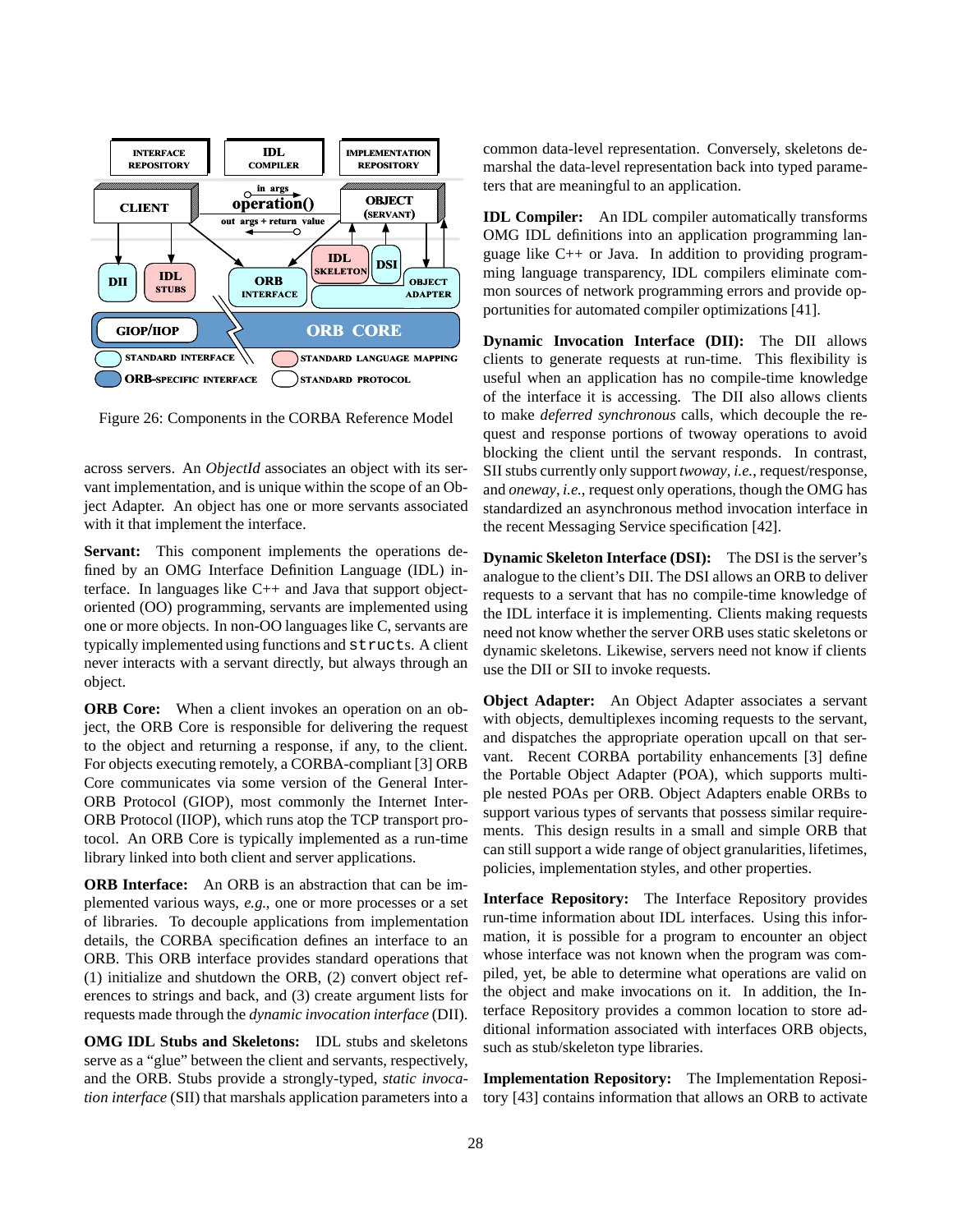

Figure 26: Components in the CORBA Reference Model

across servers. An *ObjectId* associates an object with its servant implementation, and is unique within the scope of an Object Adapter. An object has one or more servants associated with it that implement the interface.

**Servant:** This component implements the operations defined by an OMG Interface Definition Language (IDL) interface. In languages like C++ and Java that support objectoriented (OO) programming, servants are implemented using one or more objects. In non-OO languages like C, servants are typically implemented using functions and structs. A client never interacts with a servant directly, but always through an object.

**ORB Core:** When a client invokes an operation on an object, the ORB Core is responsible for delivering the request to the object and returning a response, if any, to the client. For objects executing remotely, a CORBA-compliant [3] ORB Core communicates via some version of the General Inter-ORB Protocol (GIOP), most commonly the Internet Inter-ORB Protocol (IIOP), which runs atop the TCP transport protocol. An ORB Core is typically implemented as a run-time library linked into both client and server applications.

**ORB Interface:** An ORB is an abstraction that can be implemented various ways, *e.g.*, one or more processes or a set of libraries. To decouple applications from implementation details, the CORBA specification defines an interface to an ORB. This ORB interface provides standard operations that (1) initialize and shutdown the ORB, (2) convert object references to strings and back, and (3) create argument lists for requests made through the *dynamic invocation interface* (DII).

**OMG IDL Stubs and Skeletons:** IDL stubs and skeletons serve as a "glue" between the client and servants, respectively, and the ORB. Stubs provide a strongly-typed, *static invocation interface* (SII) that marshals application parameters into a common data-level representation. Conversely, skeletons demarshal the data-level representation back into typed parameters that are meaningful to an application.

**IDL Compiler:** An IDL compiler automatically transforms OMG IDL definitions into an application programming language like C++ or Java. In addition to providing programming language transparency, IDL compilers eliminate common sources of network programming errors and provide opportunities for automated compiler optimizations [41].

**Dynamic Invocation Interface (DII):** The DII allows clients to generate requests at run-time. This flexibility is useful when an application has no compile-time knowledge of the interface it is accessing. The DII also allows clients to make *deferred synchronous* calls, which decouple the request and response portions of twoway operations to avoid blocking the client until the servant responds. In contrast, SII stubs currently only support *twoway*, *i.e.*, request/response, and *oneway*, *i.e.*, request only operations, though the OMG has standardized an asynchronous method invocation interface in the recent Messaging Service specification [42].

**Dynamic Skeleton Interface (DSI):** The DSI is the server's analogue to the client's DII. The DSI allows an ORB to deliver requests to a servant that has no compile-time knowledge of the IDL interface it is implementing. Clients making requests need not know whether the server ORB uses static skeletons or dynamic skeletons. Likewise, servers need not know if clients use the DII or SII to invoke requests.

**Object Adapter:** An Object Adapter associates a servant with objects, demultiplexes incoming requests to the servant, and dispatches the appropriate operation upcall on that servant. Recent CORBA portability enhancements [3] define the Portable Object Adapter (POA), which supports multiple nested POAs per ORB. Object Adapters enable ORBs to support various types of servants that possess similar requirements. This design results in a small and simple ORB that can still support a wide range of object granularities, lifetimes, policies, implementation styles, and other properties.

**Interface Repository:** The Interface Repository provides run-time information about IDL interfaces. Using this information, it is possible for a program to encounter an object whose interface was not known when the program was compiled, yet, be able to determine what operations are valid on the object and make invocations on it. In addition, the Interface Repository provides a common location to store additional information associated with interfaces ORB objects, such as stub/skeleton type libraries.

**Implementation Repository:** The Implementation Repository [43] contains information that allows an ORB to activate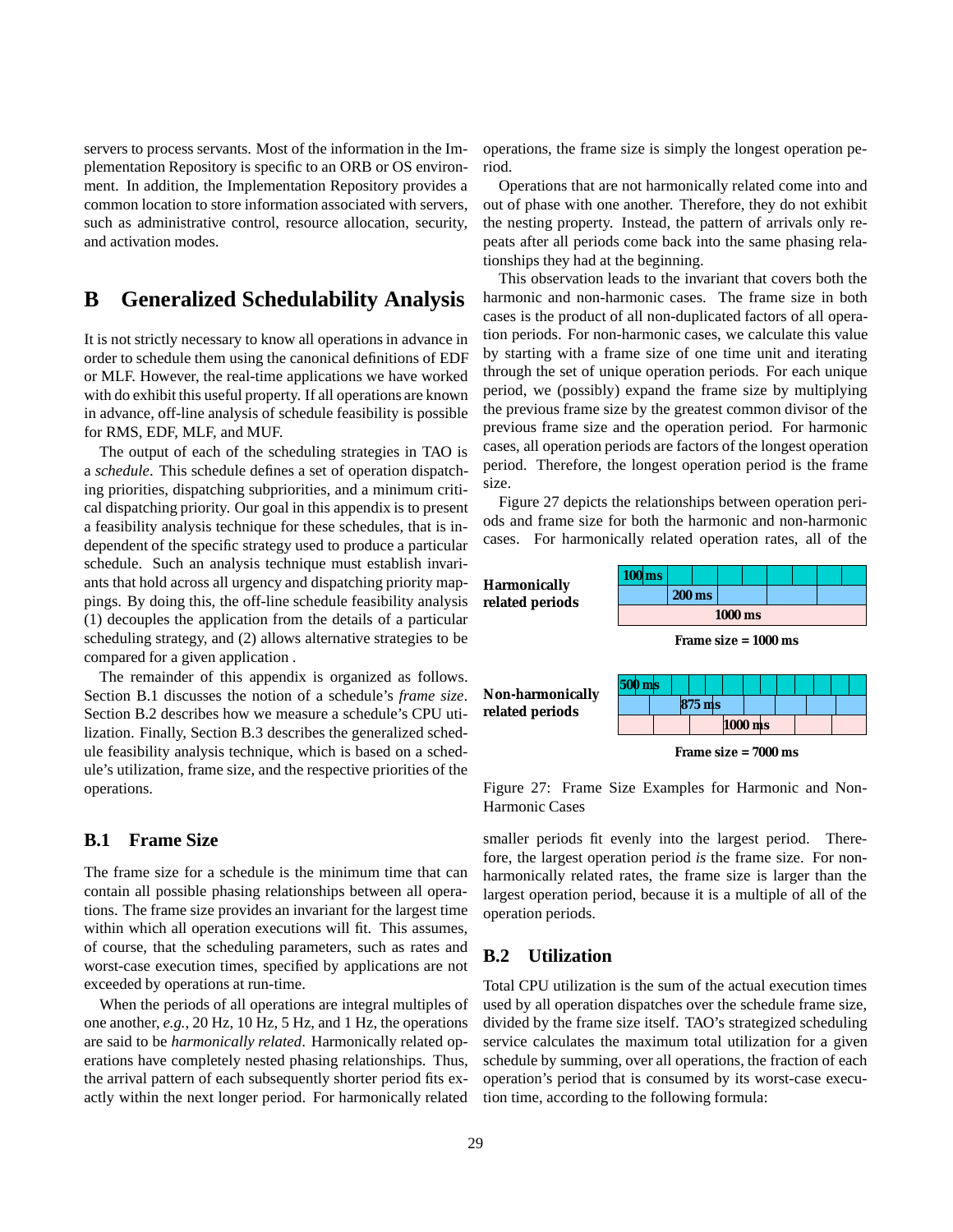servers to process servants. Most of the information in the Implementation Repository is specific to an ORB or OS environment. In addition, the Implementation Repository provides a common location to store information associated with servers, such as administrative control, resource allocation, security, and activation modes.

# **B Generalized Schedulability Analysis**

It is not strictly necessary to know all operations in advance in order to schedule them using the canonical definitions of EDF or MLF. However, the real-time applications we have worked with do exhibit this useful property. If all operations are known in advance, off-line analysis of schedule feasibility is possible for RMS, EDF, MLF, and MUF.

The output of each of the scheduling strategies in TAO is a *schedule*. This schedule defines a set of operation dispatching priorities, dispatching subpriorities, and a minimum critical dispatching priority. Our goal in this appendix is to present a feasibility analysis technique for these schedules, that is independent of the specific strategy used to produce a particular schedule. Such an analysis technique must establish invariants that hold across all urgency and dispatching priority mappings. By doing this, the off-line schedule feasibility analysis (1) decouples the application from the details of a particular scheduling strategy, and (2) allows alternative strategies to be compared for a given application .

The remainder of this appendix is organized as follows. Section B.1 discusses the notion of a schedule's *frame size*. Section B.2 describes how we measure a schedule's CPU utilization. Finally, Section B.3 describes the generalized schedule feasibility analysis technique, which is based on a schedule's utilization, frame size, and the respective priorities of the operations.

# **B.1 Frame Size**

The frame size for a schedule is the minimum time that can contain all possible phasing relationships between all operations. The frame size provides an invariant for the largest time within which all operation executions will fit. This assumes, of course, that the scheduling parameters, such as rates and worst-case execution times, specified by applications are not exceeded by operations at run-time.

When the periods of all operations are integral multiples of one another, *e.g.*, 20 Hz, 10 Hz, 5 Hz, and 1 Hz, the operations are said to be *harmonically related*. Harmonically related operations have completely nested phasing relationships. Thus, the arrival pattern of each subsequently shorter period fits exactly within the next longer period. For harmonically related

operations, the frame size is simply the longest operation period.

Operations that are not harmonically related come into and out of phase with one another. Therefore, they do not exhibit the nesting property. Instead, the pattern of arrivals only repeats after all periods come back into the same phasing relationships they had at the beginning.

This observation leads to the invariant that covers both the harmonic and non-harmonic cases. The frame size in both cases is the product of all non-duplicated factors of all operation periods. For non-harmonic cases, we calculate this value by starting with a frame size of one time unit and iterating through the set of unique operation periods. For each unique period, we (possibly) expand the frame size by multiplying the previous frame size by the greatest common divisor of the previous frame size and the operation period. For harmonic cases, all operation periods are factors of the longest operation period. Therefore, the longest operation period is the frame size.

Figure 27 depicts the relationships between operation periods and frame size for both the harmonic and non-harmonic cases. For harmonically related operation rates, all of the



**Frame size = 7000 ms**

Figure 27: Frame Size Examples for Harmonic and Non-Harmonic Cases

smaller periods fit evenly into the largest period. Therefore, the largest operation period *is* the frame size. For nonharmonically related rates, the frame size is larger than the largest operation period, because it is a multiple of all of the operation periods.

## **B.2 Utilization**

Total CPU utilization is the sum of the actual execution times used by all operation dispatches over the schedule frame size, divided by the frame size itself. TAO's strategized scheduling service calculates the maximum total utilization for a given schedule by summing, over all operations, the fraction of each operation's period that is consumed by its worst-case execution time, according to the following formula: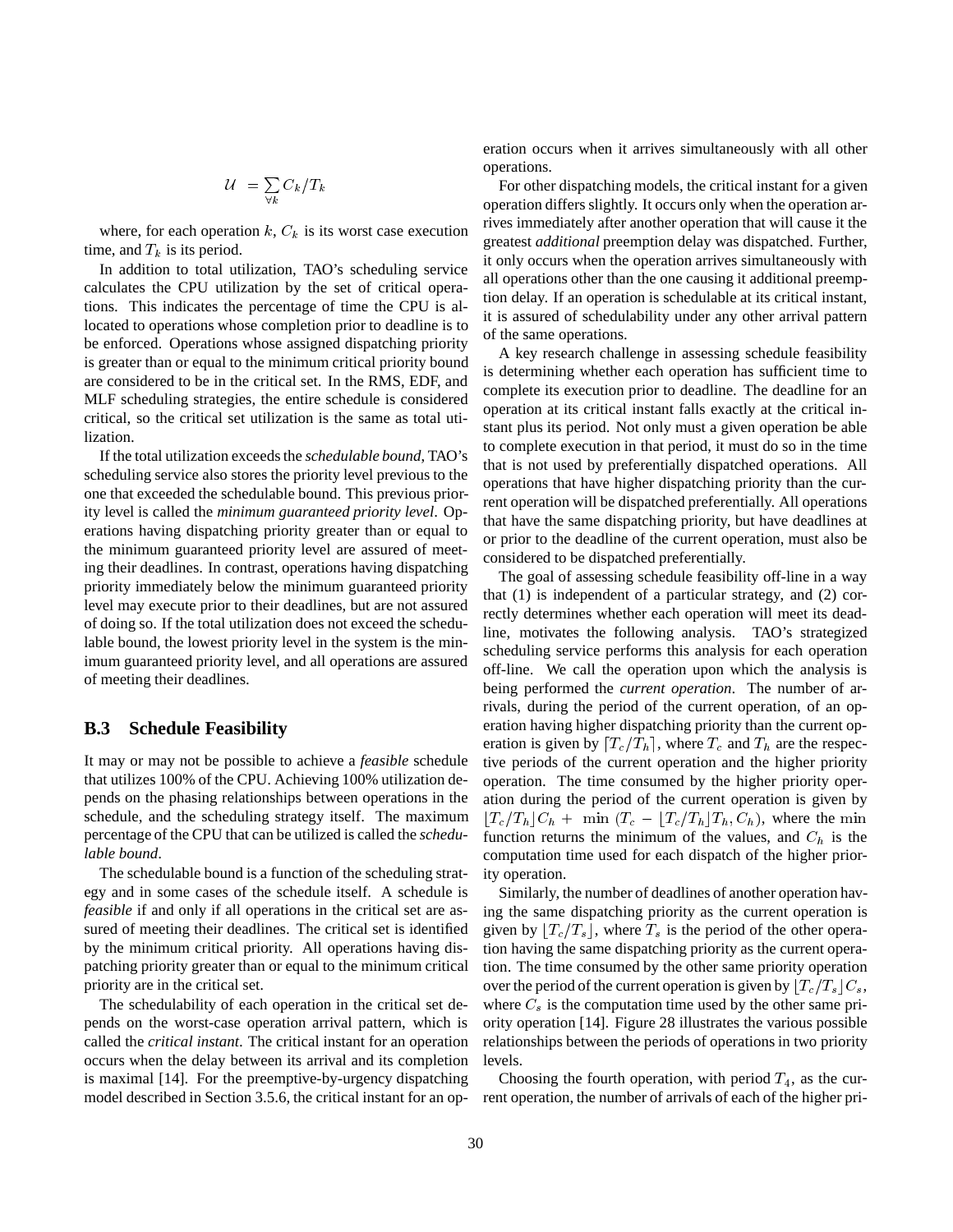$$
\mathcal{U} = \sum_{\forall k} C_k / T_k
$$

where, for each operation  $k, C_k$  is its worst case execution time, and  $T_k$  is its period.

In addition to total utilization, TAO's scheduling service calculates the CPU utilization by the set of critical operations. This indicates the percentage of time the CPU is allocated to operations whose completion prior to deadline is to be enforced. Operations whose assigned dispatching priority is greater than or equal to the minimum critical priority bound are considered to be in the critical set. In the RMS, EDF, and MLF scheduling strategies, the entire schedule is considered critical, so the critical set utilization is the same as total utilization.

If the total utilization exceeds the *schedulable bound*, TAO's scheduling service also stores the priority level previous to the one that exceeded the schedulable bound. This previous priority level is called the *minimum guaranteed priority level*. Operations having dispatching priority greater than or equal to the minimum guaranteed priority level are assured of meeting their deadlines. In contrast, operations having dispatching priority immediately below the minimum guaranteed priority level may execute prior to their deadlines, but are not assured of doing so. If the total utilization does not exceed the schedulable bound, the lowest priority level in the system is the minimum guaranteed priority level, and all operations are assured of meeting their deadlines.

### **B.3 Schedule Feasibility**

It may or may not be possible to achieve a *feasible* schedule that utilizes 100% of the CPU. Achieving 100% utilization depends on the phasing relationships between operations in the schedule, and the scheduling strategy itself. The maximum percentage of the CPU that can be utilized is called the *schedulable bound*.

The schedulable bound is a function of the scheduling strategy and in some cases of the schedule itself. A schedule is *feasible* if and only if all operations in the critical set are assured of meeting their deadlines. The critical set is identified by the minimum critical priority. All operations having dispatching priority greater than or equal to the minimum critical priority are in the critical set.

The schedulability of each operation in the critical set depends on the worst-case operation arrival pattern, which is called the *critical instant*. The critical instant for an operation occurs when the delay between its arrival and its completion is maximal [14]. For the preemptive-by-urgency dispatching model described in Section 3.5.6, the critical instant for an operation occurs when it arrives simultaneously with all other operations.

For other dispatching models, the critical instant for a given operation differs slightly. It occurs only when the operation arrives immediately after another operation that will cause it the greatest *additional* preemption delay was dispatched. Further, it only occurs when the operation arrives simultaneously with all operations other than the one causing it additional preemption delay. If an operation is schedulable at its critical instant, it is assured of schedulability under any other arrival pattern of the same operations.

A key research challenge in assessing schedule feasibility is determining whether each operation has sufficient time to complete its execution prior to deadline. The deadline for an operation at its critical instant falls exactly at the critical instant plus its period. Not only must a given operation be able to complete execution in that period, it must do so in the time that is not used by preferentially dispatched operations. All operations that have higher dispatching priority than the current operation will be dispatched preferentially. All operations that have the same dispatching priority, but have deadlines at or prior to the deadline of the current operation, must also be considered to be dispatched preferentially.

The goal of assessing schedule feasibility off-line in a way that (1) is independent of a particular strategy, and (2) correctly determines whether each operation will meet its deadline, motivates the following analysis. TAO's strategized scheduling service performs this analysis for each operation off-line. We call the operation upon which the analysis is being performed the *current operation*. The number of arrivals, during the period of the current operation, of an operation having higher dispatching priority than the current operation is given by  $T_c/T_h$ , where  $T_c$  and  $T_h$  are the respective periods of the current operation and the higher priority operation. The time consumed by the higher priority operation during the period of the current operation is given by  $T_c/T_hC_h + \min (T_c - [T_c/T_h]T_h, C_h)$ , where the min function returns the minimum of the values, and  $C_h$  is the computation time used for each dispatch of the higher priority operation.

Similarly, the number of deadlines of another operation having the same dispatching priority as the current operation is given by  $T_c/T_s$ , where  $T_s$  is the period of the other operation having the same dispatching priority as the current operation. The time consumed by the other same priority operation over the period of the current operation is given by  $T_c/T_s/C_s$ , where  $C_s$  is the computation time used by the other same priority operation [14]. Figure 28 illustrates the various possible relationships between the periods of operations in two priority levels.

Choosing the fourth operation, with period  $T_4$ , as the current operation, the number of arrivals of each of the higher pri-